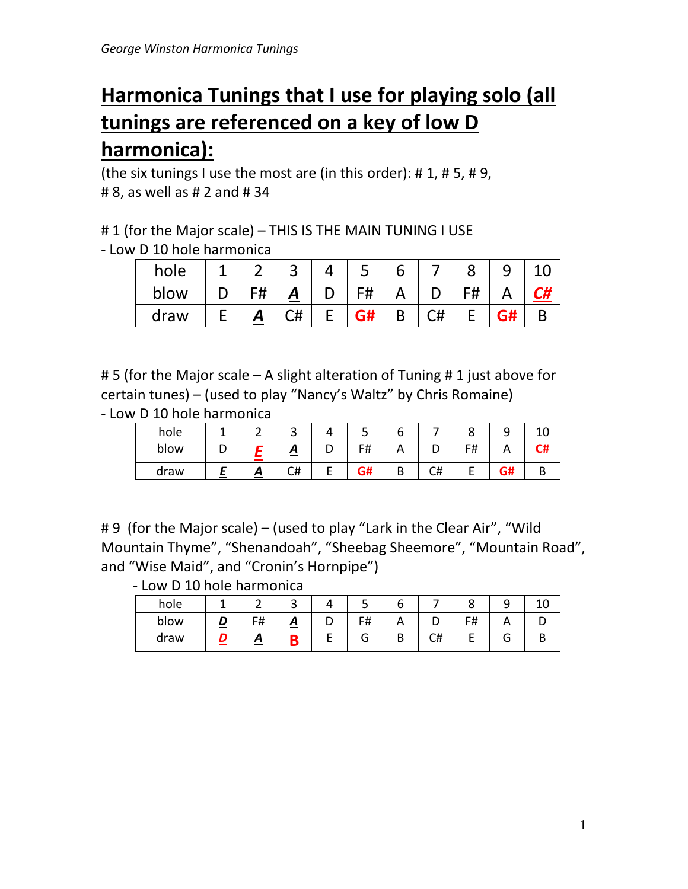# **Harmonica Tunings that I use for playing solo (all tunings are referenced on a key of low D harmonica):**

(the six tunings I use the most are (in this order):  $\# 1$ ,  $\# 5$ ,  $\# 9$ , # 8, as well as # 2 and # 34

# 1 (for the Major scale) – THIS IS THE MAIN TUNING I USE

- Low D 10 hole harmonica

| hole |    | ت        |    |    |    |  |
|------|----|----------|----|----|----|--|
| blow | F# | <u>А</u> | F# |    | F# |  |
| draw | A  | C#       |    | C# |    |  |

# 5 (for the Major scale – A slight alteration of Tuning # 1 just above for certain tunes) – (used to play "Nancy's Waltz" by Chris Romaine)

- Low D 10 hole harmonica

| hole |   | ٮ  |   | ٮ  |    |                       |    |             |
|------|---|----|---|----|----|-----------------------|----|-------------|
| blow |   | ≏  | ◡ | F# |    | F#<br>ı <del>11</del> |    | - 20.<br>₩П |
| draw | σ | C# |   | G# | C# |                       | G# |             |

# 9 (for the Major scale) – (used to play "Lark in the Clear Air", "Wild Mountain Thyme", "Shenandoah", "Sheebag Sheemore", "Mountain Road", and "Wise Maid", and "Cronin's Hornpipe")

- Low D 10 hole harmonica

| hole |    | ັ                 |   | ت          |   |    |    |        |  |
|------|----|-------------------|---|------------|---|----|----|--------|--|
| blow | F# | $\mathbf{\Gamma}$ | ◡ | ΓH<br>דד ו |   |    | F# |        |  |
| draw | ≏  |                   |   | G          | В | C# |    | ⌒<br>G |  |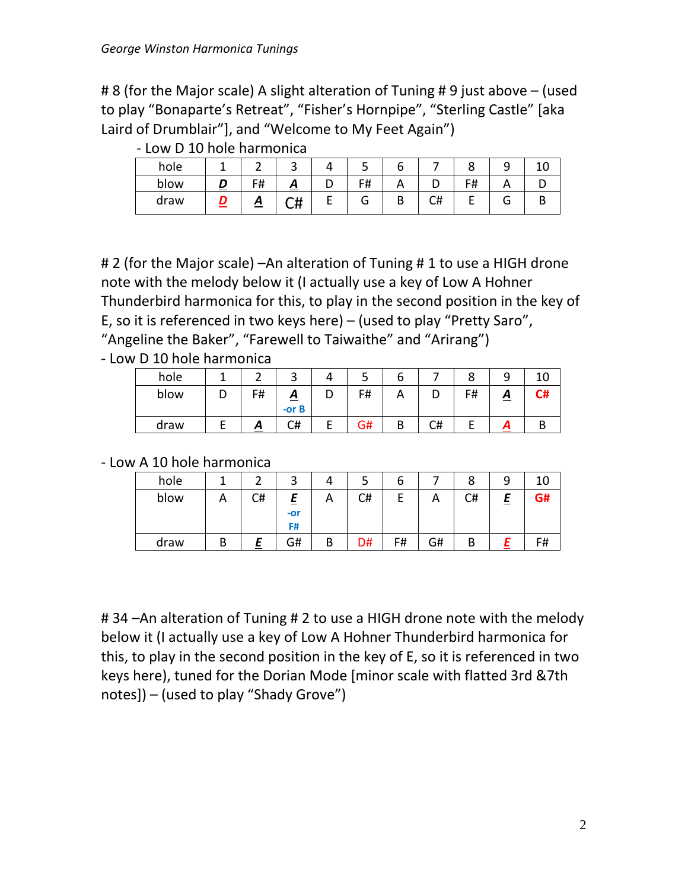# 8 (for the Major scale) A slight alteration of Tuning # 9 just above – (used to play "Bonaparte's Retreat", "Fisher's Hornpipe", "Sterling Castle" [aka Laird of Drumblair"], and "Welcome to My Feet Again")

| hole |    |    |   |    |   |    |    |   |  |
|------|----|----|---|----|---|----|----|---|--|
| blow | F# | Ξ  |   | F# |   |    | F# |   |  |
| draw | Ξ  | C# | ▃ | G  | В | C# |    | л |  |

- Low D 10 hole harmonica

# 2 (for the Major scale) –An alteration of Tuning # 1 to use a HIGH drone note with the melody below it (I actually use a key of Low A Hohner Thunderbird harmonica for this, to play in the second position in the key of E, so it is referenced in two keys here) – (used to play "Pretty Saro", "Angeline the Baker", "Farewell to Taiwaithe" and "Arirang")

- Low D 10 hole harmonica

| hole |    | ٮ                  |   | ت  |          |    | O  |   |    |
|------|----|--------------------|---|----|----------|----|----|---|----|
| blow | F# | Δ<br>Ξ<br>$-$ or B | ◡ | F# | <u>r</u> |    | F# | ≏ | C# |
| draw | A  | C#                 |   | G# | D<br>D   | C# |    | Л |    |

- Low A 10 hole harmonica

| hole |   |    | ┑                     |   | ت  | O  |    | 8  | a | 10 |
|------|---|----|-----------------------|---|----|----|----|----|---|----|
| blow | A | C# | Ε<br>=<br>$-0r$<br>F# | Α | C# |    |    | C# | = | G# |
| draw | D |    | G#                    | B | D# | F# | G# | В  |   | F# |

# 34 –An alteration of Tuning # 2 to use a HIGH drone note with the melody below it (I actually use a key of Low A Hohner Thunderbird harmonica for this, to play in the second position in the key of E, so it is referenced in two keys here), tuned for the Dorian Mode [minor scale with flatted 3rd &7th notes]) – (used to play "Shady Grove")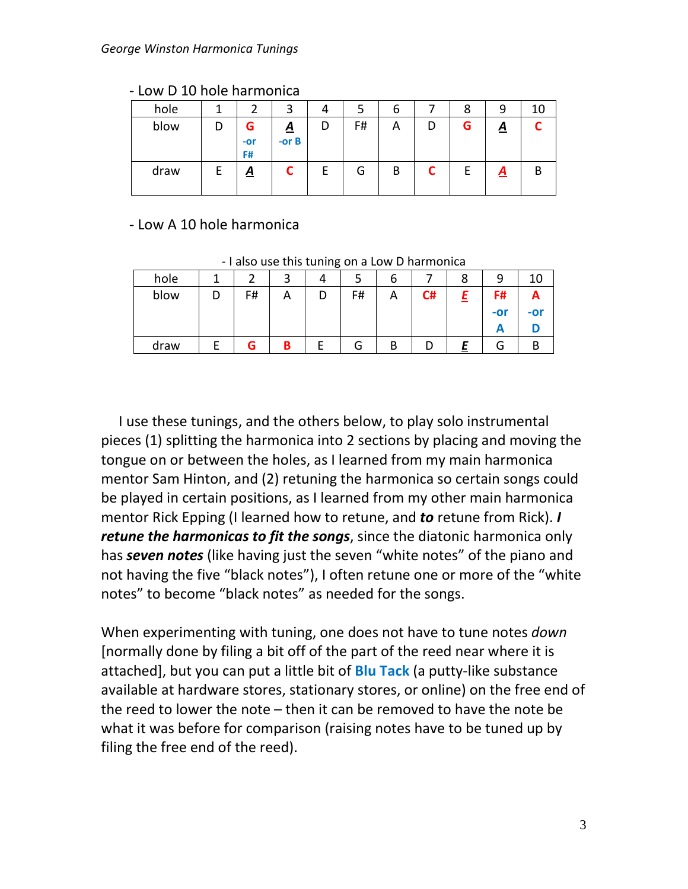| hole |                  | ີ                          |   |    | ь | Õ |          | 10 |
|------|------------------|----------------------------|---|----|---|---|----------|----|
| blow | G<br>$-0r$<br>F# | $\underline{A}$<br>-or $B$ | D | F# | A | G | <u>д</u> |    |
| draw | <u>A</u>         |                            |   | G  | B | E | A        | B  |

#### - Low D 10 hole harmonica

## - Low A 10 hole harmonica

- I also use this tuning on a Low D harmonica

| hole |    | ∽ |   |        | o |    |       | 10  |
|------|----|---|---|--------|---|----|-------|-----|
| blow | F# | Α | D | F#     | A | C# | F#    |     |
|      |    |   |   |        |   |    | $-0r$ | -or |
|      |    |   |   |        |   |    |       |     |
| draw | G  | B |   | -<br>G | В | υ  | л     | Ŋ   |

 I use these tunings, and the others below, to play solo instrumental pieces (1) splitting the harmonica into 2 sections by placing and moving the tongue on or between the holes, as I learned from my main harmonica mentor Sam Hinton, and (2) retuning the harmonica so certain songs could be played in certain positions, as I learned from my other main harmonica mentor Rick Epping (I learned how to retune, and *to* retune from Rick). *I retune the harmonicas to fit the songs*, since the diatonic harmonica only has *seven notes* (like having just the seven "white notes" of the piano and not having the five "black notes"), I often retune one or more of the "white notes" to become "black notes" as needed for the songs.

When experimenting with tuning, one does not have to tune notes *down* [normally done by filing a bit off of the part of the reed near where it is attached], but you can put a little bit of **Blu Tack** (a putty-like substance available at hardware stores, stationary stores, or online) on the free end of the reed to lower the note – then it can be removed to have the note be what it was before for comparison (raising notes have to be tuned up by filing the free end of the reed).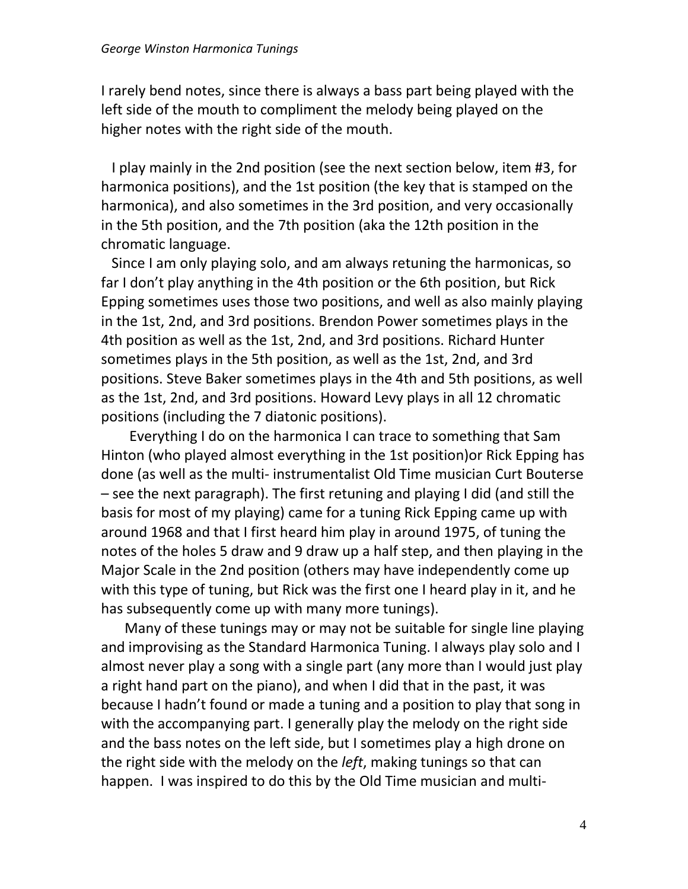I rarely bend notes, since there is always a bass part being played with the left side of the mouth to compliment the melody being played on the higher notes with the right side of the mouth.

 I play mainly in the 2nd position (see the next section below, item #3, for harmonica positions), and the 1st position (the key that is stamped on the harmonica), and also sometimes in the 3rd position, and very occasionally in the 5th position, and the 7th position (aka the 12th position in the chromatic language.

 Since I am only playing solo, and am always retuning the harmonicas, so far I don't play anything in the 4th position or the 6th position, but Rick Epping sometimes uses those two positions, and well as also mainly playing in the 1st, 2nd, and 3rd positions. Brendon Power sometimes plays in the 4th position as well as the 1st, 2nd, and 3rd positions. Richard Hunter sometimes plays in the 5th position, as well as the 1st, 2nd, and 3rd positions. Steve Baker sometimes plays in the 4th and 5th positions, as well as the 1st, 2nd, and 3rd positions. Howard Levy plays in all 12 chromatic positions (including the 7 diatonic positions).

 Everything I do on the harmonica I can trace to something that Sam Hinton (who played almost everything in the 1st position)or Rick Epping has done (as well as the multi- instrumentalist Old Time musician Curt Bouterse – see the next paragraph). The first retuning and playing I did (and still the basis for most of my playing) came for a tuning Rick Epping came up with around 1968 and that I first heard him play in around 1975, of tuning the notes of the holes 5 draw and 9 draw up a half step, and then playing in the Major Scale in the 2nd position (others may have independently come up with this type of tuning, but Rick was the first one I heard play in it, and he has subsequently come up with many more tunings).

Many of these tunings may or may not be suitable for single line playing and improvising as the Standard Harmonica Tuning. I always play solo and I almost never play a song with a single part (any more than I would just play a right hand part on the piano), and when I did that in the past, it was because I hadn't found or made a tuning and a position to play that song in with the accompanying part. I generally play the melody on the right side and the bass notes on the left side, but I sometimes play a high drone on the right side with the melody on the *left*, making tunings so that can happen. I was inspired to do this by the Old Time musician and multi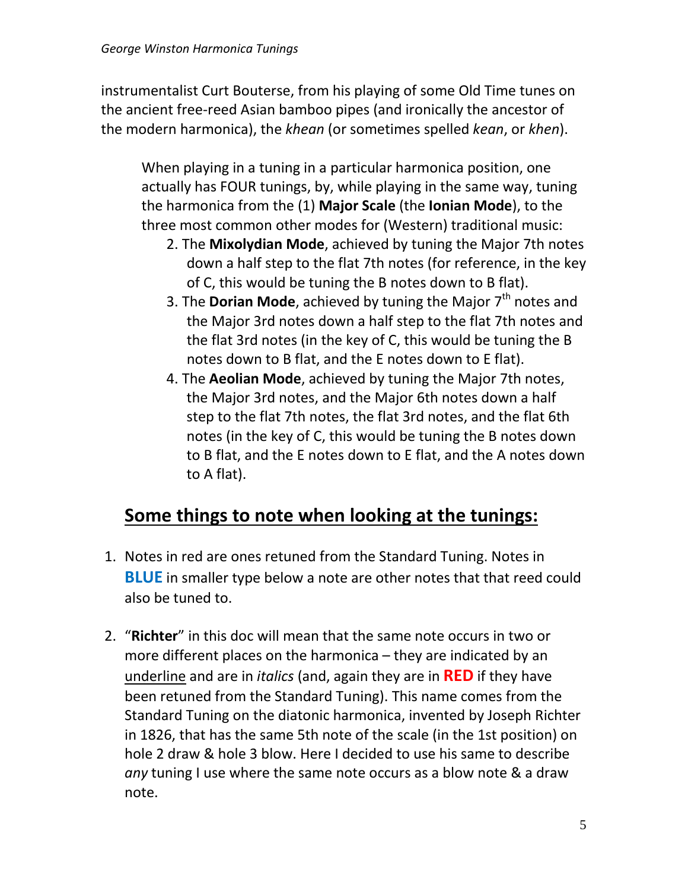instrumentalist Curt Bouterse, from his playing of some Old Time tunes on the ancient free-reed Asian bamboo pipes (and ironically the ancestor of the modern harmonica), the *khean* (or sometimes spelled *kean*, or *khen*).

When playing in a tuning in a particular harmonica position, one actually has FOUR tunings, by, while playing in the same way, tuning the harmonica from the (1) **Major Scale** (the **Ionian Mode**), to the three most common other modes for (Western) traditional music:

- 2. The **Mixolydian Mode**, achieved by tuning the Major 7th notes down a half step to the flat 7th notes (for reference, in the key of C, this would be tuning the B notes down to B flat).
- 3. The **Dorian Mode**, achieved by tuning the Major 7<sup>th</sup> notes and the Major 3rd notes down a half step to the flat 7th notes and the flat 3rd notes (in the key of C, this would be tuning the B notes down to B flat, and the E notes down to E flat).
- 4. The **Aeolian Mode**, achieved by tuning the Major 7th notes, the Major 3rd notes, and the Major 6th notes down a half step to the flat 7th notes, the flat 3rd notes, and the flat 6th notes (in the key of C, this would be tuning the B notes down to B flat, and the E notes down to E flat, and the A notes down to A flat).

# **Some things to note when looking at the tunings:**

- 1. Notes in red are ones retuned from the Standard Tuning. Notes in **BLUE** in smaller type below a note are other notes that that reed could also be tuned to.
- 2. "**Richter**" in this doc will mean that the same note occurs in two or more different places on the harmonica – they are indicated by an underline and are in *italics* (and, again they are in **RED** if they have been retuned from the Standard Tuning). This name comes from the Standard Tuning on the diatonic harmonica, invented by Joseph Richter in 1826, that has the same 5th note of the scale (in the 1st position) on hole 2 draw & hole 3 blow. Here I decided to use his same to describe *any* tuning I use where the same note occurs as a blow note & a draw note.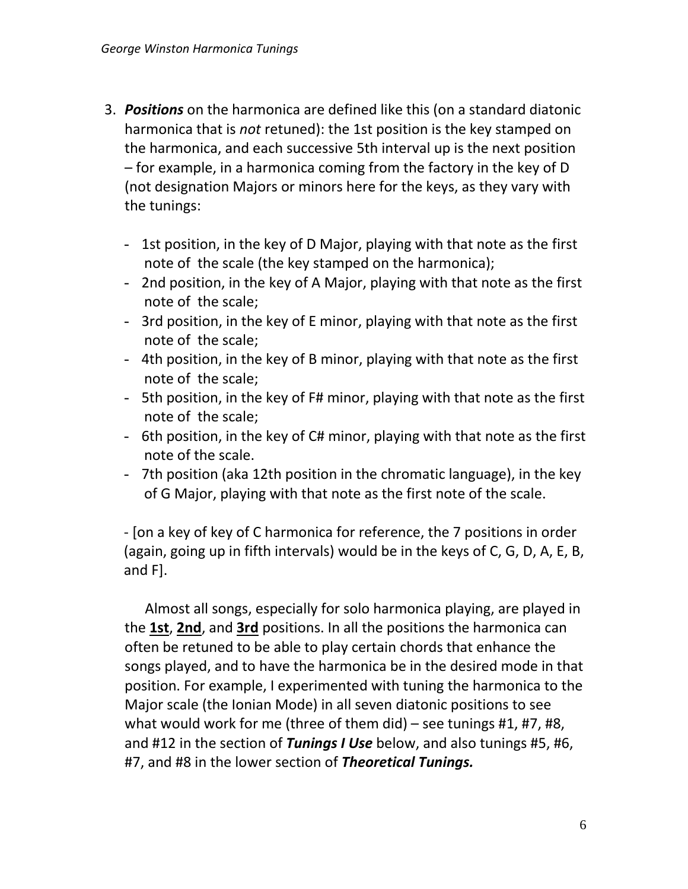- 3. *Positions* on the harmonica are defined like this (on a standard diatonic harmonica that is *not* retuned): the 1st position is the key stamped on the harmonica, and each successive 5th interval up is the next position – for example, in a harmonica coming from the factory in the key of D (not designation Majors or minors here for the keys, as they vary with the tunings:
	- 1st position, in the key of D Major, playing with that note as the first note of the scale (the key stamped on the harmonica);
	- 2nd position, in the key of A Major, playing with that note as the first note of the scale;
	- 3rd position, in the key of E minor, playing with that note as the first note of the scale;
	- 4th position, in the key of B minor, playing with that note as the first note of the scale;
	- 5th position, in the key of F# minor, playing with that note as the first note of the scale;
	- 6th position, in the key of C# minor, playing with that note as the first note of the scale.
	- 7th position (aka 12th position in the chromatic language), in the key of G Major, playing with that note as the first note of the scale.

- [on a key of key of C harmonica for reference, the 7 positions in order (again, going up in fifth intervals) would be in the keys of C, G, D, A, E, B, and F].

Almost all songs, especially for solo harmonica playing, are played in the **1st**, **2nd**, and **3rd** positions. In all the positions the harmonica can often be retuned to be able to play certain chords that enhance the songs played, and to have the harmonica be in the desired mode in that position. For example, I experimented with tuning the harmonica to the Major scale (the Ionian Mode) in all seven diatonic positions to see what would work for me (three of them did) – see tunings #1, #7, #8, and #12 in the section of *Tunings I Use* below, and also tunings #5, #6, #7, and #8 in the lower section of *Theoretical Tunings.*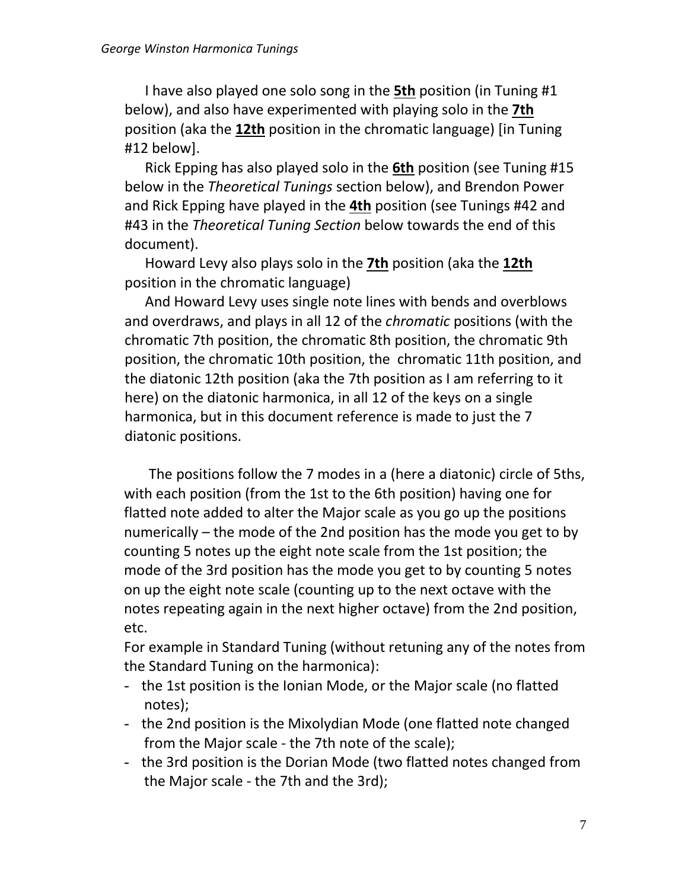I have also played one solo song in the **5th** position (in Tuning #1 below), and also have experimented with playing solo in the **7th** position (aka the **12th** position in the chromatic language) [in Tuning #12 below].

Rick Epping has also played solo in the **6th** position (see Tuning #15 below in the *Theoretical Tunings* section below), and Brendon Power and Rick Epping have played in the **4th** position (see Tunings #42 and #43 in the *Theoretical Tuning Section* below towards the end of this document).

Howard Levy also plays solo in the **7th** position (aka the **12th** position in the chromatic language)

And Howard Levy uses single note lines with bends and overblows and overdraws, and plays in all 12 of the *chromatic* positions (with the chromatic 7th position, the chromatic 8th position, the chromatic 9th position, the chromatic 10th position, the chromatic 11th position, and the diatonic 12th position (aka the 7th position as I am referring to it here) on the diatonic harmonica, in all 12 of the keys on a single harmonica, but in this document reference is made to just the 7 diatonic positions.

 The positions follow the 7 modes in a (here a diatonic) circle of 5ths, with each position (from the 1st to the 6th position) having one for flatted note added to alter the Major scale as you go up the positions numerically – the mode of the 2nd position has the mode you get to by counting 5 notes up the eight note scale from the 1st position; the mode of the 3rd position has the mode you get to by counting 5 notes on up the eight note scale (counting up to the next octave with the notes repeating again in the next higher octave) from the 2nd position, etc.

For example in Standard Tuning (without retuning any of the notes from the Standard Tuning on the harmonica):

- the 1st position is the Ionian Mode, or the Major scale (no flatted notes);
- the 2nd position is the Mixolydian Mode (one flatted note changed from the Major scale - the 7th note of the scale);
- the 3rd position is the Dorian Mode (two flatted notes changed from the Major scale - the 7th and the 3rd);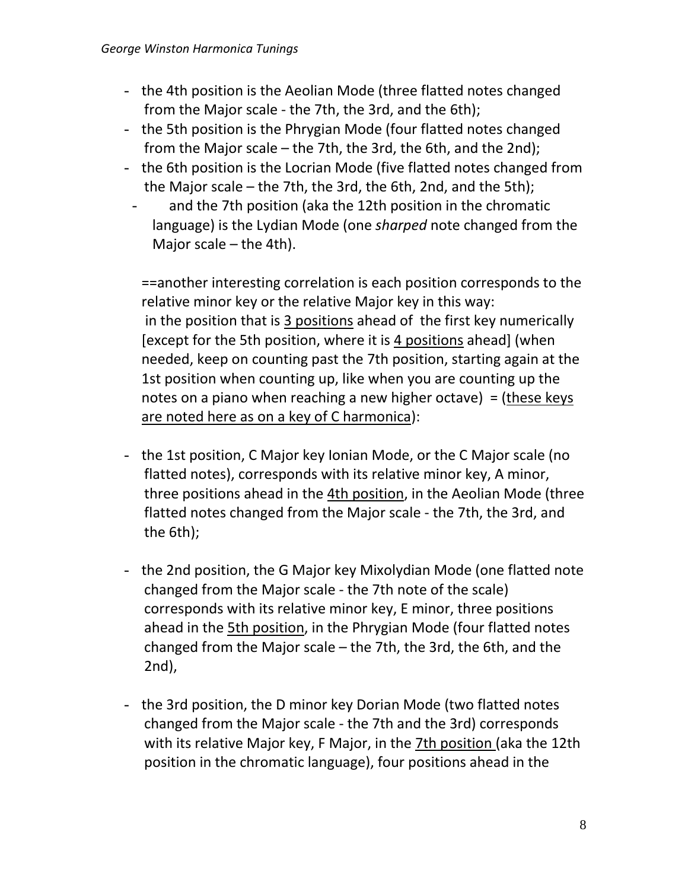- the 4th position is the Aeolian Mode (three flatted notes changed from the Major scale - the 7th, the 3rd, and the 6th);
- the 5th position is the Phrygian Mode (four flatted notes changed from the Major scale – the 7th, the 3rd, the 6th, and the 2nd);
- the 6th position is the Locrian Mode (five flatted notes changed from the Major scale – the 7th, the 3rd, the 6th, 2nd, and the 5th);
- and the 7th position (aka the 12th position in the chromatic language) is the Lydian Mode (one *sharped* note changed from the Major scale – the 4th).

==another interesting correlation is each position corresponds to the relative minor key or the relative Major key in this way: in the position that is 3 positions ahead of the first key numerically [except for the 5th position, where it is 4 positions ahead] (when needed, keep on counting past the 7th position, starting again at the 1st position when counting up, like when you are counting up the notes on a piano when reaching a new higher octave) = (these keys are noted here as on a key of C harmonica):

- the 1st position, C Major key Ionian Mode, or the C Major scale (no flatted notes), corresponds with its relative minor key, A minor, three positions ahead in the 4th position, in the Aeolian Mode (three flatted notes changed from the Major scale - the 7th, the 3rd, and the 6th);
- the 2nd position, the G Major key Mixolydian Mode (one flatted note changed from the Major scale - the 7th note of the scale) corresponds with its relative minor key, E minor, three positions ahead in the *5th position*, in the Phrygian Mode (four flatted notes changed from the Major scale – the 7th, the 3rd, the 6th, and the 2nd),
- the 3rd position, the D minor key Dorian Mode (two flatted notes changed from the Major scale - the 7th and the 3rd) corresponds with its relative Major key, F Major, in the 7th position (aka the 12th position in the chromatic language), four positions ahead in the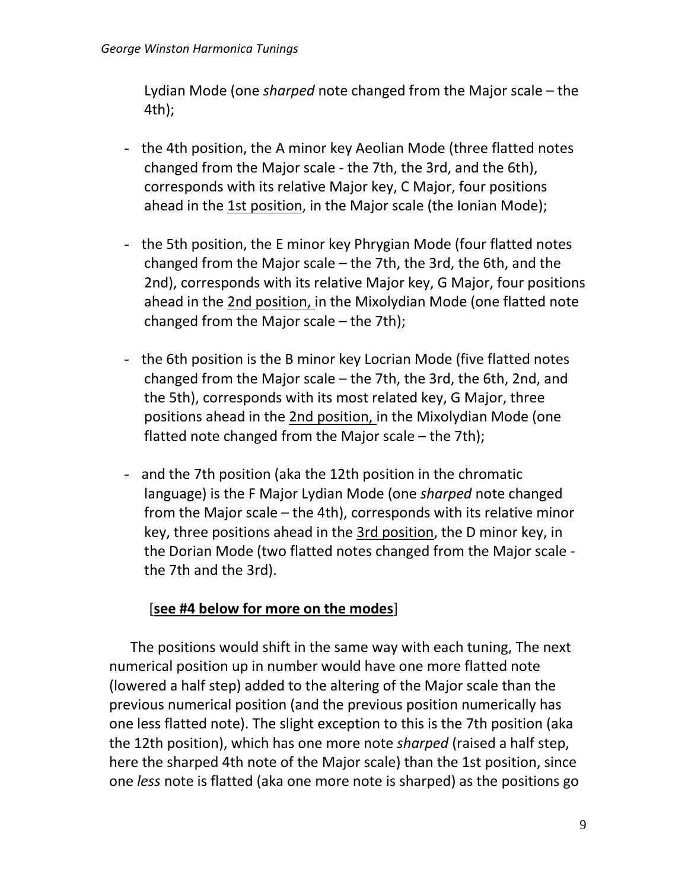Lydian Mode (one *sharped* note changed from the Major scale – the 4th);

- the 4th position, the A minor key Aeolian Mode (three flatted notes changed from the Major scale - the 7th, the 3rd, and the 6th), corresponds with its relative Major key, C Major, four positions ahead in the 1st position, in the Major scale (the Ionian Mode);
- the 5th position, the E minor key Phrygian Mode (four flatted notes changed from the Major scale – the 7th, the 3rd, the 6th, and the 2nd), corresponds with its relative Major key, G Major, four positions ahead in the 2nd position, in the Mixolydian Mode (one flatted note changed from the Major scale – the 7th);
- the 6th position is the B minor key Locrian Mode (five flatted notes changed from the Major scale – the 7th, the 3rd, the 6th, 2nd, and the 5th), corresponds with its most related key, G Major, three positions ahead in the 2nd position, in the Mixolydian Mode (one flatted note changed from the Major scale – the 7th);
- and the 7th position (aka the 12th position in the chromatic language) is the F Major Lydian Mode (one *sharped* note changed from the Major scale – the 4th), corresponds with its relative minor key, three positions ahead in the 3rd position, the D minor key, in the Dorian Mode (two flatted notes changed from the Major scale the 7th and the 3rd).

## [**see #4 below for more on the modes**]

 The positions would shift in the same way with each tuning, The next numerical position up in number would have one more flatted note (lowered a half step) added to the altering of the Major scale than the previous numerical position (and the previous position numerically has one less flatted note). The slight exception to this is the 7th position (aka the 12th position), which has one more note *sharped* (raised a half step, here the sharped 4th note of the Major scale) than the 1st position, since one *less* note is flatted (aka one more note is sharped) as the positions go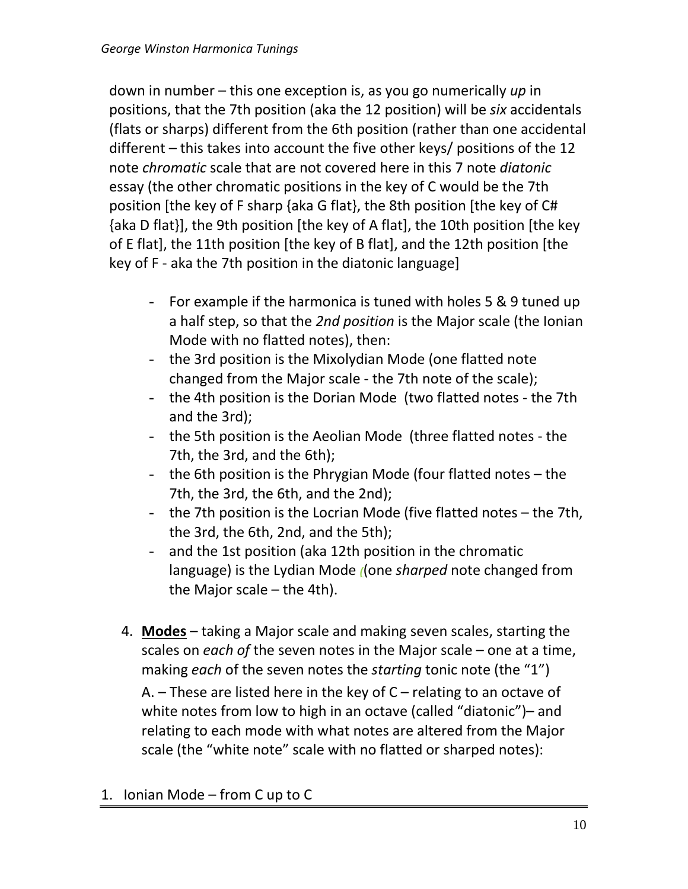down in number – this one exception is, as you go numerically *up* in positions, that the 7th position (aka the 12 position) will be *six* accidentals (flats or sharps) different from the 6th position (rather than one accidental different – this takes into account the five other keys/ positions of the 12 note *chromatic* scale that are not covered here in this 7 note *diatonic* essay (the other chromatic positions in the key of C would be the 7th position [the key of F sharp {aka G flat}, the 8th position [the key of C# {aka D flat}], the 9th position [the key of A flat], the 10th position [the key of E flat], the 11th position [the key of B flat], and the 12th position [the key of F - aka the 7th position in the diatonic language]

- For example if the harmonica is tuned with holes 5 & 9 tuned up a half step, so that the *2nd position* is the Major scale (the Ionian Mode with no flatted notes), then:
- the 3rd position is the Mixolydian Mode (one flatted note changed from the Major scale - the 7th note of the scale);
- the 4th position is the Dorian Mode (two flatted notes the 7th and the 3rd);
- the 5th position is the Aeolian Mode (three flatted notes the 7th, the 3rd, and the 6th);
- the 6th position is the Phrygian Mode (four flatted notes the 7th, the 3rd, the 6th, and the 2nd);
- the 7th position is the Locrian Mode (five flatted notes the 7th, the 3rd, the 6th, 2nd, and the 5th);
- and the 1st position (aka 12th position in the chromatic language) is the Lydian Mode *(*(one *sharped* note changed from the Major scale – the 4th).
- 4. **Modes** taking a Major scale and making seven scales, starting the scales on *each of* the seven notes in the Major scale – one at a time, making *each* of the seven notes the *starting* tonic note (the "1")

A.  $-$  These are listed here in the key of  $C$  – relating to an octave of white notes from low to high in an octave (called "diatonic")– and relating to each mode with what notes are altered from the Major scale (the "white note" scale with no flatted or sharped notes):

1. Ionian Mode – from C up to C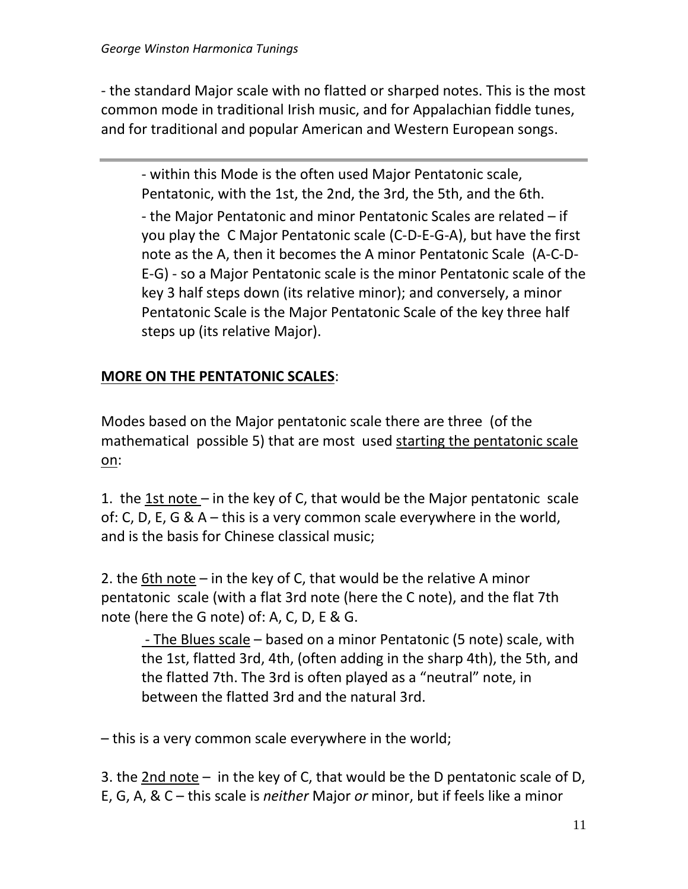- the standard Major scale with no flatted or sharped notes. This is the most common mode in traditional Irish music, and for Appalachian fiddle tunes, and for traditional and popular American and Western European songs.

- within this Mode is the often used Major Pentatonic scale, Pentatonic, with the 1st, the 2nd, the 3rd, the 5th, and the 6th. - the Major Pentatonic and minor Pentatonic Scales are related – if you play the C Major Pentatonic scale (C-D-E-G-A), but have the first note as the A, then it becomes the A minor Pentatonic Scale (A-C-D-E-G) - so a Major Pentatonic scale is the minor Pentatonic scale of the key 3 half steps down (its relative minor); and conversely, a minor Pentatonic Scale is the Major Pentatonic Scale of the key three half steps up (its relative Major).

## **MORE ON THE PENTATONIC SCALES**:

Modes based on the Major pentatonic scale there are three (of the mathematical possible 5) that are most used starting the pentatonic scale on:

1. the  $1st$  note – in the key of C, that would be the Major pentatonic scale of: C, D, E, G & A – this is a very common scale everywhere in the world, and is the basis for Chinese classical music;

2. the 6th note – in the key of C, that would be the relative A minor pentatonic scale (with a flat 3rd note (here the C note), and the flat 7th note (here the G note) of: A, C, D, E & G.

- The Blues scale – based on a minor Pentatonic (5 note) scale, with the 1st, flatted 3rd, 4th, (often adding in the sharp 4th), the 5th, and the flatted 7th. The 3rd is often played as a "neutral" note, in between the flatted 3rd and the natural 3rd.

– this is a very common scale everywhere in the world;

3. the 2nd note – in the key of C, that would be the D pentatonic scale of D, E, G, A, & C – this scale is *neither* Major *or* minor, but if feels like a minor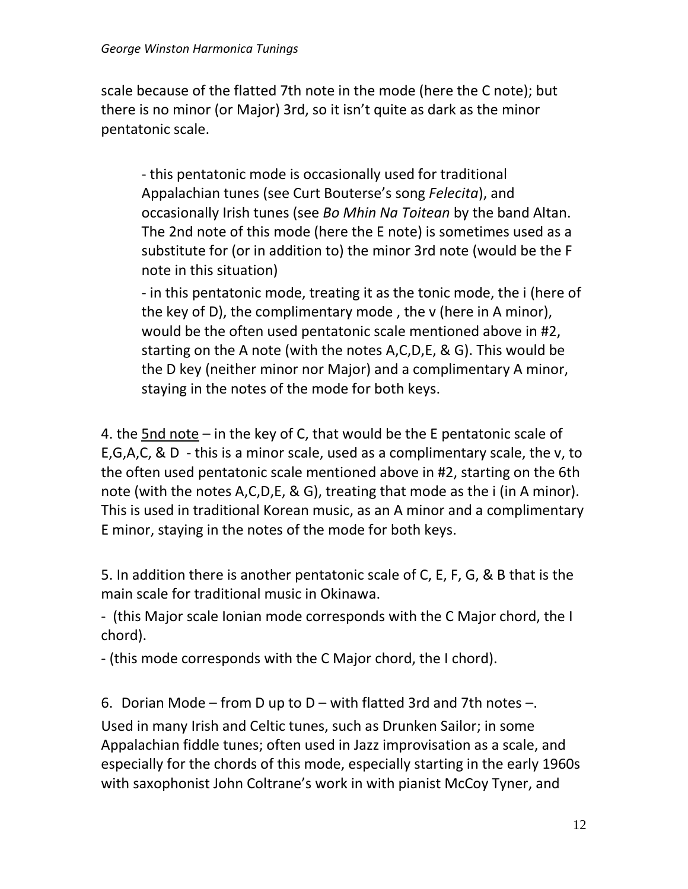scale because of the flatted 7th note in the mode (here the C note); but there is no minor (or Major) 3rd, so it isn't quite as dark as the minor pentatonic scale.

- this pentatonic mode is occasionally used for traditional Appalachian tunes (see Curt Bouterse's song *Felecita*), and occasionally Irish tunes (see *Bo Mhin Na Toitean* by the band Altan. The 2nd note of this mode (here the E note) is sometimes used as a substitute for (or in addition to) the minor 3rd note (would be the F note in this situation)

- in this pentatonic mode, treating it as the tonic mode, the i (here of the key of D), the complimentary mode , the v (here in A minor), would be the often used pentatonic scale mentioned above in #2, starting on the A note (with the notes A,C,D,E, & G). This would be the D key (neither minor nor Major) and a complimentary A minor, staying in the notes of the mode for both keys.

4. the 5nd note – in the key of C, that would be the E pentatonic scale of E,G,A,C, & D - this is a minor scale, used as a complimentary scale, the v, to the often used pentatonic scale mentioned above in #2, starting on the 6th note (with the notes A,C,D,E, & G), treating that mode as the i (in A minor). This is used in traditional Korean music, as an A minor and a complimentary E minor, staying in the notes of the mode for both keys.

5. In addition there is another pentatonic scale of C, E, F, G, & B that is the main scale for traditional music in Okinawa.

- (this Major scale Ionian mode corresponds with the C Major chord, the I chord).

- (this mode corresponds with the C Major chord, the I chord).

6. Dorian Mode – from D up to  $D$  – with flatted 3rd and 7th notes –.

Used in many Irish and Celtic tunes, such as Drunken Sailor; in some Appalachian fiddle tunes; often used in Jazz improvisation as a scale, and especially for the chords of this mode, especially starting in the early 1960s with saxophonist John Coltrane's work in with pianist McCoy Tyner, and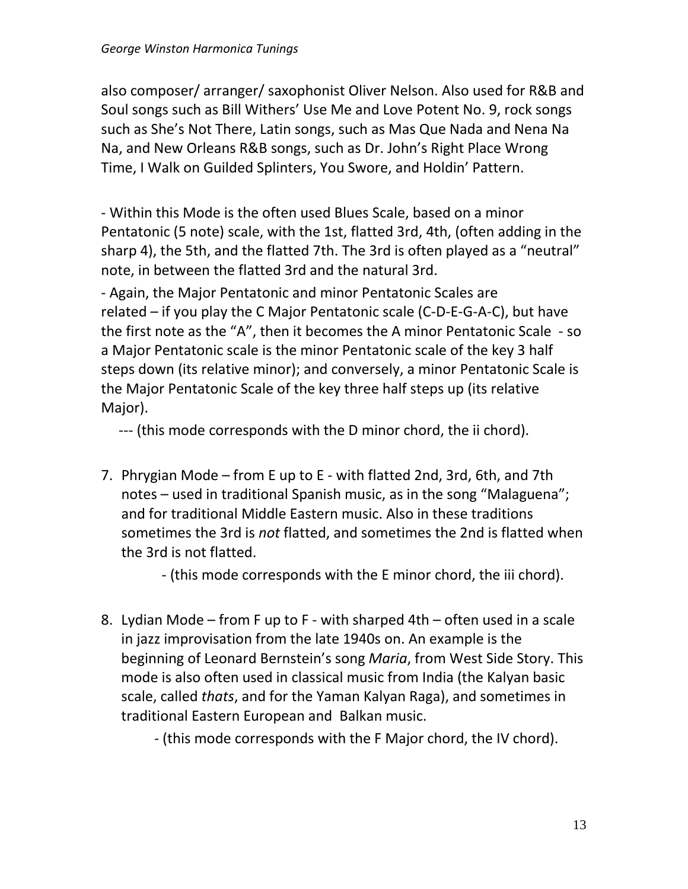also composer/ arranger/ saxophonist Oliver Nelson. Also used for R&B and Soul songs such as Bill Withers' Use Me and Love Potent No. 9, rock songs such as She's Not There, Latin songs, such as Mas Que Nada and Nena Na Na, and New Orleans R&B songs, such as Dr. John's Right Place Wrong Time, I Walk on Guilded Splinters, You Swore, and Holdin' Pattern.

- Within this Mode is the often used Blues Scale, based on a minor Pentatonic (5 note) scale, with the 1st, flatted 3rd, 4th, (often adding in the sharp 4), the 5th, and the flatted 7th. The 3rd is often played as a "neutral" note, in between the flatted 3rd and the natural 3rd.

- Again, the Major Pentatonic and minor Pentatonic Scales are related – if you play the C Major Pentatonic scale (C-D-E-G-A-C), but have the first note as the "A", then it becomes the A minor Pentatonic Scale - so a Major Pentatonic scale is the minor Pentatonic scale of the key 3 half steps down (its relative minor); and conversely, a minor Pentatonic Scale is the Major Pentatonic Scale of the key three half steps up (its relative Major).

--- (this mode corresponds with the D minor chord, the ii chord).

7. Phrygian Mode – from E up to E - with flatted 2nd, 3rd, 6th, and 7th notes – used in traditional Spanish music, as in the song "Malaguena"; and for traditional Middle Eastern music. Also in these traditions sometimes the 3rd is *not* flatted, and sometimes the 2nd is flatted when the 3rd is not flatted.

- (this mode corresponds with the E minor chord, the iii chord).

8. Lydian Mode – from F up to F - with sharped 4th – often used in a scale in jazz improvisation from the late 1940s on. An example is the beginning of Leonard Bernstein's song *Maria*, from West Side Story. This mode is also often used in classical music from India (the Kalyan basic scale, called *thats*, and for the Yaman Kalyan Raga), and sometimes in traditional Eastern European and Balkan music.

- (this mode corresponds with the F Major chord, the IV chord).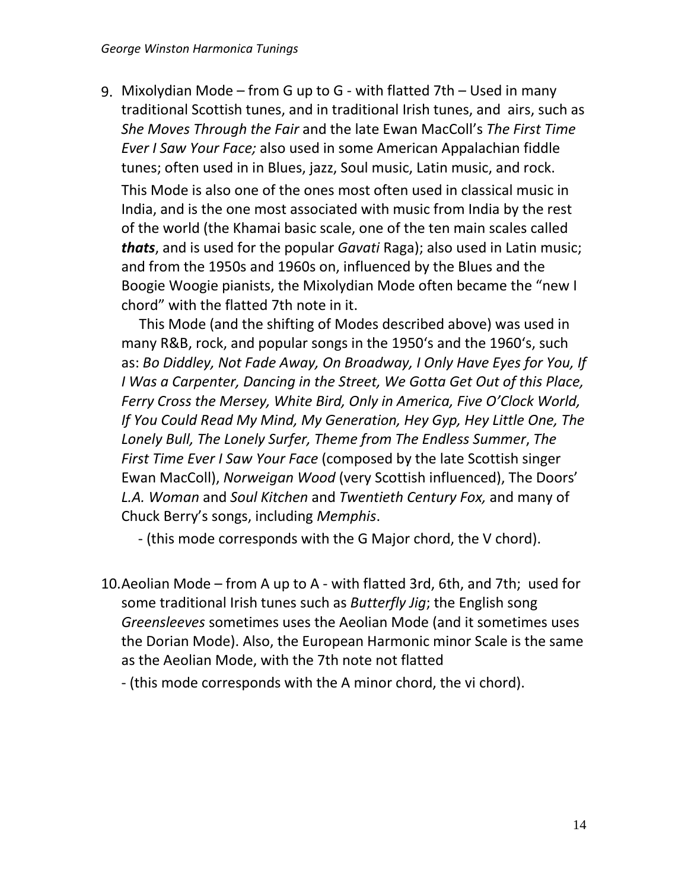9. Mixolydian Mode – from G up to G - with flatted 7th – Used in many traditional Scottish tunes, and in traditional Irish tunes, and airs, such as *She Moves Through the Fair* and the late Ewan MacColl's *The First Time Ever I Saw Your Face;* also used in some American Appalachian fiddle tunes; often used in in Blues, jazz, Soul music, Latin music, and rock.

This Mode is also one of the ones most often used in classical music in India, and is the one most associated with music from India by the rest of the world (the Khamai basic scale, one of the ten main scales called *thats*, and is used for the popular *Gavati* Raga); also used in Latin music; and from the 1950s and 1960s on, influenced by the Blues and the Boogie Woogie pianists, the Mixolydian Mode often became the "new I chord" with the flatted 7th note in it.

 This Mode (and the shifting of Modes described above) was used in many R&B, rock, and popular songs in the 1950ʻs and the 1960ʻs, such as: *Bo Diddley, Not Fade Away, On Broadway, I Only Have Eyes for You, If I Was a Carpenter, Dancing in the Street, We Gotta Get Out of this Place, Ferry Cross the Mersey, White Bird, Only in America, Five O'Clock World, If You Could Read My Mind, My Generation, Hey Gyp, Hey Little One, The Lonely Bull, The Lonely Surfer, Theme from The Endless Summer*, *The First Time Ever I Saw Your Face* (composed by the late Scottish singer Ewan MacColl), *Norweigan Wood* (very Scottish influenced), The Doors' *L.A. Woman* and *Soul Kitchen* and *Twentieth Century Fox,* and many of Chuck Berry's songs, including *Memphis*.

- (this mode corresponds with the G Major chord, the V chord).

10.Aeolian Mode – from A up to A - with flatted 3rd, 6th, and 7th; used for some traditional Irish tunes such as *Butterfly Jig*; the English song *Greensleeves* sometimes uses the Aeolian Mode (and it sometimes uses the Dorian Mode). Also, the European Harmonic minor Scale is the same as the Aeolian Mode, with the 7th note not flatted

- (this mode corresponds with the A minor chord, the vi chord).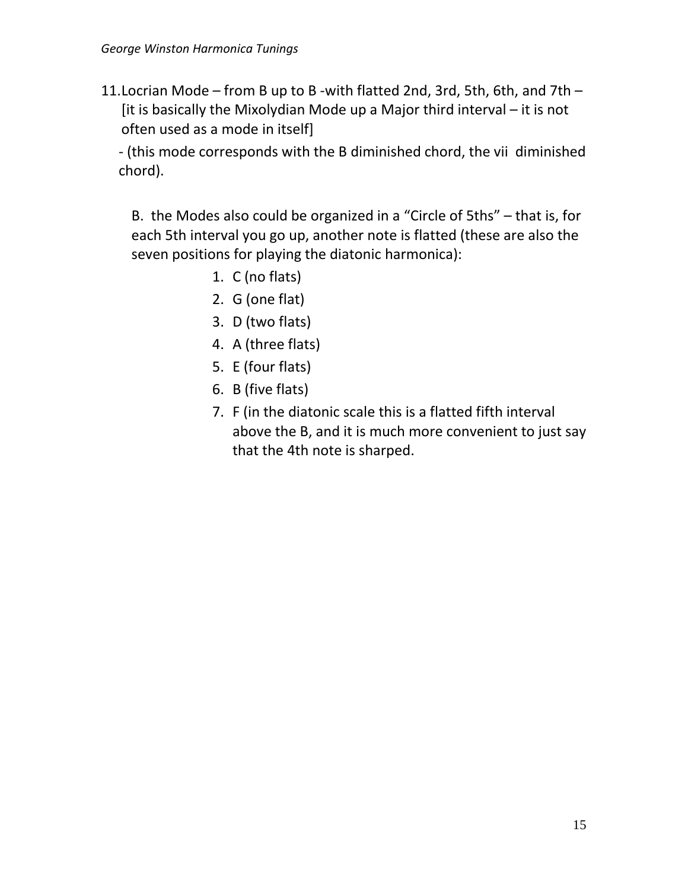11.Locrian Mode – from B up to B -with flatted 2nd, 3rd, 5th, 6th, and 7th – [it is basically the Mixolydian Mode up a Major third interval – it is not often used as a mode in itself]

- (this mode corresponds with the B diminished chord, the vii diminished chord).

B. the Modes also could be organized in a "Circle of 5ths" – that is, for each 5th interval you go up, another note is flatted (these are also the seven positions for playing the diatonic harmonica):

- 1. C (no flats)
- 2. G (one flat)
- 3. D (two flats)
- 4. A (three flats)
- 5. E (four flats)
- 6. B (five flats)
- 7. F (in the diatonic scale this is a flatted fifth interval above the B, and it is much more convenient to just say that the 4th note is sharped.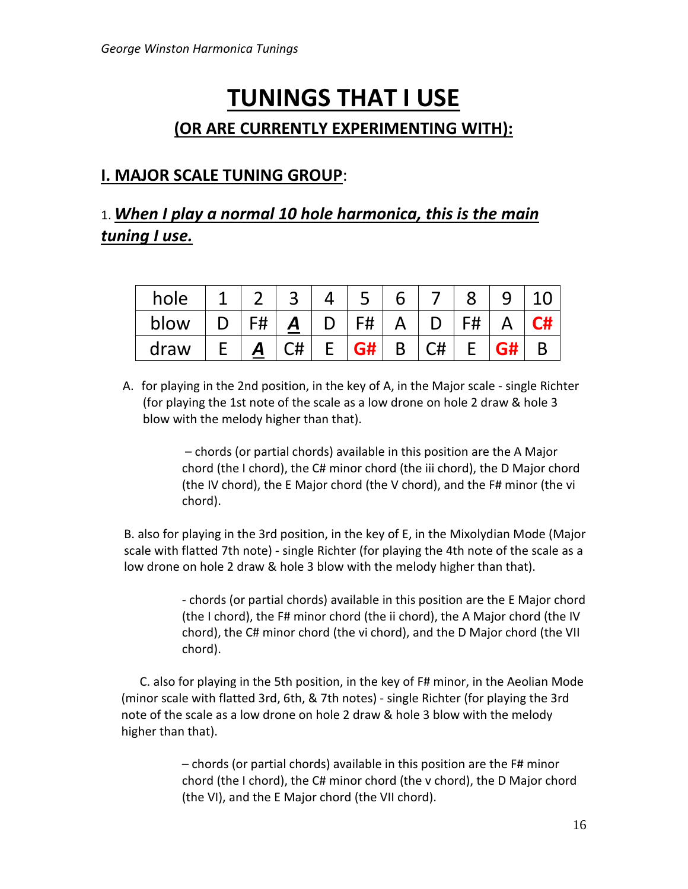# **TUNINGS THAT I USE (OR ARE CURRENTLY EXPERIMENTING WITH):**

## **I. MAJOR SCALE TUNING GROUP**:

# 1. *When I play a normal 10 hole harmonica, this is the main tuning I use.*

| hole |    |    |           |   |                                              |    |    |    |
|------|----|----|-----------|---|----------------------------------------------|----|----|----|
| blow | F# | A  | F#        |   |                                              | F# |    | C# |
| draw |    | C# | <b>G#</b> | B | $\overline{C}$ $\overline{C}$ $\overline{H}$ |    | G# |    |

A. for playing in the 2nd position, in the key of A, in the Major scale - single Richter (for playing the 1st note of the scale as a low drone on hole 2 draw & hole 3 blow with the melody higher than that).

> – chords (or partial chords) available in this position are the A Major chord (the I chord), the C# minor chord (the iii chord), the D Major chord (the IV chord), the E Major chord (the V chord), and the F# minor (the vi chord).

B. also for playing in the 3rd position, in the key of E, in the Mixolydian Mode (Major scale with flatted 7th note) - single Richter (for playing the 4th note of the scale as a low drone on hole 2 draw & hole 3 blow with the melody higher than that).

> - chords (or partial chords) available in this position are the E Major chord (the I chord), the F# minor chord (the ii chord), the A Major chord (the IV chord), the C# minor chord (the vi chord), and the D Major chord (the VII chord).

 C. also for playing in the 5th position, in the key of F# minor, in the Aeolian Mode (minor scale with flatted 3rd, 6th, & 7th notes) - single Richter (for playing the 3rd note of the scale as a low drone on hole 2 draw & hole 3 blow with the melody higher than that).

> – chords (or partial chords) available in this position are the F# minor chord (the I chord), the C# minor chord (the v chord), the D Major chord (the VI), and the E Major chord (the VII chord).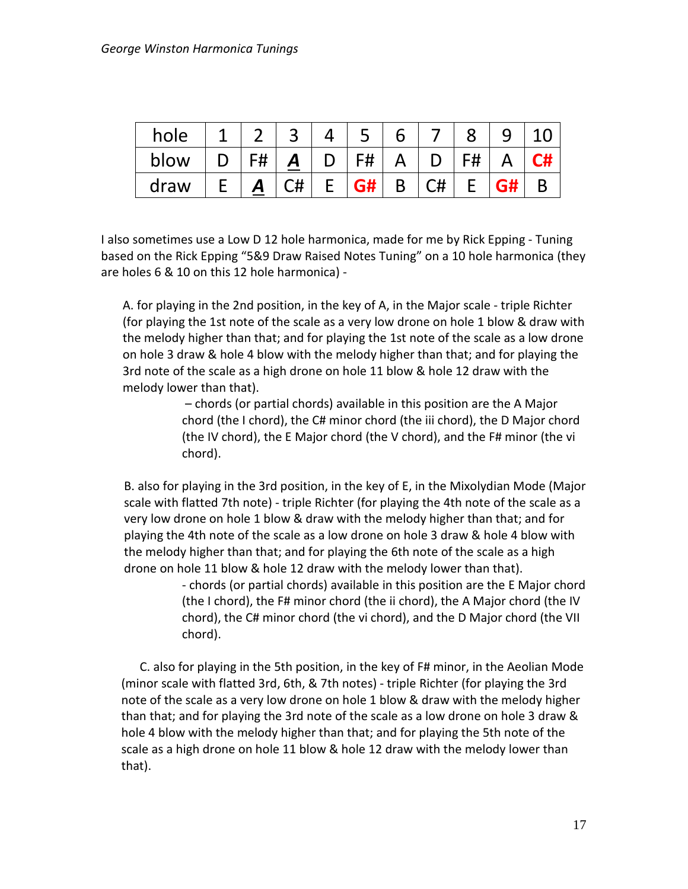| hole |    |    |           |          |               |    |    |
|------|----|----|-----------|----------|---------------|----|----|
| blow | F# | Α  | F#        | $\Delta$ | $\mathbf{D}$  | F# | C# |
| draw | A  | C# | <b>G#</b> | B        | $\mathsf{C#}$ |    |    |

I also sometimes use a Low D 12 hole harmonica, made for me by Rick Epping - Tuning based on the Rick Epping "5&9 Draw Raised Notes Tuning" on a 10 hole harmonica (they are holes 6 & 10 on this 12 hole harmonica) -

A. for playing in the 2nd position, in the key of A, in the Major scale - triple Richter (for playing the 1st note of the scale as a very low drone on hole 1 blow & draw with the melody higher than that; and for playing the 1st note of the scale as a low drone on hole 3 draw & hole 4 blow with the melody higher than that; and for playing the 3rd note of the scale as a high drone on hole 11 blow & hole 12 draw with the melody lower than that).

> – chords (or partial chords) available in this position are the A Major chord (the I chord), the C# minor chord (the iii chord), the D Major chord (the IV chord), the E Major chord (the V chord), and the F# minor (the vi chord).

B. also for playing in the 3rd position, in the key of E, in the Mixolydian Mode (Major scale with flatted 7th note) - triple Richter (for playing the 4th note of the scale as a very low drone on hole 1 blow & draw with the melody higher than that; and for playing the 4th note of the scale as a low drone on hole 3 draw & hole 4 blow with the melody higher than that; and for playing the 6th note of the scale as a high drone on hole 11 blow & hole 12 draw with the melody lower than that).

> - chords (or partial chords) available in this position are the E Major chord (the I chord), the F# minor chord (the ii chord), the A Major chord (the IV chord), the C# minor chord (the vi chord), and the D Major chord (the VII chord).

 C. also for playing in the 5th position, in the key of F# minor, in the Aeolian Mode (minor scale with flatted 3rd, 6th, & 7th notes) - triple Richter (for playing the 3rd note of the scale as a very low drone on hole 1 blow & draw with the melody higher than that; and for playing the 3rd note of the scale as a low drone on hole 3 draw & hole 4 blow with the melody higher than that; and for playing the 5th note of the scale as a high drone on hole 11 blow & hole 12 draw with the melody lower than that).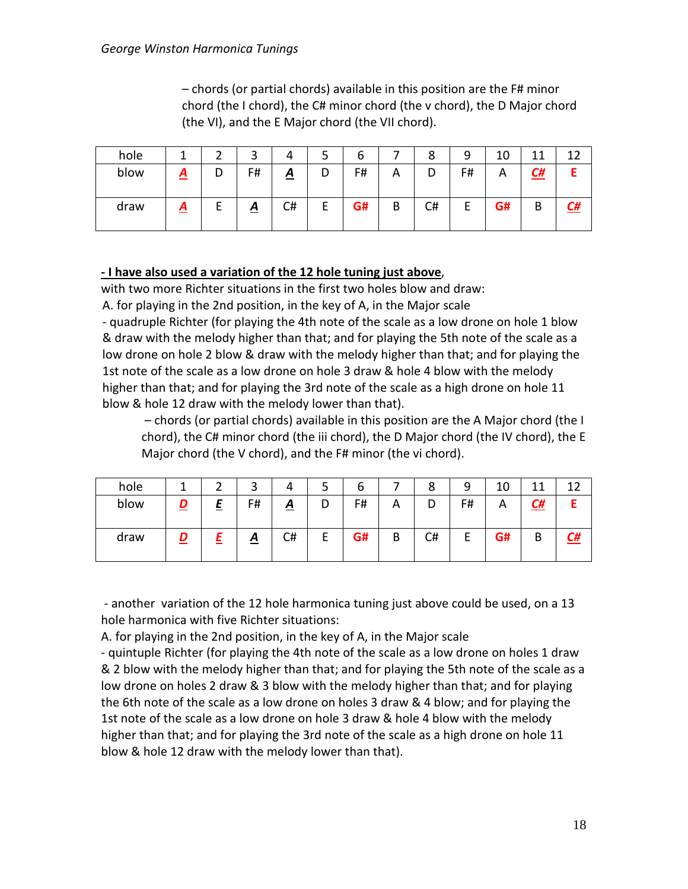– chords (or partial chords) available in this position are the F# minor chord (the I chord), the C# minor chord (the v chord), the D Major chord (the VI), and the E Major chord (the VII chord).

| hole |                 |   | ⌒<br>ر          |          | ٮ | o  |   | 8  | 9  | 10 | 11        | $\mathbf{1}$ |
|------|-----------------|---|-----------------|----------|---|----|---|----|----|----|-----------|--------------|
| blow | $\underline{A}$ | D | F#              | <u>A</u> | D | F# | ⌒ | D  | F# | n  | <u>C#</u> |              |
| draw | <u>A</u>        |   | $\underline{A}$ | C#       | г | G# | B | C# |    | G# | B         | <u>C#</u>    |

#### **- I have also used a variation of the 12 hole tuning just above**,

with two more Richter situations in the first two holes blow and draw:

A. for playing in the 2nd position, in the key of A, in the Major scale

- quadruple Richter (for playing the 4th note of the scale as a low drone on hole 1 blow & draw with the melody higher than that; and for playing the 5th note of the scale as a low drone on hole 2 blow & draw with the melody higher than that; and for playing the 1st note of the scale as a low drone on hole 3 draw & hole 4 blow with the melody higher than that; and for playing the 3rd note of the scale as a high drone on hole 11 blow & hole 12 draw with the melody lower than that).

– chords (or partial chords) available in this position are the A Major chord (the I chord), the C# minor chord (the iii chord), the D Major chord (the IV chord), the E Major chord (the V chord), and the F# minor (the vi chord).

| hole |        | ◠        | ົ  | 4               |        | ь  |   | 8  | 9      | 10 | 44        | 1 ግ |
|------|--------|----------|----|-----------------|--------|----|---|----|--------|----|-----------|-----|
| blow | D      | $\equiv$ | F# | $\underline{A}$ | D      | F# | A | D  | F#     | Α  | <u>C#</u> |     |
| draw | D<br>= |          | ≏  | C#              | −<br>► | G# | B | C# | −<br>E | G# | B         | L#  |

- another variation of the 12 hole harmonica tuning just above could be used, on a 13 hole harmonica with five Richter situations:

A. for playing in the 2nd position, in the key of A, in the Major scale

- quintuple Richter (for playing the 4th note of the scale as a low drone on holes 1 draw & 2 blow with the melody higher than that; and for playing the 5th note of the scale as a low drone on holes 2 draw & 3 blow with the melody higher than that; and for playing the 6th note of the scale as a low drone on holes 3 draw & 4 blow; and for playing the 1st note of the scale as a low drone on hole 3 draw & hole 4 blow with the melody higher than that; and for playing the 3rd note of the scale as a high drone on hole 11 blow & hole 12 draw with the melody lower than that).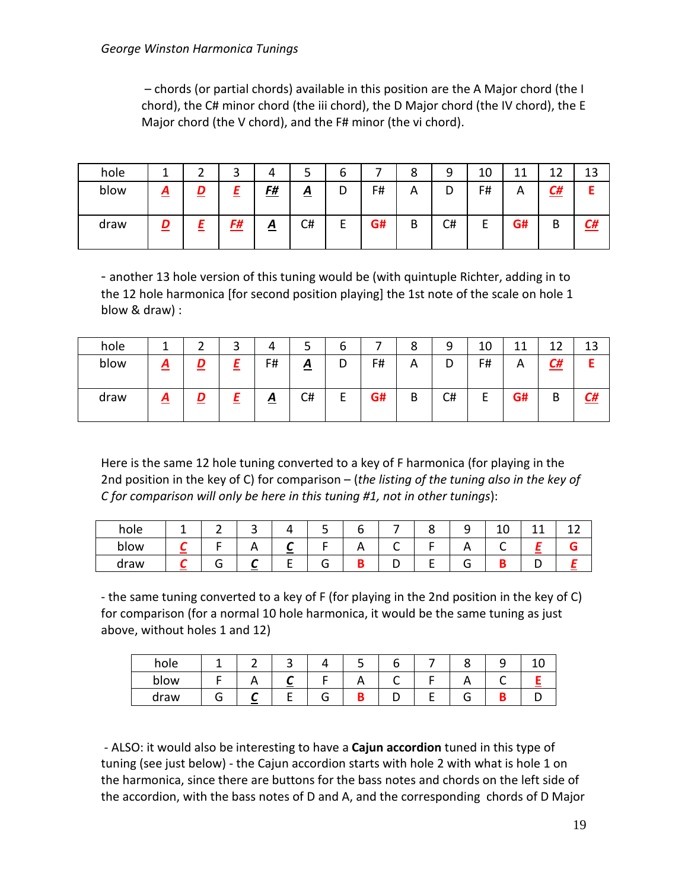– chords (or partial chords) available in this position are the A Major chord (the I chord), the C# minor chord (the iii chord), the D Major chord (the IV chord), the E Major chord (the V chord), and the F# minor (the vi chord).

| hole |          |   | ว         |                 | ͻ               | b       |    | 8 | 9  | 10 | 44<br>+ + | ៱<br>∸∸   | 13        |
|------|----------|---|-----------|-----------------|-----------------|---------|----|---|----|----|-----------|-----------|-----------|
| blow | <u>л</u> |   |           | <u>F#</u>       | $\underline{A}$ | υ       | F# | A | D  | F# | А         | <u>C#</u> |           |
| draw | D        | ≞ | <u>F#</u> | $\underline{A}$ | C#              | г<br>E. | G# | В | C# | ட  | G#        | D<br>D    | <u>C#</u> |

- another 13 hole version of this tuning would be (with quintuple Richter, adding in to the 12 hole harmonica [for second position playing] the 1st note of the scale on hole 1 blow & draw) :

| hole |          |   | ⌒<br>ر | 4               | ٮ               | ь      |    | 8 | 9  | 10 | 44 | 1.        | 12<br>⊥J  |
|------|----------|---|--------|-----------------|-----------------|--------|----|---|----|----|----|-----------|-----------|
| blow | <u>д</u> | − | =      | F#              | $\underline{A}$ | υ      | F# | Α | D  | F# | A  | <u>C#</u> |           |
| draw | <u>д</u> |   | =      | $\underline{A}$ | C#              | -<br>E | G# | В | C# |    | G# | В         | <u>C#</u> |

Here is the same 12 hole tuning converted to a key of F harmonica (for playing in the 2nd position in the key of C) for comparison – (*the listing of the tuning also in the key of C for comparison will only be here in this tuning #1, not in other tunings*):

| hole | -<br>- | $\tilde{}$ |          | ے        |   |        | ◡ | $\tilde{\phantom{a}}$ | ᅩ      | -- | -- |
|------|--------|------------|----------|----------|---|--------|---|-----------------------|--------|----|----|
| blow |        | <u>r</u>   | <u>_</u> |          | n | ∽<br>◡ |   | $\sqrt{ }$            | -<br>∼ | -- |    |
| draw | -      |            | -        | -<br>. . |   |        |   |                       |        |    |    |

- the same tuning converted to a key of F (for playing in the 2nd position in the key of C) for comparison (for a normal 10 hole harmonica, it would be the same tuning as just above, without holes 1 and 12)

| hole |  |     |     |  | ۔ |  |
|------|--|-----|-----|--|---|--|
| blow |  | $-$ | ┌ \ |  |   |  |
| draw |  |     |     |  |   |  |

- ALSO: it would also be interesting to have a **Cajun accordion** tuned in this type of tuning (see just below) - the Cajun accordion starts with hole 2 with what is hole 1 on the harmonica, since there are buttons for the bass notes and chords on the left side of the accordion, with the bass notes of D and A, and the corresponding chords of D Major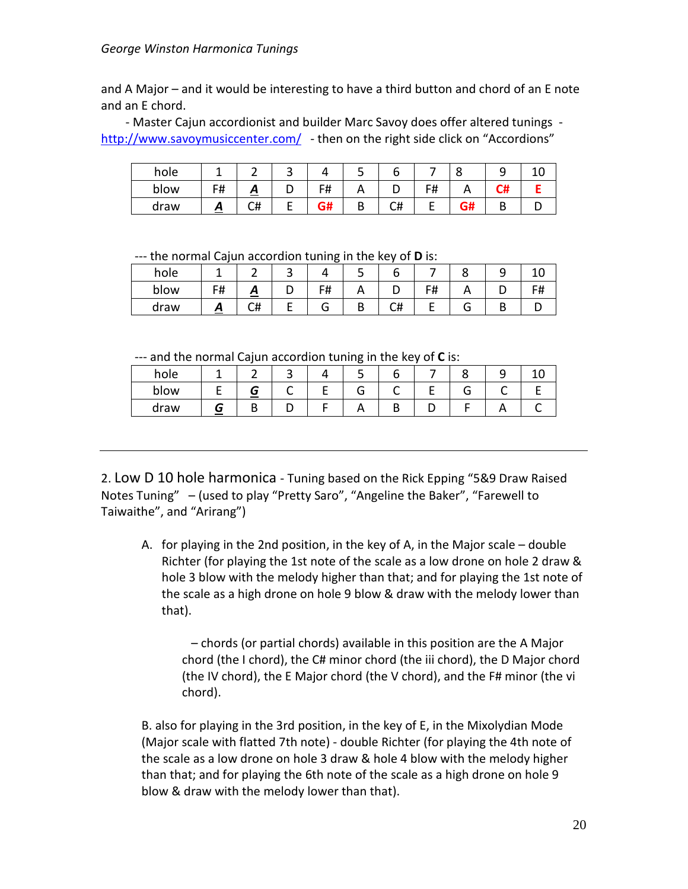#### *George Winston Harmonica Tunings*

and A Major – and it would be interesting to have a third button and chord of an E note and an E chord.

 - Master Cajun accordionist and builder Marc Savoy does offer altered tunings <http://www.savoymusiccenter.com/>- then on the right side click on "Accordions"

| hole |                    |    |    | ے        | u  |                  | ີ           | ۔ |  |
|------|--------------------|----|----|----------|----|------------------|-------------|---|--|
| blow | <b>C</b> H<br>דד ו | ≏  | F# | <u>_</u> | ∽  | C#<br>$\bm{\pi}$ | $\cdots$    | ы |  |
| draw | Ā                  | C# | G# | D<br>D   | C# |                  | ∼…<br>- 111 | ш |  |

--- the normal Cajun accordion tuning in the key of **D** is:

| hole |          |        |    |          |   |         | ۔ |  |
|------|----------|--------|----|----------|---|---------|---|--|
| blow | ᄄ<br>ד ו | ~<br>⋍ | F# | $\cdots$ | ◡ | с#<br>п |   |  |
| draw | ~        | C#     |    |          | ∽ |         |   |  |

--- and the normal Cajun accordion tuning in the key of **C** is:

| and the normal edgan accordion taning in the Key or <b>e</b> is. |  |  |  |  |  |
|------------------------------------------------------------------|--|--|--|--|--|
| hole                                                             |  |  |  |  |  |
| blow                                                             |  |  |  |  |  |
| draw                                                             |  |  |  |  |  |

2. Low D 10 hole harmonica - Tuning based on the Rick Epping "5&9 Draw Raised Notes Tuning" – (used to play "Pretty Saro", "Angeline the Baker", "Farewell to Taiwaithe", and "Arirang")

A. for playing in the 2nd position, in the key of A, in the Major scale – double Richter (for playing the 1st note of the scale as a low drone on hole 2 draw & hole 3 blow with the melody higher than that; and for playing the 1st note of the scale as a high drone on hole 9 blow & draw with the melody lower than that).

 – chords (or partial chords) available in this position are the A Major chord (the I chord), the C# minor chord (the iii chord), the D Major chord (the IV chord), the E Major chord (the V chord), and the F# minor (the vi chord).

B. also for playing in the 3rd position, in the key of E, in the Mixolydian Mode (Major scale with flatted 7th note) - double Richter (for playing the 4th note of the scale as a low drone on hole 3 draw & hole 4 blow with the melody higher than that; and for playing the 6th note of the scale as a high drone on hole 9 blow & draw with the melody lower than that).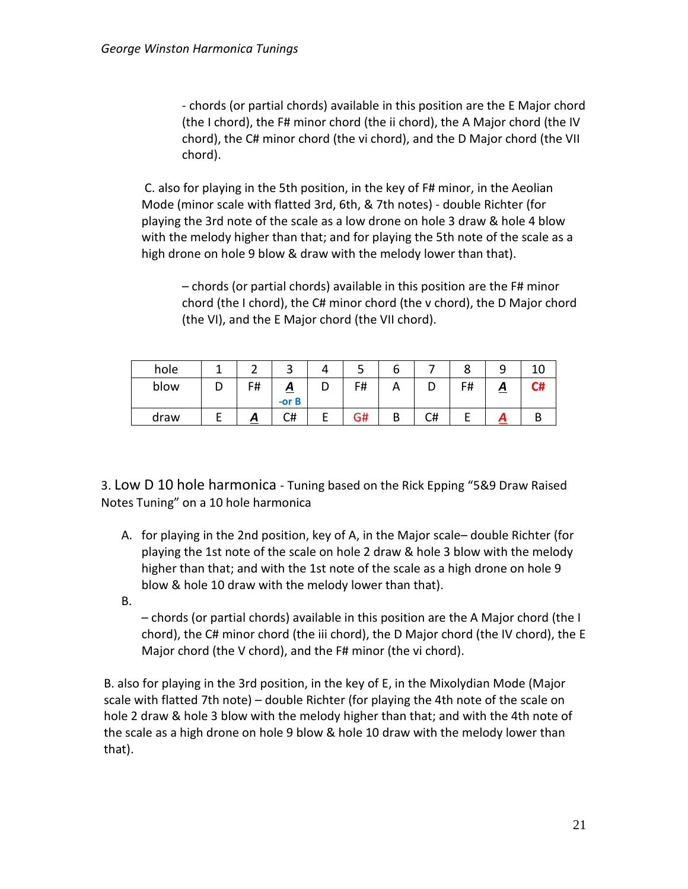- chords (or partial chords) available in this position are the E Major chord (the I chord), the F# minor chord (the ii chord), the A Major chord (the IV chord), the C# minor chord (the vi chord), and the D Major chord (the VII chord).

C. also for playing in the 5th position, in the key of F# minor, in the Aeolian Mode (minor scale with flatted 3rd, 6th, & 7th notes) - double Richter (for playing the 3rd note of the scale as a low drone on hole 3 draw & hole 4 blow with the melody higher than that; and for playing the 5th note of the scale as a high drone on hole 9 blow & draw with the melody lower than that).

– chords (or partial chords) available in this position are the F# minor chord (the I chord), the C# minor chord (the v chord), the D Major chord (the VI), and the E Major chord (the VII chord).

| hole |   |    |                      |   | ت  | о |    |            | ے                 |            |
|------|---|----|----------------------|---|----|---|----|------------|-------------------|------------|
| blow | ◡ | F# | <u>A</u><br>$-$ or B | ◡ | F# | n |    | F#<br>דד ו | $\mathbf{\Omega}$ | г.<br>- 77 |
| draw |   | Δ  | C#                   | ட | G# | В | C# |            |                   |            |

3. Low D 10 hole harmonica - Tuning based on the Rick Epping "5&9 Draw Raised Notes Tuning" on a 10 hole harmonica

- A. for playing in the 2nd position, key of A, in the Major scale– double Richter (for playing the 1st note of the scale on hole 2 draw & hole 3 blow with the melody higher than that; and with the 1st note of the scale as a high drone on hole 9 blow & hole 10 draw with the melody lower than that).
- B.

– chords (or partial chords) available in this position are the A Major chord (the I chord), the C# minor chord (the iii chord), the D Major chord (the IV chord), the E Major chord (the V chord), and the F# minor (the vi chord).

B. also for playing in the 3rd position, in the key of E, in the Mixolydian Mode (Major scale with flatted 7th note) – double Richter (for playing the 4th note of the scale on hole 2 draw & hole 3 blow with the melody higher than that; and with the 4th note of the scale as a high drone on hole 9 blow & hole 10 draw with the melody lower than that).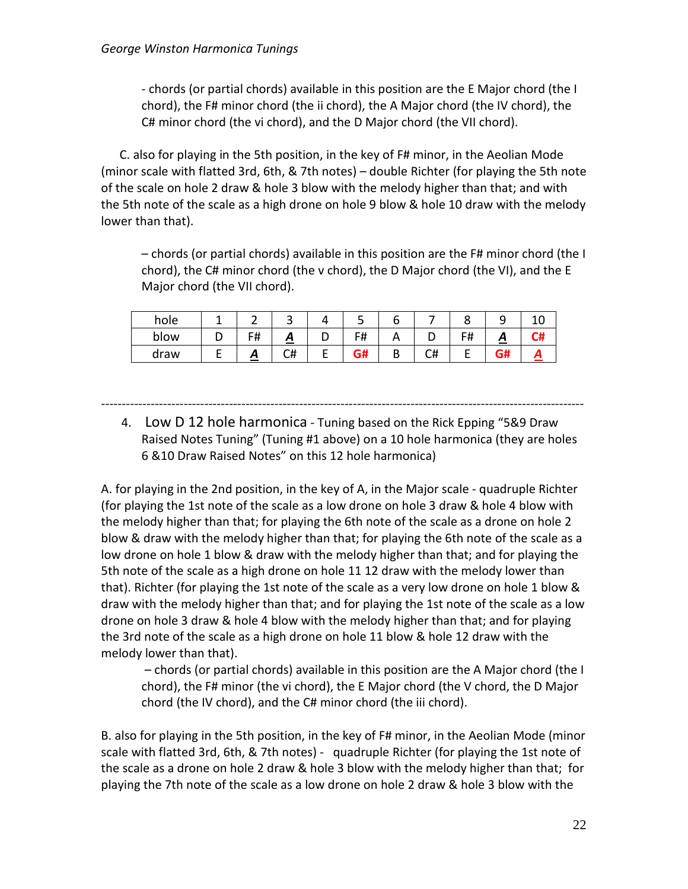- chords (or partial chords) available in this position are the E Major chord (the I chord), the F# minor chord (the ii chord), the A Major chord (the IV chord), the C# minor chord (the vi chord), and the D Major chord (the VII chord).

 C. also for playing in the 5th position, in the key of F# minor, in the Aeolian Mode (minor scale with flatted 3rd, 6th, & 7th notes) – double Richter (for playing the 5th note of the scale on hole 2 draw & hole 3 blow with the melody higher than that; and with the 5th note of the scale as a high drone on hole 9 blow & hole 10 draw with the melody lower than that).

– chords (or partial chords) available in this position are the F# minor chord (the I chord), the C# minor chord (the v chord), the D Major chord (the VI), and the E Major chord (the VII chord).

| hole |    | ັ            |   |          |    |                      | ـ                 |  |
|------|----|--------------|---|----------|----|----------------------|-------------------|--|
| blow | F# | $\mathbf{r}$ | ◡ | F#       |    | c#<br><del>ח</del> ו | $\mathbf{\Gamma}$ |  |
| draw |    | C#           | - | ~…<br>3# | し幵 |                      | - "<br>ית.        |  |

---------------------------------------------------------------------------------------------------------------------

4. Low D 12 hole harmonica - Tuning based on the Rick Epping "5&9 Draw Raised Notes Tuning" (Tuning #1 above) on a 10 hole harmonica (they are holes 6 &10 Draw Raised Notes" on this 12 hole harmonica)

A. for playing in the 2nd position, in the key of A, in the Major scale - quadruple Richter (for playing the 1st note of the scale as a low drone on hole 3 draw & hole 4 blow with the melody higher than that; for playing the 6th note of the scale as a drone on hole 2 blow & draw with the melody higher than that; for playing the 6th note of the scale as a low drone on hole 1 blow & draw with the melody higher than that; and for playing the 5th note of the scale as a high drone on hole 11 12 draw with the melody lower than that). Richter (for playing the 1st note of the scale as a very low drone on hole 1 blow & draw with the melody higher than that; and for playing the 1st note of the scale as a low drone on hole 3 draw & hole 4 blow with the melody higher than that; and for playing the 3rd note of the scale as a high drone on hole 11 blow & hole 12 draw with the melody lower than that).

– chords (or partial chords) available in this position are the A Major chord (the I chord), the F# minor (the vi chord), the E Major chord (the V chord, the D Major chord (the IV chord), and the C# minor chord (the iii chord).

B. also for playing in the 5th position, in the key of F# minor, in the Aeolian Mode (minor scale with flatted 3rd, 6th, & 7th notes) - quadruple Richter (for playing the 1st note of the scale as a drone on hole 2 draw & hole 3 blow with the melody higher than that; for playing the 7th note of the scale as a low drone on hole 2 draw & hole 3 blow with the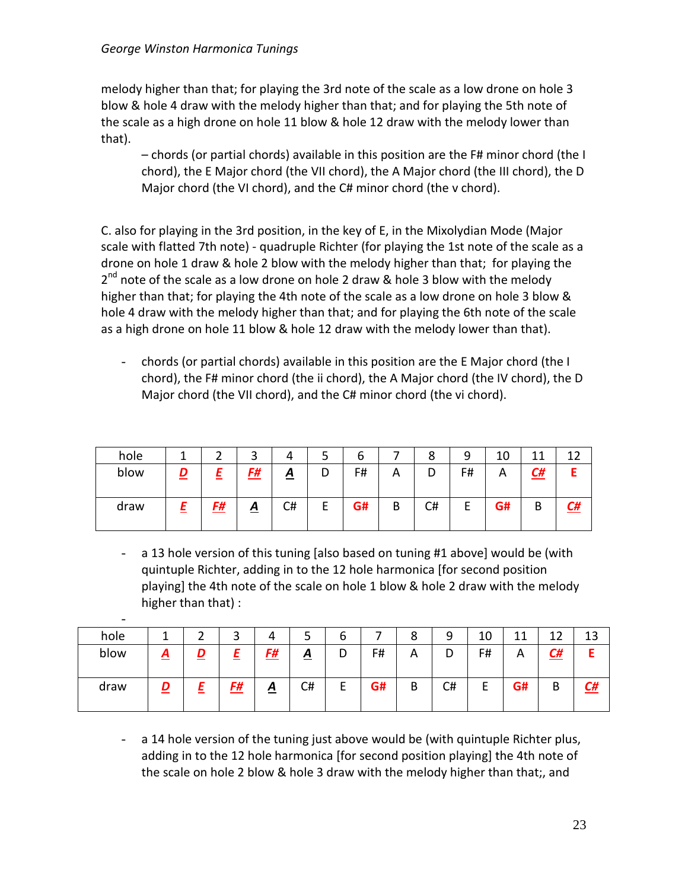melody higher than that; for playing the 3rd note of the scale as a low drone on hole 3 blow & hole 4 draw with the melody higher than that; and for playing the 5th note of the scale as a high drone on hole 11 blow & hole 12 draw with the melody lower than that).

– chords (or partial chords) available in this position are the F# minor chord (the I chord), the E Major chord (the VII chord), the A Major chord (the III chord), the D Major chord (the VI chord), and the C# minor chord (the v chord).

C. also for playing in the 3rd position, in the key of E, in the Mixolydian Mode (Major scale with flatted 7th note) - quadruple Richter (for playing the 1st note of the scale as a drone on hole 1 draw & hole 2 blow with the melody higher than that; for playing the  $2<sup>nd</sup>$  note of the scale as a low drone on hole 2 draw & hole 3 blow with the melody higher than that; for playing the 4th note of the scale as a low drone on hole 3 blow & hole 4 draw with the melody higher than that; and for playing the 6th note of the scale as a high drone on hole 11 blow & hole 12 draw with the melody lower than that).

- chords (or partial chords) available in this position are the E Major chord (the I chord), the F# minor chord (the ii chord), the A Major chord (the IV chord), the D Major chord (the VII chord), and the C# minor chord (the vi chord).

| hole |   |          | ົ<br>ٮ          | 4        |   | ╭<br>b |   | 8  | 9       | 10 |           | 1つ |
|------|---|----------|-----------------|----------|---|--------|---|----|---------|----|-----------|----|
| blow | מ | <u>—</u> | <u>F#</u>       | <u>A</u> | D | F#     | Α | D  | F#      | Α  | <u>C#</u> |    |
| draw |   | F#       | $\underline{A}$ | C#       | E | G#     | B | C# | r.<br>− | G# | B         | L# |

- a 13 hole version of this tuning [also based on tuning #1 above] would be (with quintuple Richter, adding in to the 12 hole harmonica [for second position playing] the 4th note of the scale on hole 1 blow & hole 2 draw with the melody higher than that) :

| $\overline{\phantom{0}}$ |                |   |    |                 |                 |        |    |   |    |             |    |           |           |
|--------------------------|----------------|---|----|-----------------|-----------------|--------|----|---|----|-------------|----|-----------|-----------|
| hole                     | л              |   | ت  | 4               | ٮ               | b      |    | 8 | a  | 10          | 11 | 1つ        | 13        |
| blow                     | $\overline{A}$ | D |    | <u>F#</u>       | $\underline{A}$ | D      | F# | Α | D  | F#          | Α  | <u>C#</u> |           |
| draw                     | n              |   | F# | $\underline{A}$ | C#              | ⊢<br>┕ | G# | В | C# | -<br>⊢<br>┕ | G# | В         | <u>C#</u> |

a 14 hole version of the tuning just above would be (with quintuple Richter plus, adding in to the 12 hole harmonica [for second position playing] the 4th note of the scale on hole 2 blow & hole 3 draw with the melody higher than that;, and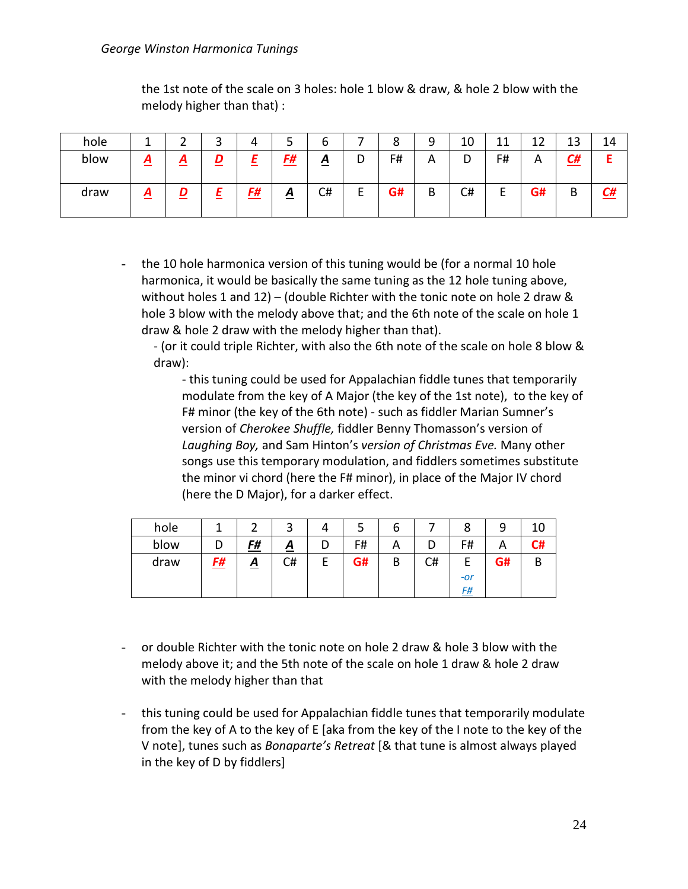#### *George Winston Harmonica Tunings*

the 1st note of the scale on 3 holes: hole 1 blow & draw, & hole 2 blow with the melody higher than that) :

| hole |   | ◠        | ⌒<br>ت | 4         | ر            | о        | -      | 8  | a | 10     | 11<br>ᆠᅶ | $\sim$<br>∸∸ | 13        | 14 |
|------|---|----------|--------|-----------|--------------|----------|--------|----|---|--------|----------|--------------|-----------|----|
| blow | ≏ | <u>д</u> | D<br>_ |           | <u>F#</u>    | <u>A</u> | -<br>ັ | F# | Α | D<br>ັ | F#       | Α            | <u>C#</u> |    |
| draw | ≏ |          | -      | <u>F#</u> | $\mathbf{A}$ | C#       | -      | G# | B | C#     | ►        | G#           | В         | C# |

- the 10 hole harmonica version of this tuning would be (for a normal 10 hole harmonica, it would be basically the same tuning as the 12 hole tuning above, without holes 1 and 12) – (double Richter with the tonic note on hole 2 draw & hole 3 blow with the melody above that; and the 6th note of the scale on hole 1 draw & hole 2 draw with the melody higher than that).

- (or it could triple Richter, with also the 6th note of the scale on hole 8 blow & draw):

- this tuning could be used for Appalachian fiddle tunes that temporarily modulate from the key of A Major (the key of the 1st note), to the key of F# minor (the key of the 6th note) - such as fiddler Marian Sumner's version of *Cherokee Shuffle,* fiddler Benny Thomasson's version of *Laughing Boy,* and Sam Hinton's *version of Christmas Eve.* Many other songs use this temporary modulation, and fiddlers sometimes substitute the minor vi chord (here the F# minor), in place of the Major IV chord (here the D Major), for a darker effect.

| hole |           |           | ◠               | 4 |    | b |    |       | a  |    |
|------|-----------|-----------|-----------------|---|----|---|----|-------|----|----|
| blow |           | <u>F#</u> | $\underline{A}$ | D | F# | А |    | F#    | n  | r# |
| draw | <u>F#</u> | <u>A</u>  | C#              | E | G# | В | C# |       | G# | B  |
|      |           |           |                 |   |    |   |    | $-Or$ |    |    |
|      |           |           |                 |   |    |   |    | F#    |    |    |

- or double Richter with the tonic note on hole 2 draw & hole 3 blow with the melody above it; and the 5th note of the scale on hole 1 draw & hole 2 draw with the melody higher than that
- this tuning could be used for Appalachian fiddle tunes that temporarily modulate from the key of A to the key of E [aka from the key of the I note to the key of the V note], tunes such as *Bonaparte's Retreat* [& that tune is almost always played in the key of D by fiddlers]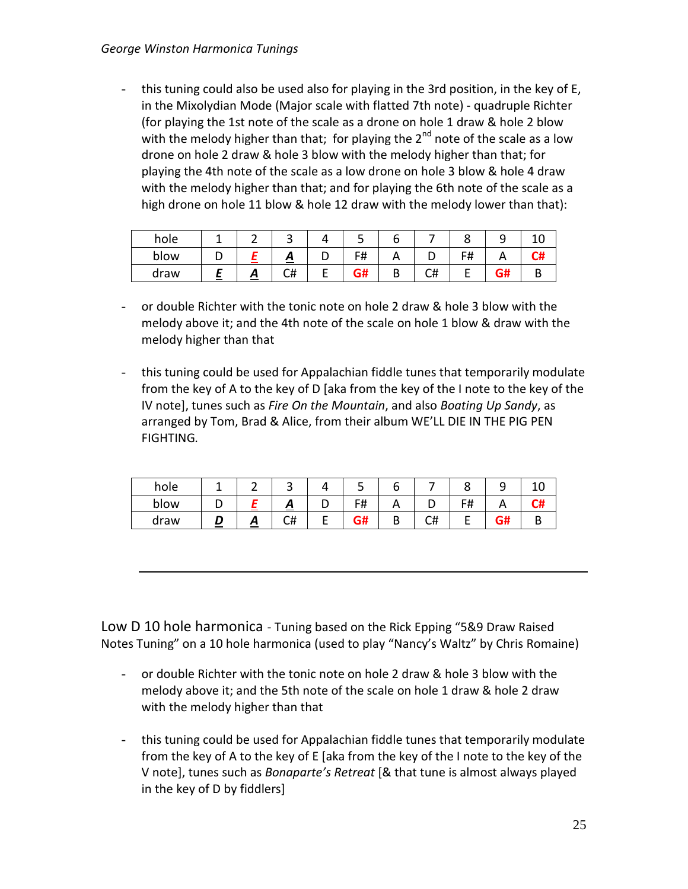- this tuning could also be used also for playing in the 3rd position, in the key of E, in the Mixolydian Mode (Major scale with flatted 7th note) - quadruple Richter (for playing the 1st note of the scale as a drone on hole 1 draw & hole 2 blow with the melody higher than that; for playing the  $2<sup>nd</sup>$  note of the scale as a low drone on hole 2 draw & hole 3 blow with the melody higher than that; for playing the 4th note of the scale as a low drone on hole 3 blow & hole 4 draw with the melody higher than that; and for playing the 6th note of the scale as a high drone on hole 11 blow & hole 12 draw with the melody lower than that):

| hole |          | ັ  |   | ر ـ     |        |    | ີ       | ັ |  |
|------|----------|----|---|---------|--------|----|---------|---|--|
| blow |          | ≏  | ◡ | с#      |        |    | c#<br>п |   |  |
| draw | <u>л</u> | C# | - | ~<br>5# | D<br>D | C# |         |   |  |

- or double Richter with the tonic note on hole 2 draw & hole 3 blow with the melody above it; and the 4th note of the scale on hole 1 blow & draw with the melody higher than that
- this tuning could be used for Appalachian fiddle tunes that temporarily modulate from the key of A to the key of D [aka from the key of the I note to the key of the IV note], tunes such as *Fire On the Mountain*, and also *Boating Up Sandy*, as arranged by Tom, Brad & Alice, from their album WE'LL DIE IN THE PIG PEN FIGHTING*.*

| hole |   | ັ  |   | ٠         |           |    |                 | ـ |  |
|------|---|----|---|-----------|-----------|----|-----------------|---|--|
| blow |   | ≏  | ັ | F#        | $\sqrt{}$ |    | с#<br><u> п</u> |   |  |
| draw | ≏ | C# | - | G#<br>vn. | ∼         | C# |                 |   |  |

Low D 10 hole harmonica - Tuning based on the Rick Epping "5&9 Draw Raised Notes Tuning" on a 10 hole harmonica (used to play "Nancy's Waltz" by Chris Romaine)

- or double Richter with the tonic note on hole 2 draw & hole 3 blow with the melody above it; and the 5th note of the scale on hole 1 draw & hole 2 draw with the melody higher than that
- this tuning could be used for Appalachian fiddle tunes that temporarily modulate from the key of A to the key of E [aka from the key of the I note to the key of the V note], tunes such as *Bonaparte's Retreat* [& that tune is almost always played in the key of D by fiddlers]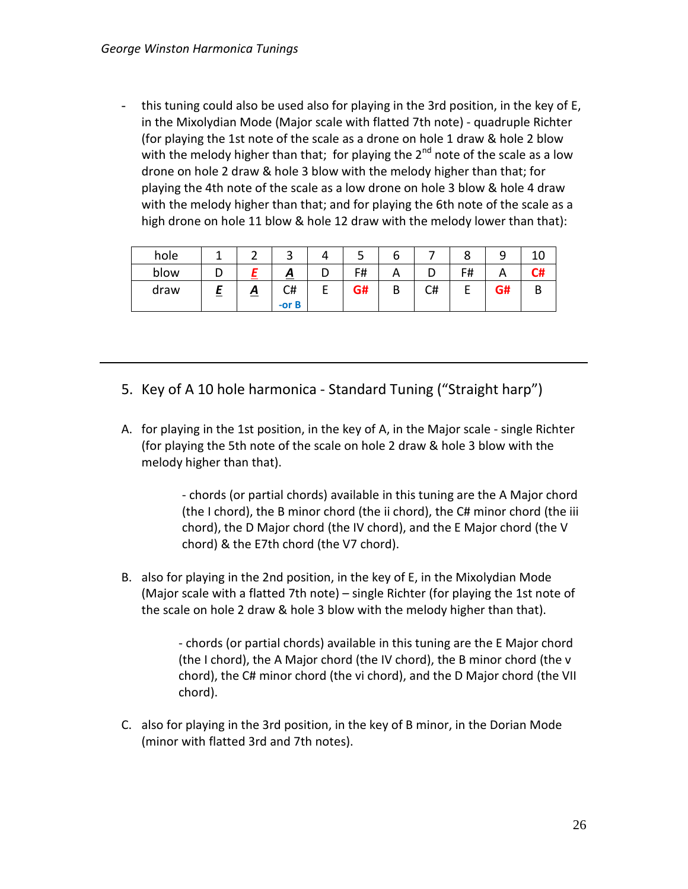this tuning could also be used also for playing in the 3rd position, in the key of E, in the Mixolydian Mode (Major scale with flatted 7th note) - quadruple Richter (for playing the 1st note of the scale as a drone on hole 1 draw & hole 2 blow with the melody higher than that; for playing the  $2^{nd}$  note of the scale as a low drone on hole 2 draw & hole 3 blow with the melody higher than that; for playing the 4th note of the scale as a low drone on hole 3 blow & hole 4 draw with the melody higher than that; and for playing the 6th note of the scale as a high drone on hole 11 blow & hole 12 draw with the melody lower than that):

| hole |   |          | ٮ              | 4 | ٮ  | о |    | о  |    |    |
|------|---|----------|----------------|---|----|---|----|----|----|----|
| blow |   |          | <u>д</u>       | ັ | F# | Α | ┕  | F# |    | C# |
| draw | = | <u>A</u> | C#<br>$-$ or B | c | G# | B | C# |    | G# | В  |

- 5. Key of A 10 hole harmonica Standard Tuning ("Straight harp")
- A. for playing in the 1st position, in the key of A, in the Major scale single Richter (for playing the 5th note of the scale on hole 2 draw & hole 3 blow with the melody higher than that).

- chords (or partial chords) available in this tuning are the A Major chord (the I chord), the B minor chord (the ii chord), the C# minor chord (the iii chord), the D Major chord (the IV chord), and the E Major chord (the V chord) & the E7th chord (the V7 chord).

B. also for playing in the 2nd position, in the key of E, in the Mixolydian Mode (Major scale with a flatted 7th note) – single Richter (for playing the 1st note of the scale on hole 2 draw & hole 3 blow with the melody higher than that).

> - chords (or partial chords) available in this tuning are the E Major chord (the I chord), the A Major chord (the IV chord), the B minor chord (the v chord), the C# minor chord (the vi chord), and the D Major chord (the VII chord).

C. also for playing in the 3rd position, in the key of B minor, in the Dorian Mode (minor with flatted 3rd and 7th notes).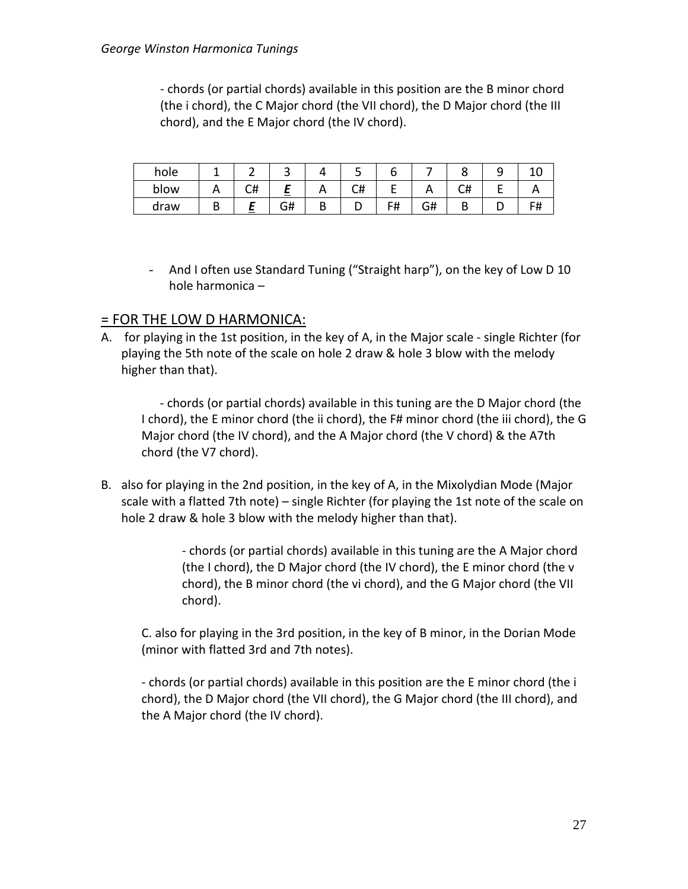- chords (or partial chords) available in this position are the B minor chord (the i chord), the C Major chord (the VII chord), the D Major chord (the III chord), and the E Major chord (the IV chord).

| hole |          |    | ے              |   | ٮ  | О  |    |    | ے |    |
|------|----------|----|----------------|---|----|----|----|----|---|----|
| blow | $\cdots$ | C# | <b>Service</b> |   | C# | -  |    | し井 |   |    |
| draw |          |    | G#             | D | ◡  | F# | G# |    |   | F# |

- And I often use Standard Tuning ("Straight harp"), on the key of Low D 10 hole harmonica –

#### = FOR THE LOW D HARMONICA:

A. for playing in the 1st position, in the key of A, in the Major scale - single Richter (for playing the 5th note of the scale on hole 2 draw & hole 3 blow with the melody higher than that).

 - chords (or partial chords) available in this tuning are the D Major chord (the I chord), the E minor chord (the ii chord), the F# minor chord (the iii chord), the G Major chord (the IV chord), and the A Major chord (the V chord) & the A7th chord (the V7 chord).

B. also for playing in the 2nd position, in the key of A, in the Mixolydian Mode (Major scale with a flatted 7th note) – single Richter (for playing the 1st note of the scale on hole 2 draw & hole 3 blow with the melody higher than that).

> - chords (or partial chords) available in this tuning are the A Major chord (the I chord), the D Major chord (the IV chord), the E minor chord (the v chord), the B minor chord (the vi chord), and the G Major chord (the VII chord).

C. also for playing in the 3rd position, in the key of B minor, in the Dorian Mode (minor with flatted 3rd and 7th notes).

- chords (or partial chords) available in this position are the E minor chord (the i chord), the D Major chord (the VII chord), the G Major chord (the III chord), and the A Major chord (the IV chord).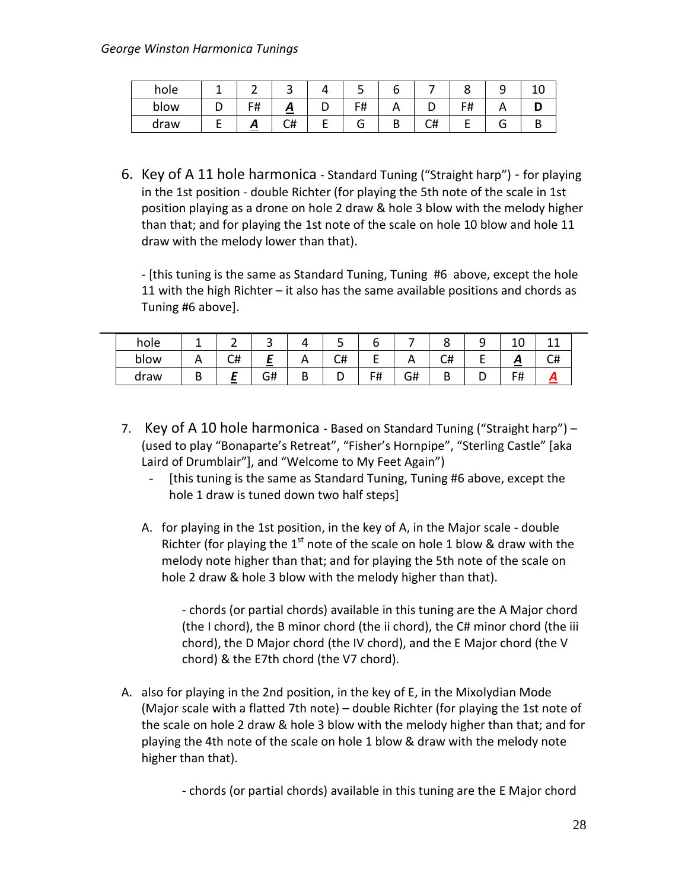| hole |         | ີ  |   |    |    |   |  |
|------|---------|----|---|----|----|---|--|
| blow | F₩<br>π | ≏  |   | F# |    |   |  |
| draw | ~       | C# | - |    | C# | э |  |

6. Key of A 11 hole harmonica - Standard Tuning ("Straight harp") - for playing in the 1st position - double Richter (for playing the 5th note of the scale in 1st position playing as a drone on hole 2 draw & hole 3 blow with the melody higher than that; and for playing the 1st note of the scale on hole 10 blow and hole 11 draw with the melody lower than that).

- [this tuning is the same as Standard Tuning, Tuning #6 above, except the hole 11 with the high Richter – it also has the same available positions and chords as Tuning #6 above].

| hole |   |    | ٮ      |   | ے        | u  |          | u      | ے | ⌒<br>⊥∪ |    |
|------|---|----|--------|---|----------|----|----------|--------|---|---------|----|
| blow |   | C# | $\sim$ |   | r#<br>∪π | -  | <u>n</u> | C#     |   | ≏       | C# |
| draw | D |    | G#     | ◡ |          | F# | G#       | D<br>D | ◡ | F#      |    |

- 7. Key of A 10 hole harmonica Based on Standard Tuning ("Straight harp") (used to play "Bonaparte's Retreat", "Fisher's Hornpipe", "Sterling Castle" [aka Laird of Drumblair"], and "Welcome to My Feet Again")
	- [this tuning is the same as Standard Tuning, Tuning #6 above, except the hole 1 draw is tuned down two half steps]
	- A. for playing in the 1st position, in the key of A, in the Major scale double Richter (for playing the  $1<sup>st</sup>$  note of the scale on hole 1 blow & draw with the melody note higher than that; and for playing the 5th note of the scale on hole 2 draw & hole 3 blow with the melody higher than that).

- chords (or partial chords) available in this tuning are the A Major chord (the I chord), the B minor chord (the ii chord), the C# minor chord (the iii chord), the D Major chord (the IV chord), and the E Major chord (the V chord) & the E7th chord (the V7 chord).

A. also for playing in the 2nd position, in the key of E, in the Mixolydian Mode (Major scale with a flatted 7th note) – double Richter (for playing the 1st note of the scale on hole 2 draw & hole 3 blow with the melody higher than that; and for playing the 4th note of the scale on hole 1 blow & draw with the melody note higher than that).

- chords (or partial chords) available in this tuning are the E Major chord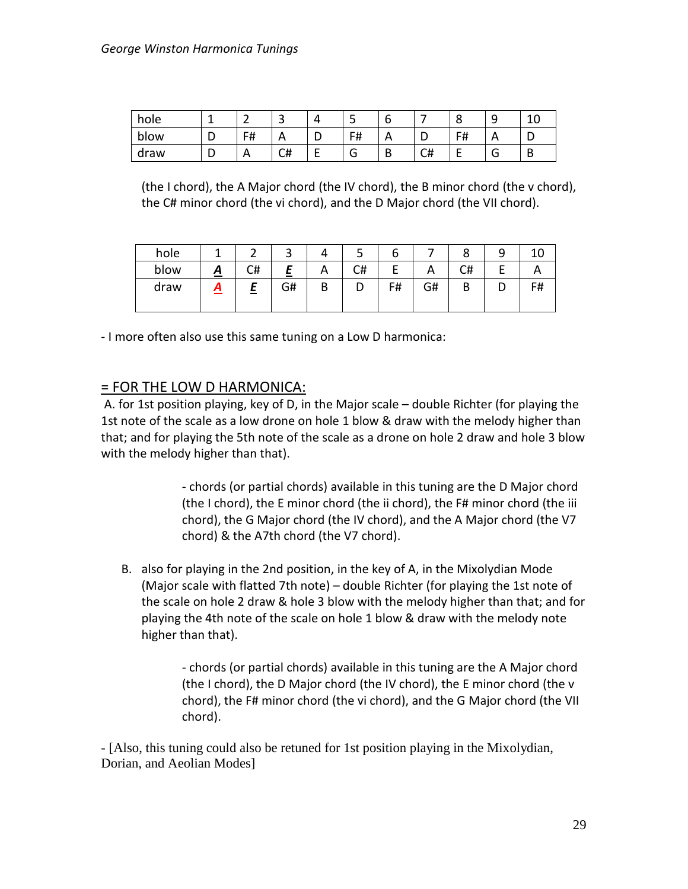| hole |   | . .<br>▃     | ∽<br>ٮ | ↵      | ی        |     |          | u  | ۔            | 10<br>ᅩ |
|------|---|--------------|--------|--------|----------|-----|----------|----|--------------|---------|
| blow | D | F#<br>דו     | A      | -<br>ັ | F#       | , , | ັ        | F# | $\mathsf{m}$ | ັ       |
| draw | ◡ | $\mathsf{A}$ | C#     | -      | ∽<br>. — | D   | ົີ<br>C# | -  | u            | B       |

(the I chord), the A Major chord (the IV chord), the B minor chord (the v chord), the C# minor chord (the vi chord), and the D Major chord (the VII chord).

| hole |   |    | ٮ      |   | ٮ  | o  |    |    |      |
|------|---|----|--------|---|----|----|----|----|------|
| blow | ≏ | C# | $\sim$ | А | C# |    |    | C# |      |
| draw | Δ | =  | G#     | B | υ  | F# | G# |    | - 11 |

- I more often also use this same tuning on a Low D harmonica:

#### = FOR THE LOW D HARMONICA:

A. for 1st position playing, key of D, in the Major scale – double Richter (for playing the 1st note of the scale as a low drone on hole 1 blow & draw with the melody higher than that; and for playing the 5th note of the scale as a drone on hole 2 draw and hole 3 blow with the melody higher than that).

> - chords (or partial chords) available in this tuning are the D Major chord (the I chord), the E minor chord (the ii chord), the F# minor chord (the iii chord), the G Major chord (the IV chord), and the A Major chord (the V7 chord) & the A7th chord (the V7 chord).

B. also for playing in the 2nd position, in the key of A, in the Mixolydian Mode (Major scale with flatted 7th note) – double Richter (for playing the 1st note of the scale on hole 2 draw & hole 3 blow with the melody higher than that; and for playing the 4th note of the scale on hole 1 blow & draw with the melody note higher than that).

> - chords (or partial chords) available in this tuning are the A Major chord (the I chord), the D Major chord (the IV chord), the E minor chord (the v chord), the F# minor chord (the vi chord), and the G Major chord (the VII chord).

- [Also, this tuning could also be retuned for 1st position playing in the Mixolydian, Dorian, and Aeolian Modes]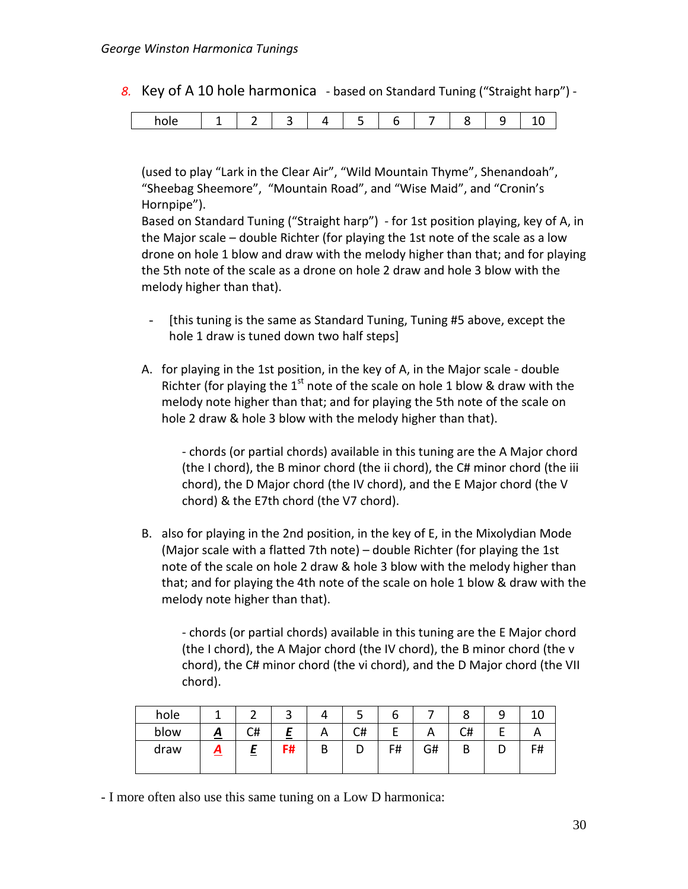*8.* Key of A 10 hole harmonica - based on Standard Tuning ("Straight harp") -

|--|--|

(used to play "Lark in the Clear Air", "Wild Mountain Thyme", Shenandoah", "Sheebag Sheemore", "Mountain Road", and "Wise Maid", and "Cronin's Hornpipe").

Based on Standard Tuning ("Straight harp") - for 1st position playing, key of A, in the Major scale – double Richter (for playing the 1st note of the scale as a low drone on hole 1 blow and draw with the melody higher than that; and for playing the 5th note of the scale as a drone on hole 2 draw and hole 3 blow with the melody higher than that).

- [this tuning is the same as Standard Tuning, Tuning #5 above, except the hole 1 draw is tuned down two half steps]
- A. for playing in the 1st position, in the key of A, in the Major scale double Richter (for playing the  $1<sup>st</sup>$  note of the scale on hole 1 blow & draw with the melody note higher than that; and for playing the 5th note of the scale on hole 2 draw & hole 3 blow with the melody higher than that).

- chords (or partial chords) available in this tuning are the A Major chord (the I chord), the B minor chord (the ii chord), the C# minor chord (the iii chord), the D Major chord (the IV chord), and the E Major chord (the V chord) & the E7th chord (the V7 chord).

B. also for playing in the 2nd position, in the key of E, in the Mixolydian Mode (Major scale with a flatted 7th note) – double Richter (for playing the 1st note of the scale on hole 2 draw & hole 3 blow with the melody higher than that; and for playing the 4th note of the scale on hole 1 blow & draw with the melody note higher than that).

- chords (or partial chords) available in this tuning are the E Major chord (the I chord), the A Major chord (the IV chord), the B minor chord (the v chord), the C# minor chord (the vi chord), and the D Major chord (the VII chord).

| hole |          |    | ∽<br>ٮ |   | ٮ  | o  |              | О  |   | ⊥∪ |
|------|----------|----|--------|---|----|----|--------------|----|---|----|
| blow | <u>д</u> | C# | ≞      | A | C# |    | $\mathsf{A}$ | C# |   | Α  |
| draw | ≏        | £  | F#     | B | D  | F# | G#           | В  | ◡ | F# |

- I more often also use this same tuning on a Low D harmonica: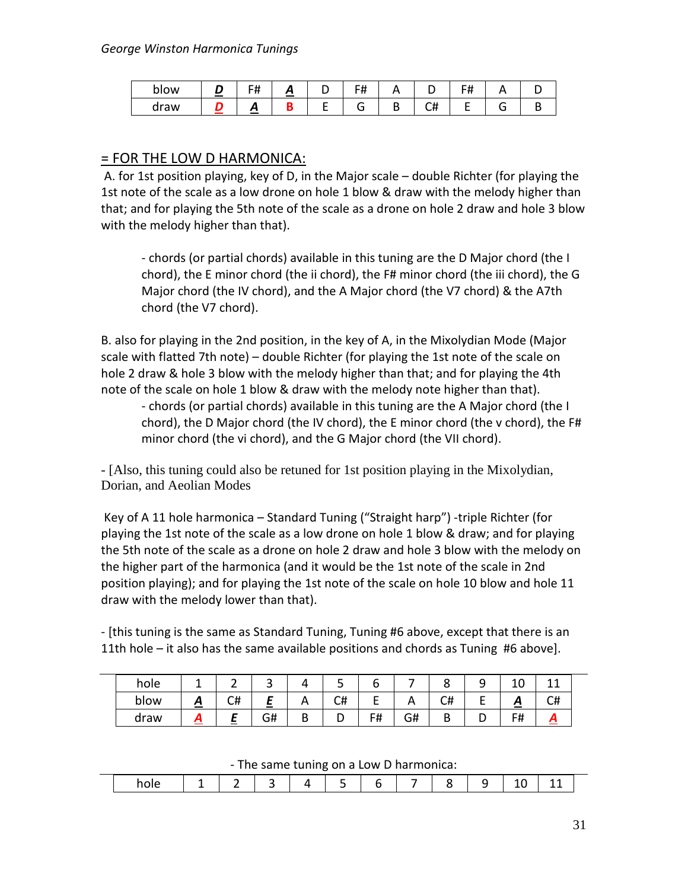| blow | $\sim$ | -<br> | ≃ | . |    | . |  |
|------|--------|-------|---|---|----|---|--|
| draw |        |       |   |   | ັີ |   |  |

### = FOR THE LOW D HARMONICA:

A. for 1st position playing, key of D, in the Major scale – double Richter (for playing the 1st note of the scale as a low drone on hole 1 blow & draw with the melody higher than that; and for playing the 5th note of the scale as a drone on hole 2 draw and hole 3 blow with the melody higher than that).

- chords (or partial chords) available in this tuning are the D Major chord (the I chord), the E minor chord (the ii chord), the F# minor chord (the iii chord), the G Major chord (the IV chord), and the A Major chord (the V7 chord) & the A7th chord (the V7 chord).

B. also for playing in the 2nd position, in the key of A, in the Mixolydian Mode (Major scale with flatted 7th note) – double Richter (for playing the 1st note of the scale on hole 2 draw & hole 3 blow with the melody higher than that; and for playing the 4th note of the scale on hole 1 blow & draw with the melody note higher than that).

- chords (or partial chords) available in this tuning are the A Major chord (the I chord), the D Major chord (the IV chord), the E minor chord (the v chord), the F# minor chord (the vi chord), and the G Major chord (the VII chord).

- [Also, this tuning could also be retuned for 1st position playing in the Mixolydian, Dorian, and Aeolian Modes

Key of A 11 hole harmonica – Standard Tuning ("Straight harp") -triple Richter (for playing the 1st note of the scale as a low drone on hole 1 blow & draw; and for playing the 5th note of the scale as a drone on hole 2 draw and hole 3 blow with the melody on the higher part of the harmonica (and it would be the 1st note of the scale in 2nd position playing); and for playing the 1st note of the scale on hole 10 blow and hole 11 draw with the melody lower than that).

- [this tuning is the same as Standard Tuning, Tuning #6 above, except that there is an 11th hole – it also has the same available positions and chords as Tuning #6 above].

| hole | --          |              | ີ        |        | ັ  | ັ  |          |        | -  | ⊥∪ |    |
|------|-------------|--------------|----------|--------|----|----|----------|--------|----|----|----|
| blow | A<br>$\sim$ | $\sim$<br>C# | -<br>است | n.     | C# | −  | $\cdots$ | C#     | -  | Ā  | C# |
| draw |             | $\sim$       | G#       | -<br>ັ | ◡  | F# | G#       | -<br>ט | ــ | F# | Л  |

- The same tuning on a Low D harmonica:

|  |  |  |  |  | __ | --<br>$-$ |  |
|--|--|--|--|--|----|-----------|--|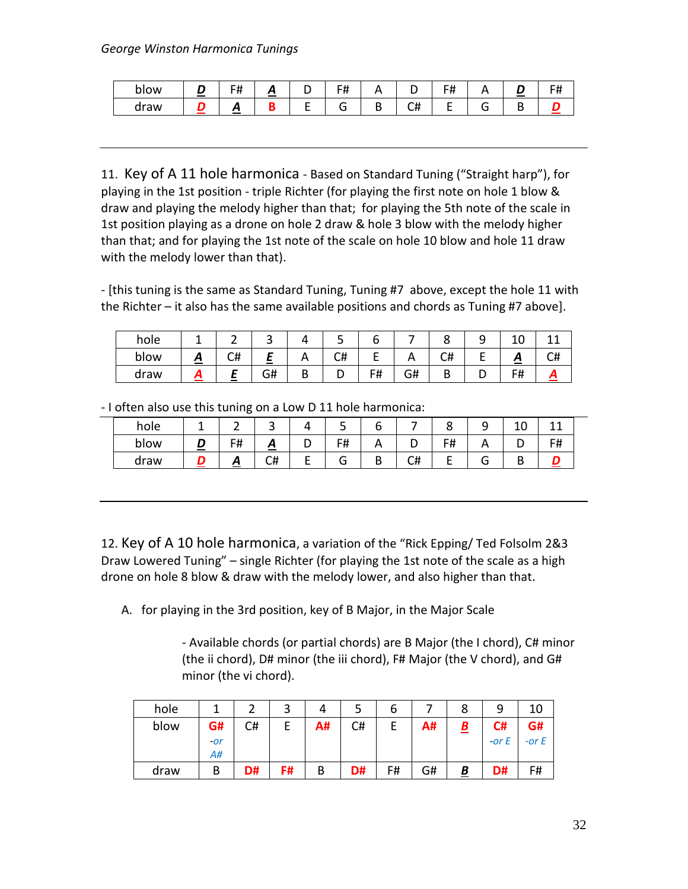| plow | - 11<br>$\boldsymbol{\pi}$ | -<br>. .<br>$\sim$ |   | $- \cdot \cdot$<br>. . |    | rц<br>                   | ___    | -<br> |
|------|----------------------------|--------------------|---|------------------------|----|--------------------------|--------|-------|
| draw | ≃                          |                    | _ |                        | ◡╥ | $\overline{\phantom{a}}$ | $\sim$ |       |

11. Key of A 11 hole harmonica - Based on Standard Tuning ("Straight harp"), for playing in the 1st position - triple Richter (for playing the first note on hole 1 blow & draw and playing the melody higher than that; for playing the 5th note of the scale in 1st position playing as a drone on hole 2 draw & hole 3 blow with the melody higher than that; and for playing the 1st note of the scale on hole 10 blow and hole 11 draw with the melody lower than that).

- [this tuning is the same as Standard Tuning, Tuning #7 above, except the hole 11 with the Richter – it also has the same available positions and chords as Tuning #7 above].

| hole |   |    | $\overline{\phantom{a}}$ |   | ے  |    |    | ັ      | ັ | ∸                   |        |
|------|---|----|--------------------------|---|----|----|----|--------|---|---------------------|--------|
| blow | n | C# | -                        |   | C# | -  | n  | C#     |   | ~<br><u>. п. н.</u> | п<br>◡ |
| draw |   |    | G#                       | ◡ | ັ  | F# | G# | D<br>D | ັ | F#                  |        |

| hole |                                            |    | ັ                |   | ັ                    |                       |    | ີ  | ۔        | ∸ |    |  |
|------|--------------------------------------------|----|------------------|---|----------------------|-----------------------|----|----|----------|---|----|--|
| blow | <b>Contract Contract Contract Contract</b> | F# | ≖<br>~<br>$\sim$ | ັ | г.<br><del>ח</del> ו | $\mathbf{\mathsf{m}}$ | ັ  | F# | <u>r</u> | ັ | F# |  |
| draw |                                            | Ξ  | C#               | - |                      | D<br>D                | C# | -  | п        |   |    |  |

- I often also use this tuning on a Low D 11 hole harmonica:

12. Key of A 10 hole harmonica, a variation of the "Rick Epping/ Ted Folsolm 2&3 Draw Lowered Tuning" – single Richter (for playing the 1st note of the scale as a high drone on hole 8 blow & draw with the melody lower, and also higher than that.

A. for playing in the 3rd position, key of B Major, in the Major Scale

- Available chords (or partial chords) are B Major (the I chord), C# minor (the ii chord), D# minor (the iii chord), F# Major (the V chord), and G# minor (the vi chord).

| hole |       |    | ◠  |    |    | ь  |    | Ο                        | q          |         |
|------|-------|----|----|----|----|----|----|--------------------------|------------|---------|
| blow | G#    | C# |    | A# | C# | E  | A# | $\underline{\mathbf{B}}$ | C#         | G#      |
|      | $-or$ |    |    |    |    |    |    |                          | $-$ or $E$ | -or $E$ |
|      | A#    |    |    |    |    |    |    |                          |            |         |
| draw | В     | D# | F# | B  | D# | F# | G# | <u>В</u>                 | D#         | F#      |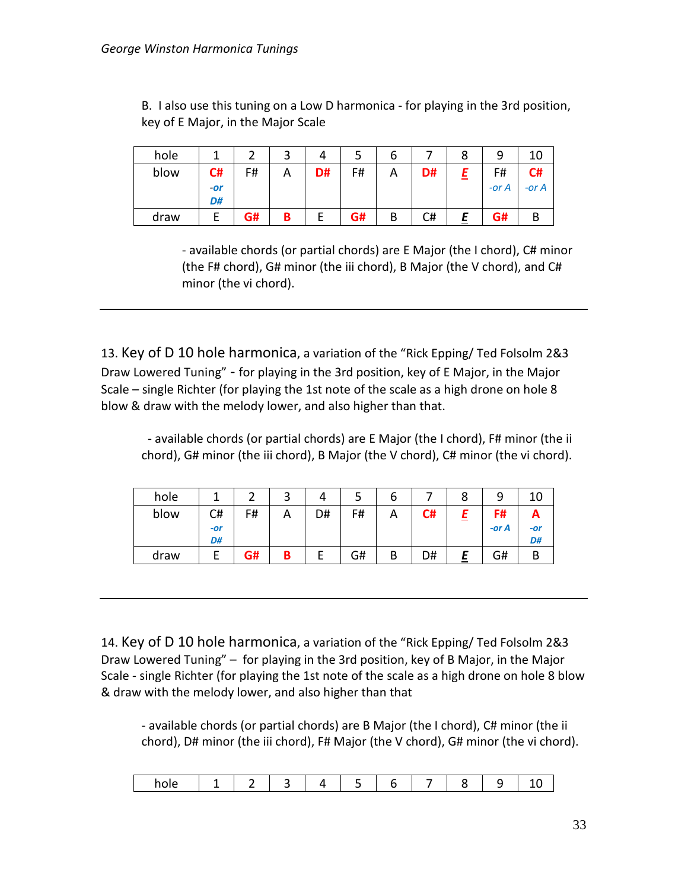B. I also use this tuning on a Low D harmonica - for playing in the 3rd position, key of E Major, in the Major Scale

| hole |     |    | ◠ |    |    | ь |    |       | 10    |
|------|-----|----|---|----|----|---|----|-------|-------|
| blow | C#  | F# |   | D# | F# | Α | D# | F#    | C#    |
|      | -or |    |   |    |    |   |    | -or A | -or A |
|      | D#  |    |   |    |    |   |    |       |       |
| draw |     | G# | Β |    | G# | В | C# | G#    |       |

- available chords (or partial chords) are E Major (the I chord), C# minor (the F# chord), G# minor (the iii chord), B Major (the V chord), and C# minor (the vi chord).

13. Key of D 10 hole harmonica, a variation of the "Rick Epping/ Ted Folsolm 2&3 Draw Lowered Tuning" - for playing in the 3rd position, key of E Major, in the Major Scale – single Richter (for playing the 1st note of the scale as a high drone on hole 8 blow & draw with the melody lower, and also higher than that.

- available chords (or partial chords) are E Major (the I chord), F# minor (the ii chord), G# minor (the iii chord), B Major (the V chord), C# minor (the vi chord).

| hole |       |    | ◠ |    |    | o |    |         |     |
|------|-------|----|---|----|----|---|----|---------|-----|
| blow | C#    | F# | A | D# | F# | Α | C# | F#      | Ā   |
|      | $-or$ |    |   |    |    |   |    | -or $A$ | -or |
|      | D#    |    |   |    |    |   |    |         | D#  |
| draw |       | G# | в |    | G# | B | D# | G#      |     |

14. Key of D 10 hole harmonica, a variation of the "Rick Epping/ Ted Folsolm 2&3 Draw Lowered Tuning" – for playing in the 3rd position, key of B Major, in the Major Scale - single Richter (for playing the 1st note of the scale as a high drone on hole 8 blow & draw with the melody lower, and also higher than that

- available chords (or partial chords) are B Major (the I chord), C# minor (the ii chord), D# minor (the iii chord), F# Major (the V chord), G# minor (the vi chord).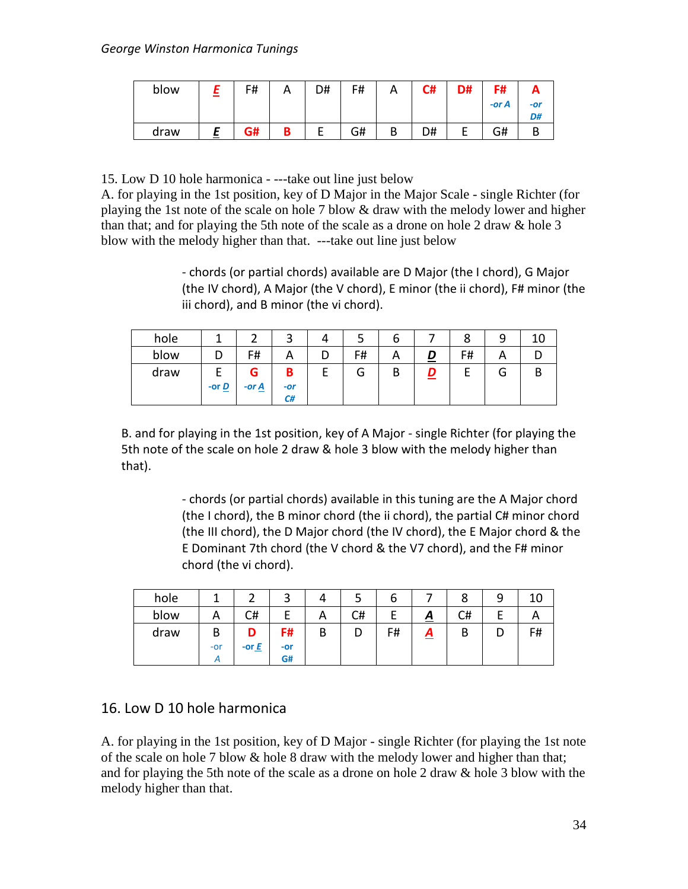| blow | F# | A      | D# | F# | А | C# | D# | F#    |           |
|------|----|--------|----|----|---|----|----|-------|-----------|
|      |    |        |    |    |   |    |    | -or A | -or<br>D# |
| draw | G# | D<br>D |    | G# | В | D# |    | G#    |           |

15. Low D 10 hole harmonica - ---take out line just below

A. for playing in the 1st position, key of D Major in the Major Scale - single Richter (for playing the 1st note of the scale on hole 7 blow & draw with the melody lower and higher than that; and for playing the 5th note of the scale as a drone on hole 2 draw & hole 3 blow with the melody higher than that. ---take out line just below

> - chords (or partial chords) available are D Major (the I chord), G Major (the IV chord), A Major (the V chord), E minor (the ii chord), F# minor (the iii chord), and B minor (the vi chord).

| hole |                                   |                          | ٮ                | ٮ  | O |                | Ο  |   |   |
|------|-----------------------------------|--------------------------|------------------|----|---|----------------|----|---|---|
| blow |                                   | F#                       | А                | F# |   | $\overline{D}$ | F# | n |   |
| draw | E<br>-or $\underline{\mathbf{D}}$ | G<br>-or $\underline{A}$ | В<br>$-or$<br>C# | u  | D | D<br>=         |    | G | D |

B. and for playing in the 1st position, key of A Major - single Richter (for playing the 5th note of the scale on hole 2 draw & hole 3 blow with the melody higher than that).

> - chords (or partial chords) available in this tuning are the A Major chord (the I chord), the B minor chord (the ii chord), the partial C# minor chord (the III chord), the D Major chord (the IV chord), the E Major chord & the E Dominant 7th chord (the V chord & the V7 chord), and the F# minor chord (the vi chord).

| hole |       |         | ີ   |   |    | O  |          | Ο  | a |    |
|------|-------|---------|-----|---|----|----|----------|----|---|----|
| blow |       | C#      |     | А | C# |    | <u>А</u> | C# |   |    |
| draw | B     | n       | F#  | В | υ  | F# | <u>д</u> | D  |   | F# |
|      | $-0r$ | -or $E$ | -or |   |    |    |          |    |   |    |
|      |       |         | G#  |   |    |    |          |    |   |    |

## 16. Low D 10 hole harmonica

A. for playing in the 1st position, key of D Major - single Richter (for playing the 1st note of the scale on hole 7 blow & hole 8 draw with the melody lower and higher than that; and for playing the 5th note of the scale as a drone on hole 2 draw & hole 3 blow with the melody higher than that.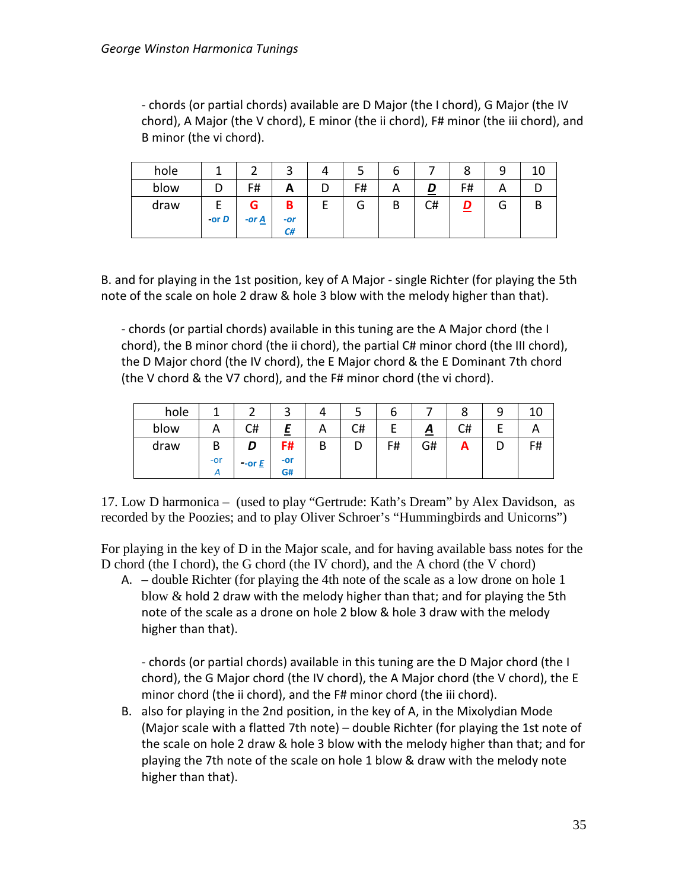- chords (or partial chords) available are D Major (the I chord), G Major (the IV chord), A Major (the V chord), E minor (the ii chord), F# minor (the iii chord), and B minor (the vi chord).

| hole |         |                     | ⌒<br>ت | 4 | ت  | о      |    |          |   |   |
|------|---------|---------------------|--------|---|----|--------|----|----------|---|---|
| blow |         | F#                  | А      | D | F# |        |    | F#       | ⌒ |   |
| draw |         | G                   | B      | E | G  | D<br>D | C# | <u>D</u> | G | D |
|      | -or $D$ | -or $\underline{A}$ | $-or$  |   |    |        |    |          |   |   |
|      |         |                     | C#     |   |    |        |    |          |   |   |

B. and for playing in the 1st position, key of A Major - single Richter (for playing the 5th note of the scale on hole 2 draw & hole 3 blow with the melody higher than that).

- chords (or partial chords) available in this tuning are the A Major chord (the I chord), the B minor chord (the ii chord), the partial C# minor chord (the III chord), the D Major chord (the IV chord), the E Major chord & the E Dominant 7th chord (the V chord & the V7 chord), and the F# minor chord (the vi chord).

| hole |       |                        | ت     |          |    | O  |          | Ο  | a |    |
|------|-------|------------------------|-------|----------|----|----|----------|----|---|----|
| blow |       | C#                     | -     | <u>r</u> | C# |    | <u>д</u> | C# |   |    |
| draw | B     | D                      | F#    | В        | D  | F# | G#       | ~  |   | F# |
|      | $-0r$ | $-$ or $\underline{E}$ | $-0r$ |          |    |    |          |    |   |    |
|      |       |                        | G#    |          |    |    |          |    |   |    |

17. Low D harmonica – (used to play "Gertrude: Kath's Dream" by Alex Davidson, as recorded by the Poozies; and to play Oliver Schroer's "Hummingbirds and Unicorns")

For playing in the key of D in the Major scale, and for having available bass notes for the D chord (the I chord), the G chord (the IV chord), and the A chord (the V chord)

A. – double Richter (for playing the 4th note of the scale as a low drone on hole 1 blow & hold 2 draw with the melody higher than that; and for playing the 5th note of the scale as a drone on hole 2 blow & hole 3 draw with the melody higher than that).

- chords (or partial chords) available in this tuning are the D Major chord (the I chord), the G Major chord (the IV chord), the A Major chord (the V chord), the E minor chord (the ii chord), and the F# minor chord (the iii chord).

B. also for playing in the 2nd position, in the key of A, in the Mixolydian Mode (Major scale with a flatted 7th note) – double Richter (for playing the 1st note of the scale on hole 2 draw & hole 3 blow with the melody higher than that; and for playing the 7th note of the scale on hole 1 blow & draw with the melody note higher than that).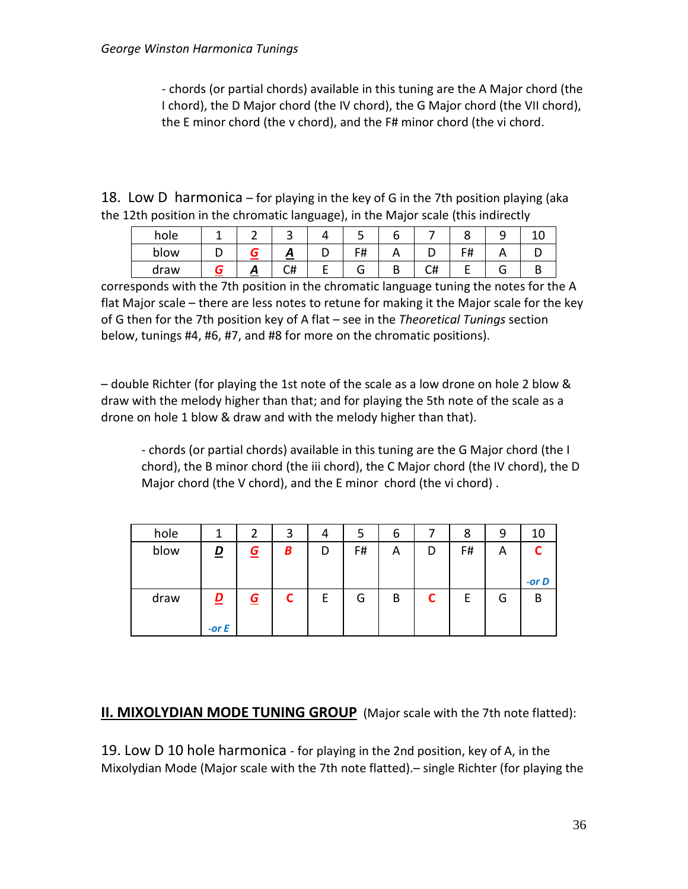- chords (or partial chords) available in this tuning are the A Major chord (the I chord), the D Major chord (the IV chord), the G Major chord (the VII chord), the E minor chord (the v chord), and the F# minor chord (the vi chord.

18. Low D harmonica – for playing in the key of G in the 7th position playing (aka the 12th position in the chromatic language), in the Major scale (this indirectly

| hole |  | ٮ                | ے          |          |          |                  | ۔ |  |
|------|--|------------------|------------|----------|----------|------------------|---|--|
| blow |  | ~<br>--          | F#<br>דד ו | <u>r</u> | ∽        | -4<br>$\bm{\pi}$ |   |  |
| draw |  | <b>___</b><br>C# | л          | D<br>D   | r#<br>៶π |                  |   |  |

corresponds with the 7th position in the chromatic language tuning the notes for the A flat Major scale – there are less notes to retune for making it the Major scale for the key of G then for the 7th position key of A flat – see in the *Theoretical Tunings* section below, tunings #4, #6, #7, and #8 for more on the chromatic positions).

– double Richter (for playing the 1st note of the scale as a low drone on hole 2 blow & draw with the melody higher than that; and for playing the 5th note of the scale as a drone on hole 1 blow & draw and with the melody higher than that).

- chords (or partial chords) available in this tuning are the G Major chord (the I chord), the B minor chord (the iii chord), the C Major chord (the IV chord), the D Major chord (the V chord), and the E minor chord (the vi chord) .

| hole | 1                 | 2        | 3 | 4 | 5  | 6 |   | 8  | 9 | 10       |
|------|-------------------|----------|---|---|----|---|---|----|---|----------|
| blow | D                 | <u>G</u> | В | D | F# | Α | D | F# | A | $-$ or D |
| draw | D<br>=<br>-or $E$ | <u>G</u> | C | E | G  | B | C | E  | G | B        |

#### **II. MIXOLYDIAN MODE TUNING GROUP** (Major scale with the 7th note flatted):

19. Low D 10 hole harmonica - for playing in the 2nd position, key of A, in the Mixolydian Mode (Major scale with the 7th note flatted).– single Richter (for playing the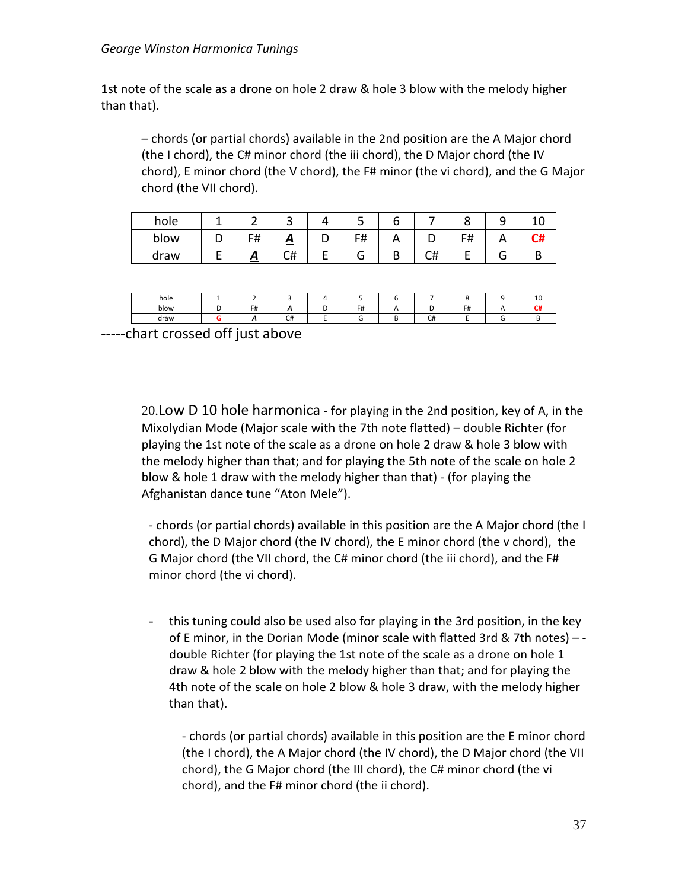#### *George Winston Harmonica Tunings*

1st note of the scale as a drone on hole 2 draw & hole 3 blow with the melody higher than that).

– chords (or partial chords) available in the 2nd position are the A Major chord (the I chord), the C# minor chord (the iii chord), the D Major chord (the IV chord), E minor chord (the V chord), the F# minor (the vi chord), and the G Major chord (the VII chord).

| hole |            |    |   |    |   |         |    |  |
|------|------------|----|---|----|---|---------|----|--|
| blow | F#         | ≏  | ້ | F# |   |         | сн |  |
| draw | $\sqrt{ }$ | C# | - | Ō  | υ | ′#<br>ີ |    |  |

| hole |   |          |    |    |                                |          |   | 40       |
|------|---|----------|----|----|--------------------------------|----------|---|----------|
| blow | е | F#       | −  | F# | о                              | E#<br>гл |   | - "<br>₩ |
| draw |   | -<br>$-$ | C# | G  | $\mathsf{C}^{\mathsf{H}}$<br>₩ |          | - |          |

-----chart crossed off just above

20.Low D 10 hole harmonica - for playing in the 2nd position, key of A, in the Mixolydian Mode (Major scale with the 7th note flatted) – double Richter (for playing the 1st note of the scale as a drone on hole 2 draw & hole 3 blow with the melody higher than that; and for playing the 5th note of the scale on hole 2 blow & hole 1 draw with the melody higher than that) - (for playing the Afghanistan dance tune "Aton Mele").

- chords (or partial chords) available in this position are the A Major chord (the I chord), the D Major chord (the IV chord), the E minor chord (the v chord), the G Major chord (the VII chord, the C# minor chord (the iii chord), and the F# minor chord (the vi chord).

- this tuning could also be used also for playing in the 3rd position, in the key of E minor, in the Dorian Mode (minor scale with flatted 3rd & 7th notes) – double Richter (for playing the 1st note of the scale as a drone on hole 1 draw & hole 2 blow with the melody higher than that; and for playing the 4th note of the scale on hole 2 blow & hole 3 draw, with the melody higher than that).

- chords (or partial chords) available in this position are the E minor chord (the I chord), the A Major chord (the IV chord), the D Major chord (the VII chord), the G Major chord (the III chord), the C# minor chord (the vi chord), and the F# minor chord (the ii chord).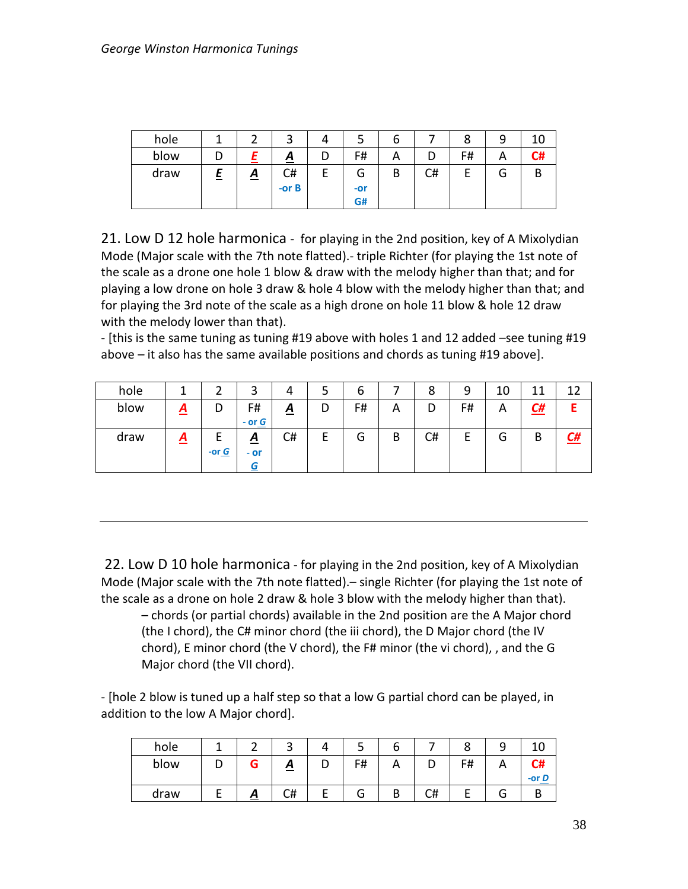| hole |   |          | ⌒        | 4 |        | ь |    | ٥  |        | 10 |
|------|---|----------|----------|---|--------|---|----|----|--------|----|
| blow |   |          | <u>A</u> | D | F#     | А |    | F# | n      | C# |
| draw | 느 | <u>A</u> | C#       | E | ⌒<br>u | B | C# |    | ⌒<br>G | В  |
|      |   |          | $-$ or B |   | -or    |   |    |    |        |    |
|      |   |          |          |   | G#     |   |    |    |        |    |

21. Low D 12 hole harmonica - for playing in the 2nd position, key of A Mixolydian Mode (Major scale with the 7th note flatted).- triple Richter (for playing the 1st note of the scale as a drone one hole 1 blow & draw with the melody higher than that; and for playing a low drone on hole 3 draw & hole 4 blow with the melody higher than that; and for playing the 3rd note of the scale as a high drone on hole 11 blow & hole 12 draw with the melody lower than that).

- [this is the same tuning as tuning #19 above with holes 1 and 12 added –see tuning #19 above – it also has the same available positions and chords as tuning #19 above].

| hole |          |         | ◠<br>ت                               | 4               |   | b  |   | 8  | 9       | 10 | 44        |                   |
|------|----------|---------|--------------------------------------|-----------------|---|----|---|----|---------|----|-----------|-------------------|
| blow | <u>д</u> | υ       | F#<br>- or $G$                       | $\underline{A}$ | D | F# | Α | D  | F#      | А  | <u>C#</u> |                   |
| draw | <u>A</u> | -or $G$ | $\overline{\mathbf{A}}$<br>- or<br>G | C#              | - | G  | В | C# | -<br>c. | G  | B         | $\underline{C}$ # |

22. Low D 10 hole harmonica - for playing in the 2nd position, key of A Mixolydian Mode (Major scale with the 7th note flatted).– single Richter (for playing the 1st note of the scale as a drone on hole 2 draw & hole 3 blow with the melody higher than that).

– chords (or partial chords) available in the 2nd position are the A Major chord (the I chord), the C# minor chord (the iii chord), the D Major chord (the IV chord), E minor chord (the V chord), the F# minor (the vi chord), , and the G Major chord (the VII chord).

- [hole 2 blow is tuned up a half step so that a low G partial chord can be played, in addition to the low A Major chord].

| hole |   |   | ت        |    | o |          |    |   |       |
|------|---|---|----------|----|---|----------|----|---|-------|
| blow | ◡ | G | <u>д</u> | F# |   |          | F# | n | ∼     |
|      |   |   |          |    |   |          |    |   | -or D |
| draw |   | Ξ | C#       | э  | D | r#<br>ັບ |    | G |       |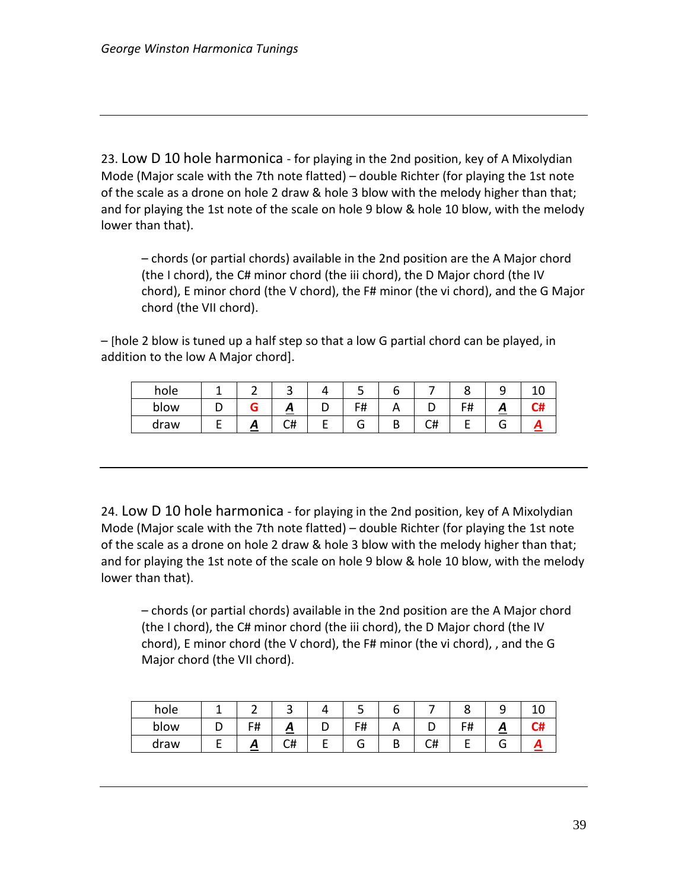23. Low D 10 hole harmonica - for playing in the 2nd position, key of A Mixolydian Mode (Major scale with the 7th note flatted) – double Richter (for playing the 1st note of the scale as a drone on hole 2 draw & hole 3 blow with the melody higher than that; and for playing the 1st note of the scale on hole 9 blow & hole 10 blow, with the melody lower than that).

– chords (or partial chords) available in the 2nd position are the A Major chord (the I chord), the C# minor chord (the iii chord), the D Major chord (the IV chord), E minor chord (the V chord), the F# minor (the vi chord), and the G Major chord (the VII chord).

– [hole 2 blow is tuned up a half step so that a low G partial chord can be played, in addition to the low A Major chord].

| hole |  |          |   | ــ                  |   |    |    |  |
|------|--|----------|---|---------------------|---|----|----|--|
| blow |  | $\sim$   | ັ | F#<br>$\cdot$ $\pi$ |   |    | с# |  |
| draw |  | r#<br>८π | _ | J.                  | ш | ◡╥ |    |  |

24. Low D 10 hole harmonica - for playing in the 2nd position, key of A Mixolydian Mode (Major scale with the 7th note flatted) – double Richter (for playing the 1st note of the scale as a drone on hole 2 draw & hole 3 blow with the melody higher than that; and for playing the 1st note of the scale on hole 9 blow & hole 10 blow, with the melody lower than that).

– chords (or partial chords) available in the 2nd position are the A Major chord (the I chord), the C# minor chord (the iii chord), the D Major chord (the IV chord), E minor chord (the V chord), the F# minor (the vi chord), , and the G Major chord (the VII chord).

| hole |    |    |   |    |   |    |    |   |  |
|------|----|----|---|----|---|----|----|---|--|
| blow | F# | ≏  | ັ | F# |   |    | r# | ◠ |  |
| draw |    | C# |   | ت  | D | U# |    |   |  |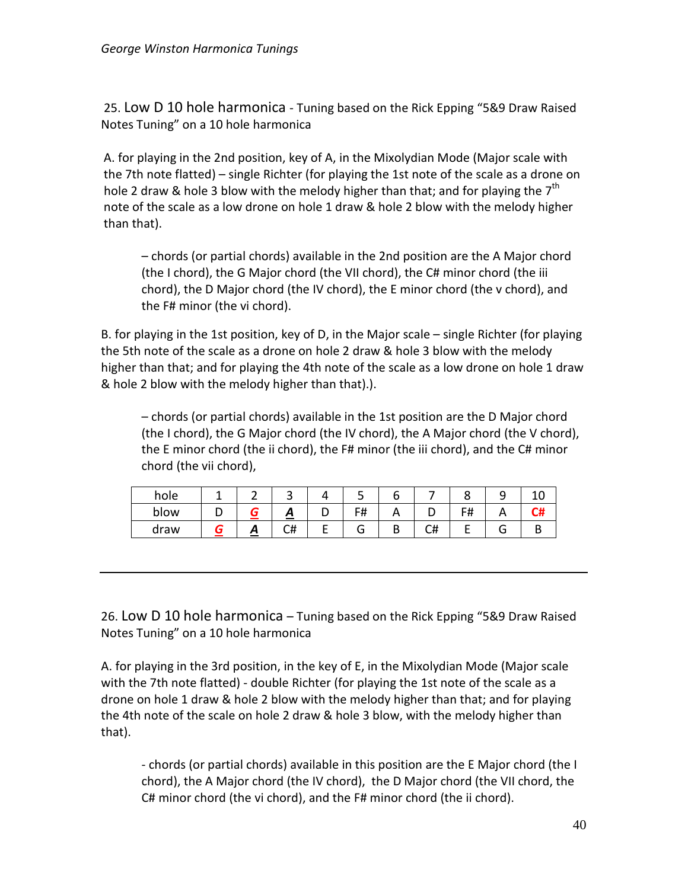25. Low D 10 hole harmonica - Tuning based on the Rick Epping "5&9 Draw Raised Notes Tuning" on a 10 hole harmonica

A. for playing in the 2nd position, key of A, in the Mixolydian Mode (Major scale with the 7th note flatted) – single Richter (for playing the 1st note of the scale as a drone on hole 2 draw & hole 3 blow with the melody higher than that; and for playing the  $7<sup>th</sup>$ note of the scale as a low drone on hole 1 draw & hole 2 blow with the melody higher than that).

– chords (or partial chords) available in the 2nd position are the A Major chord (the I chord), the G Major chord (the VII chord), the C# minor chord (the iii chord), the D Major chord (the IV chord), the E minor chord (the v chord), and the F# minor (the vi chord).

B. for playing in the 1st position, key of D, in the Major scale – single Richter (for playing the 5th note of the scale as a drone on hole 2 draw & hole 3 blow with the melody higher than that; and for playing the 4th note of the scale as a low drone on hole 1 draw & hole 2 blow with the melody higher than that).).

– chords (or partial chords) available in the 1st position are the D Major chord (the I chord), the G Major chord (the IV chord), the A Major chord (the V chord), the E minor chord (the ii chord), the F# minor (the iii chord), and the C# minor chord (the vii chord),

| hole |   |    |   | ٮ  |   |    |         | - |  |
|------|---|----|---|----|---|----|---------|---|--|
| blow |   | ≏  | ັ | F# |   |    | с#<br>. |   |  |
| draw | - | C# |   | ت  | υ | C# |         |   |  |

26. Low D 10 hole harmonica – Tuning based on the Rick Epping "5&9 Draw Raised Notes Tuning" on a 10 hole harmonica

A. for playing in the 3rd position, in the key of E, in the Mixolydian Mode (Major scale with the 7th note flatted) - double Richter (for playing the 1st note of the scale as a drone on hole 1 draw & hole 2 blow with the melody higher than that; and for playing the 4th note of the scale on hole 2 draw & hole 3 blow, with the melody higher than that).

- chords (or partial chords) available in this position are the E Major chord (the I chord), the A Major chord (the IV chord), the D Major chord (the VII chord, the C# minor chord (the vi chord), and the F# minor chord (the ii chord).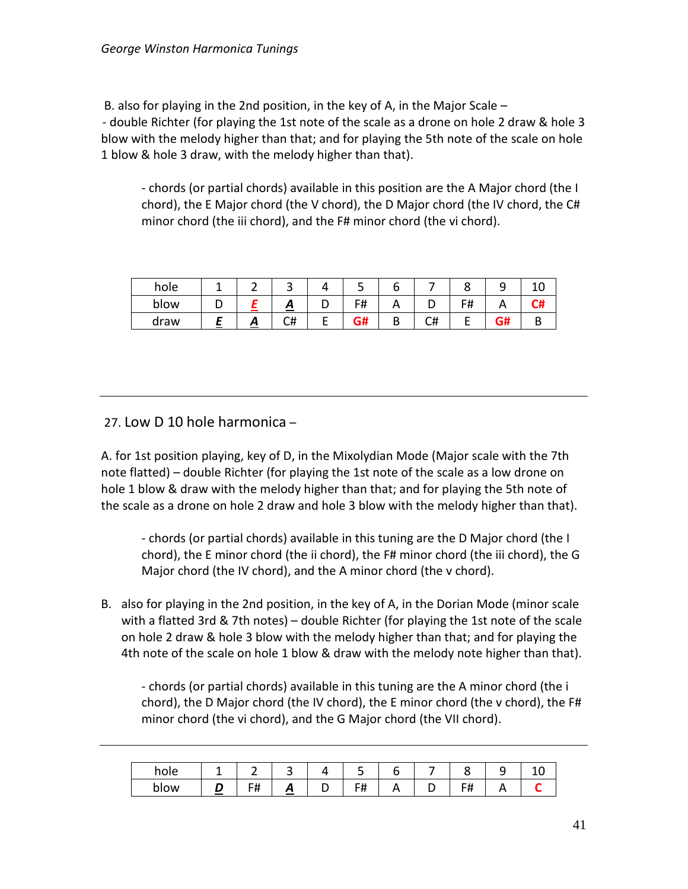B. also for playing in the 2nd position, in the key of A, in the Major Scale – - double Richter (for playing the 1st note of the scale as a drone on hole 2 draw & hole 3 blow with the melody higher than that; and for playing the 5th note of the scale on hole 1 blow & hole 3 draw, with the melody higher than that).

- chords (or partial chords) available in this position are the A Major chord (the I chord), the E Major chord (the V chord), the D Major chord (the IV chord, the C# minor chord (the iii chord), and the F# minor chord (the vi chord).

| hole |   | ັ  |   | ٮ                  |   |         |            |    |  |
|------|---|----|---|--------------------|---|---------|------------|----|--|
| blow |   | ≏  | ັ | <b>C</b> #<br>דד ו |   |         | F#<br>דד ו |    |  |
| draw | ≏ | C# | - | ~<br>vп            | D | r#<br>๛ |            | G# |  |

#### 27. Low D 10 hole harmonica –

A. for 1st position playing, key of D, in the Mixolydian Mode (Major scale with the 7th note flatted) – double Richter (for playing the 1st note of the scale as a low drone on hole 1 blow & draw with the melody higher than that; and for playing the 5th note of the scale as a drone on hole 2 draw and hole 3 blow with the melody higher than that).

- chords (or partial chords) available in this tuning are the D Major chord (the I chord), the E minor chord (the ii chord), the F# minor chord (the iii chord), the G Major chord (the IV chord), and the A minor chord (the v chord).

B. also for playing in the 2nd position, in the key of A, in the Dorian Mode (minor scale with a flatted 3rd & 7th notes) – double Richter (for playing the 1st note of the scale on hole 2 draw & hole 3 blow with the melody higher than that; and for playing the 4th note of the scale on hole 1 blow & draw with the melody note higher than that).

- chords (or partial chords) available in this tuning are the A minor chord (the i chord), the D Major chord (the IV chord), the E minor chord (the v chord), the F# minor chord (the vi chord), and the G Major chord (the VII chord).

|             |                             | -<br>-   |        |   | -<br>. .           | -<br>n |   | c                   | ے          |  |
|-------------|-----------------------------|----------|--------|---|--------------------|--------|---|---------------------|------------|--|
| <b>DIOM</b> | <b>Service</b> Construction | FШ.<br>. | ≏<br>_ | - | с#<br>$\mathbf{H}$ | n.     | - | ⊤<br><del>ח</del> ו | $\sqrt{ }$ |  |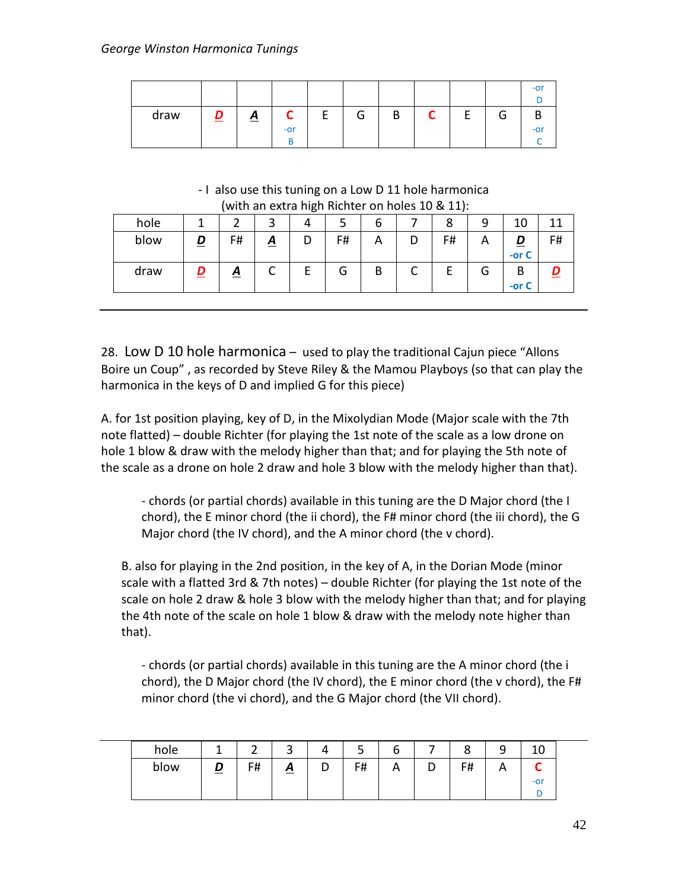|      |        |          |            |        |   |   |   |        | $-0r$ |
|------|--------|----------|------------|--------|---|---|---|--------|-------|
| draw | D<br>— | <u>A</u> | ∽<br>$-0r$ | ⌒<br>٠ | B | ⌒ | Е | ⌒<br>J | $-0r$ |

- I also use this tuning on a Low D 11 hole harmonica (with an extra high Richter on holes 10 & 11):

| hole |   | when an extra might menter on noies to $\alpha$ ttp. |                 |    | υ |    |   | 10           |    |
|------|---|------------------------------------------------------|-----------------|----|---|----|---|--------------|----|
| blow |   | F#                                                   | $\underline{A}$ | F# |   | F# | A | -or $C$      | F# |
| draw | D | <u>A</u>                                             |                 | G  | В |    | G | B<br>-or $C$ |    |

28. Low D 10 hole harmonica – used to play the traditional Cajun piece "Allons Boire un Coup" , as recorded by Steve Riley & the Mamou Playboys (so that can play the harmonica in the keys of D and implied G for this piece)

A. for 1st position playing, key of D, in the Mixolydian Mode (Major scale with the 7th note flatted) – double Richter (for playing the 1st note of the scale as a low drone on hole 1 blow & draw with the melody higher than that; and for playing the 5th note of the scale as a drone on hole 2 draw and hole 3 blow with the melody higher than that).

- chords (or partial chords) available in this tuning are the D Major chord (the I chord), the E minor chord (the ii chord), the F# minor chord (the iii chord), the G Major chord (the IV chord), and the A minor chord (the v chord).

B. also for playing in the 2nd position, in the key of A, in the Dorian Mode (minor scale with a flatted 3rd & 7th notes) – double Richter (for playing the 1st note of the scale on hole 2 draw & hole 3 blow with the melody higher than that; and for playing the 4th note of the scale on hole 1 blow & draw with the melody note higher than that).

- chords (or partial chords) available in this tuning are the A minor chord (the i chord), the D Major chord (the IV chord), the E minor chord (the v chord), the F# minor chord (the vi chord), and the G Major chord (the VII chord).

| hole |          | ∽  | ⌒<br>ٮ            |   | ت  | b          | c<br>Ο | q<br>ے                | ∸     |  |
|------|----------|----|-------------------|---|----|------------|--------|-----------------------|-------|--|
| blow | <u>ப</u> | F# | $\mathbf{\Omega}$ | υ | F# | $\sqrt{ }$ | F#     | $\mathbf{\mathsf{m}}$ |       |  |
|      |          |    |                   |   |    |            |        |                       | $-0r$ |  |
|      |          |    |                   |   |    |            |        |                       |       |  |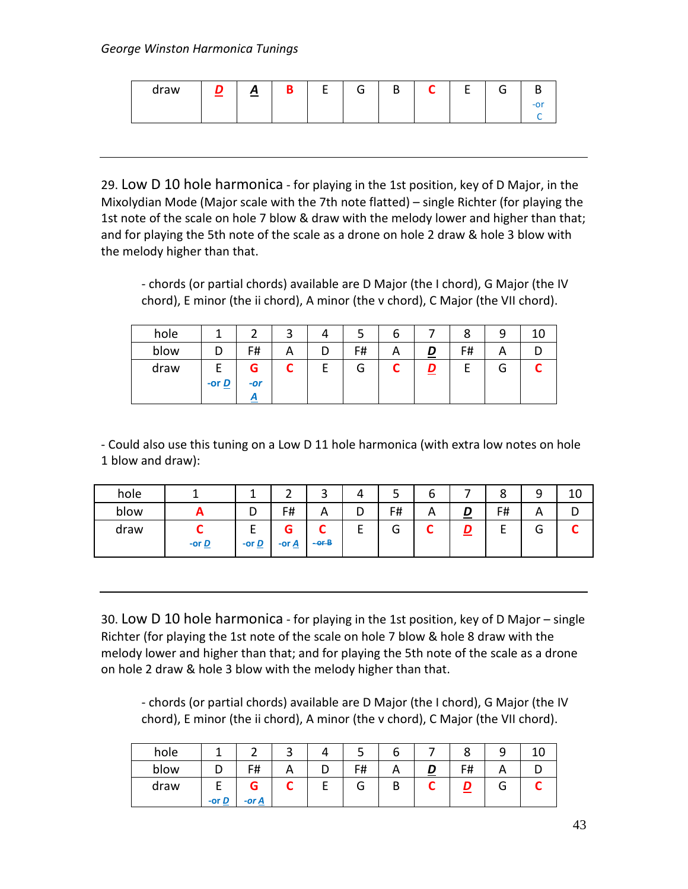| draw | <u>A</u> | R | - | G | D | ∼ | - | $\subseteq$ |  |
|------|----------|---|---|---|---|---|---|-------------|--|
|      |          |   |   |   |   |   |   |             |  |
|      |          |   |   |   |   |   |   |             |  |

29. Low D 10 hole harmonica - for playing in the 1st position, key of D Major, in the Mixolydian Mode (Major scale with the 7th note flatted) – single Richter (for playing the 1st note of the scale on hole 7 blow & draw with the melody lower and higher than that; and for playing the 5th note of the scale as a drone on hole 2 draw & hole 3 blow with the melody higher than that.

- chords (or partial chords) available are D Major (the I chord), G Major (the IV chord), E minor (the ii chord), A minor (the v chord), C Major (the VII chord).

| O | 8                             | q |  |
|---|-------------------------------|---|--|
|   | F#<br>$\overline{\mathbf{D}}$ | Α |  |
|   |                               | G |  |
|   |                               |   |  |

- Could also use this tuning on a Low D 11 hole harmonica (with extra low notes on hole 1 blow and draw):

| hole |                              |                                          | -                        | ٮ             | 4 | ٮ      | o |   | ٥  | q<br>┘                    | ⊥∪ |
|------|------------------------------|------------------------------------------|--------------------------|---------------|---|--------|---|---|----|---------------------------|----|
| blow | Ē                            | י                                        | F#                       | Α             | υ | F#     | Α | ≗ | F# | $\boldsymbol{\mathsf{A}}$ |    |
| draw | -or $\underline{\mathbf{D}}$ | <u>.</u><br>-or $\underline{\mathbf{D}}$ | G<br>-or $\underline{A}$ | -<br>$-$ or-B | - | ∽<br>u | ∽ | = |    | ∽<br>u                    |    |

30. Low D 10 hole harmonica - for playing in the 1st position, key of D Major – single Richter (for playing the 1st note of the scale on hole 7 blow & hole 8 draw with the melody lower and higher than that; and for playing the 5th note of the scale as a drone on hole 2 draw & hole 3 blow with the melody higher than that.

- chords (or partial chords) available are D Major (the I chord), G Major (the IV chord), E minor (the ii chord), A minor (the v chord), C Major (the VII chord).

| hole |                              |               | ٮ |   | ب  |   |    |   |  |
|------|------------------------------|---------------|---|---|----|---|----|---|--|
| blow |                              | F#            | A | ◡ | F# |   | F# |   |  |
| draw | -or $\underline{\mathbf{D}}$ | G<br>$-$ or A |   | c | G  | D |    | u |  |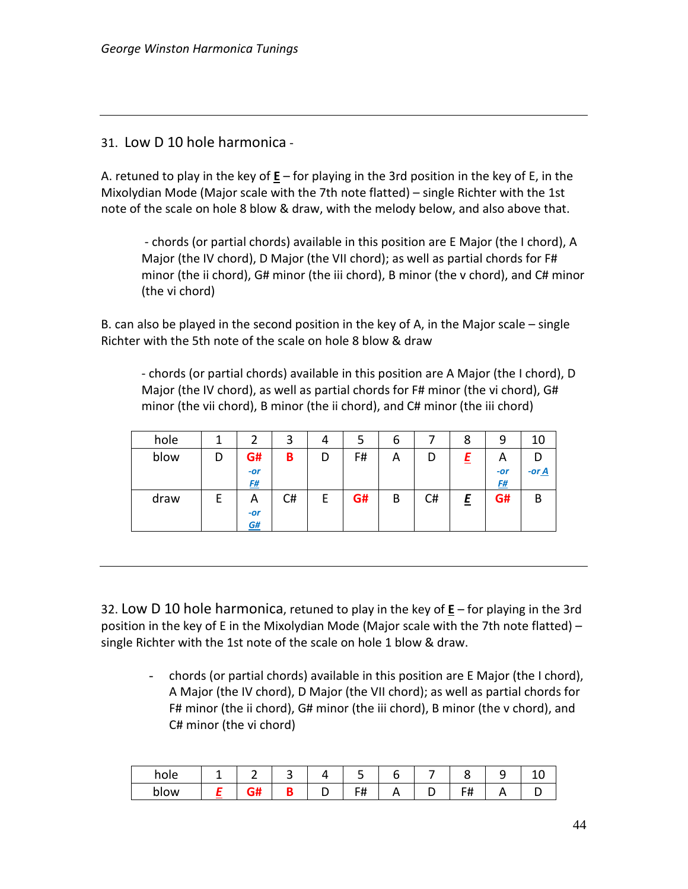31. Low D 10 hole harmonica -

A. retuned to play in the key of **E** – for playing in the 3rd position in the key of E, in the Mixolydian Mode (Major scale with the 7th note flatted) – single Richter with the 1st note of the scale on hole 8 blow & draw, with the melody below, and also above that.

- chords (or partial chords) available in this position are E Major (the I chord), A Major (the IV chord), D Major (the VII chord); as well as partial chords for F# minor (the ii chord), G# minor (the iii chord), B minor (the v chord), and C# minor (the vi chord)

B. can also be played in the second position in the key of A, in the Major scale – single Richter with the 5th note of the scale on hole 8 blow & draw

- chords (or partial chords) available in this position are A Major (the I chord), D Major (the IV chord), as well as partial chords for F# minor (the vi chord), G# minor (the vii chord), B minor (the ii chord), and C# minor (the iii chord)

| hole |   |           | 3  | 4 | 5  | 6 |    | 8 | 9         | 10                  |
|------|---|-----------|----|---|----|---|----|---|-----------|---------------------|
| blow | D | G#        | B  | D | F# | А | C  |   | A         |                     |
|      |   | $-or$     |    |   |    |   |    |   | $-or$     | -or $\underline{A}$ |
|      |   | <u>F#</u> |    |   |    |   |    |   | <u>F#</u> |                     |
| draw |   | A         | C# | E | G# | B | C# | E | G#        | B                   |
|      |   | $-or$     |    |   |    |   |    |   |           |                     |
|      |   | G#        |    |   |    |   |    |   |           |                     |

32. Low D 10 hole harmonica, retuned to play in the key of **E** – for playing in the 3rd position in the key of E in the Mixolydian Mode (Major scale with the 7th note flatted) – single Richter with the 1st note of the scale on hole 1 blow & draw.

- chords (or partial chords) available in this position are E Major (the I chord), A Major (the IV chord), D Major (the VII chord); as well as partial chords for F# minor (the ii chord), G# minor (the iii chord), B minor (the v chord), and C# minor (the vi chord)

| ∼              | _ | ے |   |        |  |  |  |
|----------------|---|---|---|--------|--|--|--|
| .ow<br>ונ<br>ຼ |   |   | - | -<br>. |  |  |  |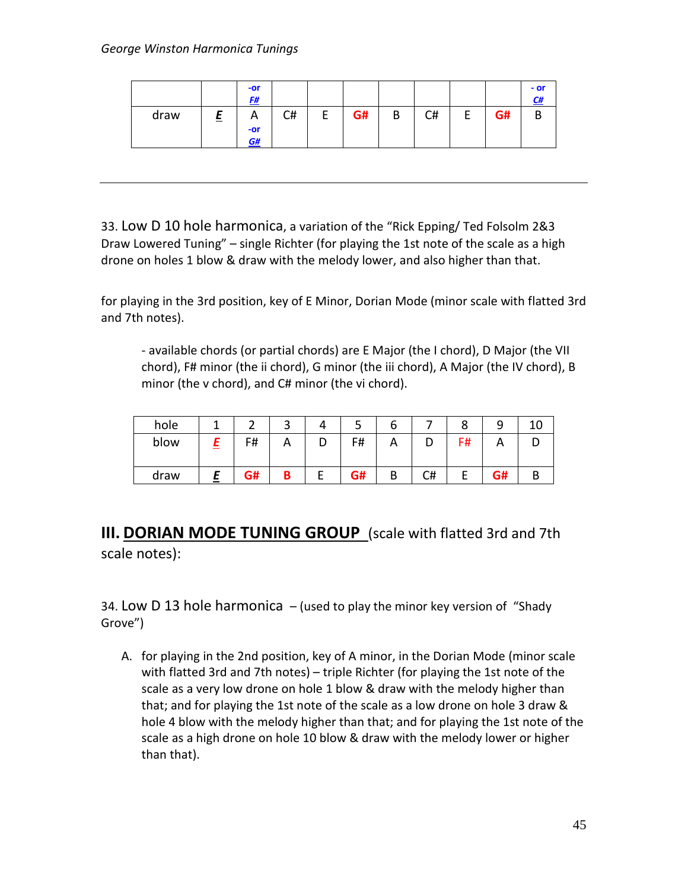|      |   | $-0r$<br>F#                 |    |   |    |   |    |   |    | $-$ or<br>C# |
|------|---|-----------------------------|----|---|----|---|----|---|----|--------------|
| draw | ⋍ | $\mathsf{A}$<br>$-0r$<br>G# | C# | г | G# | B | C# | - | G# | В            |

33. Low D 10 hole harmonica, a variation of the "Rick Epping/ Ted Folsolm 2&3 Draw Lowered Tuning" – single Richter (for playing the 1st note of the scale as a high drone on holes 1 blow & draw with the melody lower, and also higher than that.

for playing in the 3rd position, key of E Minor, Dorian Mode (minor scale with flatted 3rd and 7th notes).

- available chords (or partial chords) are E Major (the I chord), D Major (the VII chord), F# minor (the ii chord), G minor (the iii chord), A Major (the IV chord), B minor (the v chord), and C# minor (the vi chord).

| hole |    | ◠<br>ີ | -  | ь |    |    |    |  |
|------|----|--------|----|---|----|----|----|--|
| blow | F# |        | F# | Α | ◡  | F# |    |  |
| draw | G# | В      | G# | В | C# |    | G# |  |

**III. DORIAN MODE TUNING GROUP** (scale with flatted 3rd and 7th scale notes):

34. Low D 13 hole harmonica  $-$  (used to play the minor key version of "Shady" Grove")

A. for playing in the 2nd position, key of A minor, in the Dorian Mode (minor scale with flatted 3rd and 7th notes) – triple Richter (for playing the 1st note of the scale as a very low drone on hole 1 blow & draw with the melody higher than that; and for playing the 1st note of the scale as a low drone on hole 3 draw & hole 4 blow with the melody higher than that; and for playing the 1st note of the scale as a high drone on hole 10 blow & draw with the melody lower or higher than that).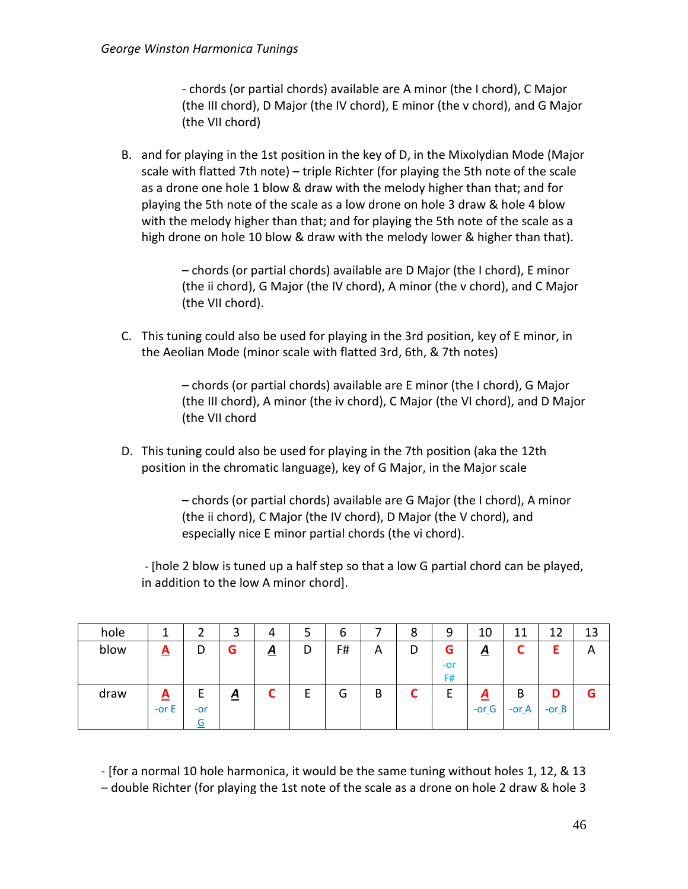- chords (or partial chords) available are A minor (the I chord), C Major (the III chord), D Major (the IV chord), E minor (the v chord), and G Major (the VII chord)

B. and for playing in the 1st position in the key of D, in the Mixolydian Mode (Major scale with flatted 7th note) – triple Richter (for playing the 5th note of the scale as a drone one hole 1 blow & draw with the melody higher than that; and for playing the 5th note of the scale as a low drone on hole 3 draw & hole 4 blow with the melody higher than that; and for playing the 5th note of the scale as a high drone on hole 10 blow & draw with the melody lower & higher than that).

> – chords (or partial chords) available are D Major (the I chord), E minor (the ii chord), G Major (the IV chord), A minor (the v chord), and C Major (the VII chord).

C. This tuning could also be used for playing in the 3rd position, key of E minor, in the Aeolian Mode (minor scale with flatted 3rd, 6th, & 7th notes)

> – chords (or partial chords) available are E minor (the I chord), G Major (the III chord), A minor (the iv chord), C Major (the VI chord), and D Major (the VII chord

D. This tuning could also be used for playing in the 7th position (aka the 12th position in the chromatic language), key of G Major, in the Major scale

> – chords (or partial chords) available are G Major (the I chord), A minor (the ii chord), C Major (the IV chord), D Major (the V chord), and especially nice E minor partial chords (the vi chord).

- [hole 2 blow is tuned up a half step so that a low G partial chord can be played, in addition to the low A minor chord].

| hole |                          |            | 3        |                 | כ | b  |   | 8 | 9                | 10                  | 11           | 12           | 13 |
|------|--------------------------|------------|----------|-----------------|---|----|---|---|------------------|---------------------|--------------|--------------|----|
| blow | $\underline{\mathbf{A}}$ | D          | G        | $\underline{A}$ | D | F# | Α | D | G<br>$-0r$<br>F# | <u>A</u>            | ∽            | Ε            | Α  |
| draw | <u>A</u><br>-or $E$      | $-0r$<br>÷ | <u>A</u> | ◚               | E | G  | B | ∼ | E.               | <u>A</u><br>$-or_G$ | B<br>-or $A$ | D<br>$-or_B$ | G  |

- [for a normal 10 hole harmonica, it would be the same tuning without holes 1, 12, & 13

– double Richter (for playing the 1st note of the scale as a drone on hole 2 draw & hole 3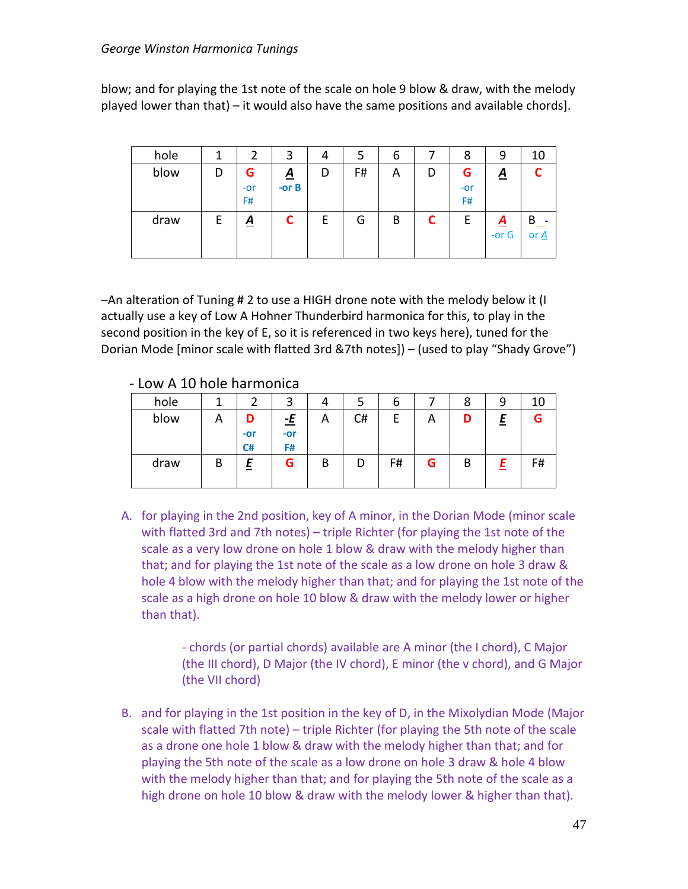blow; and for playing the 1st note of the scale on hole 9 blow & draw, with the melody played lower than that) – it would also have the same positions and available chords].

| hole |   | 2                | 3                          | 4 | 5  | b | 8                | 9                          | 10        |
|------|---|------------------|----------------------------|---|----|---|------------------|----------------------------|-----------|
| blow | D | G<br>$-0r$<br>F# | $\underline{A}$<br>-or $B$ | D | F# | A | G<br>$-0r$<br>F# | <u>A</u>                   |           |
| draw | E | $\underline{A}$  | C                          | E | G  | B | E                | $\underline{A}$<br>-or $G$ | B<br>or A |

–An alteration of Tuning # 2 to use a HIGH drone note with the melody below it (I actually use a key of Low A Hohner Thunderbird harmonica for this, to play in the second position in the key of E, so it is referenced in two keys here), tuned for the Dorian Mode [minor scale with flatted 3rd &7th notes]) – (used to play "Shady Grove")

#### - Low A 10 hole harmonica

| hole |   |                  | ີ                        | 4 | ͻ  | b  |   | 8 | 9      | 10 |
|------|---|------------------|--------------------------|---|----|----|---|---|--------|----|
| blow | A | D<br>$-0r$<br>C# | <u>-E</u><br>$-0r$<br>F# | А | C# | F  | А | D | E<br>= | G  |
| draw | B | 느                | G                        | B | D  | F# | G | В |        | F# |

A. for playing in the 2nd position, key of A minor, in the Dorian Mode (minor scale with flatted 3rd and 7th notes) – triple Richter (for playing the 1st note of the scale as a very low drone on hole 1 blow & draw with the melody higher than that; and for playing the 1st note of the scale as a low drone on hole 3 draw & hole 4 blow with the melody higher than that; and for playing the 1st note of the scale as a high drone on hole 10 blow & draw with the melody lower or higher than that).

> - chords (or partial chords) available are A minor (the I chord), C Major (the III chord), D Major (the IV chord), E minor (the v chord), and G Major (the VII chord)

B. and for playing in the 1st position in the key of D, in the Mixolydian Mode (Major scale with flatted 7th note) – triple Richter (for playing the 5th note of the scale as a drone one hole 1 blow & draw with the melody higher than that; and for playing the 5th note of the scale as a low drone on hole 3 draw & hole 4 blow with the melody higher than that; and for playing the 5th note of the scale as a high drone on hole 10 blow & draw with the melody lower & higher than that).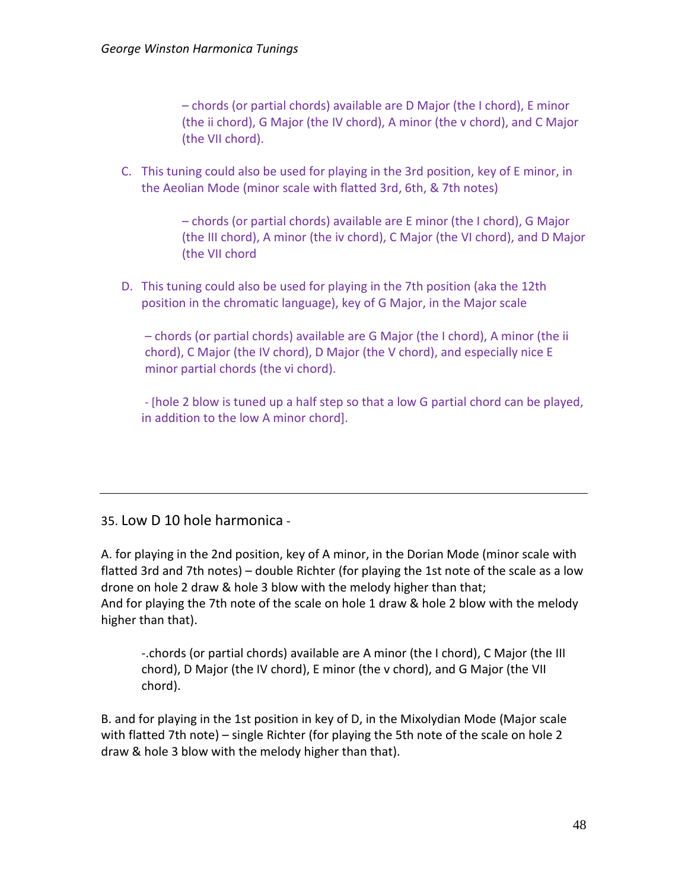– chords (or partial chords) available are D Major (the I chord), E minor (the ii chord), G Major (the IV chord), A minor (the v chord), and C Major (the VII chord).

C. This tuning could also be used for playing in the 3rd position, key of E minor, in the Aeolian Mode (minor scale with flatted 3rd, 6th, & 7th notes)

> – chords (or partial chords) available are E minor (the I chord), G Major (the III chord), A minor (the iv chord), C Major (the VI chord), and D Major (the VII chord

D. This tuning could also be used for playing in the 7th position (aka the 12th position in the chromatic language), key of G Major, in the Major scale

– chords (or partial chords) available are G Major (the I chord), A minor (the ii chord), C Major (the IV chord), D Major (the V chord), and especially nice E minor partial chords (the vi chord).

- [hole 2 blow is tuned up a half step so that a low G partial chord can be played, in addition to the low A minor chord].

#### 35. Low D 10 hole harmonica -

A. for playing in the 2nd position, key of A minor, in the Dorian Mode (minor scale with flatted 3rd and 7th notes) – double Richter (for playing the 1st note of the scale as a low drone on hole 2 draw & hole 3 blow with the melody higher than that; And for playing the 7th note of the scale on hole 1 draw & hole 2 blow with the melody higher than that).

-.chords (or partial chords) available are A minor (the I chord), C Major (the III chord), D Major (the IV chord), E minor (the v chord), and G Major (the VII chord).

B. and for playing in the 1st position in key of D, in the Mixolydian Mode (Major scale with flatted 7th note) – single Richter (for playing the 5th note of the scale on hole 2 draw & hole 3 blow with the melody higher than that).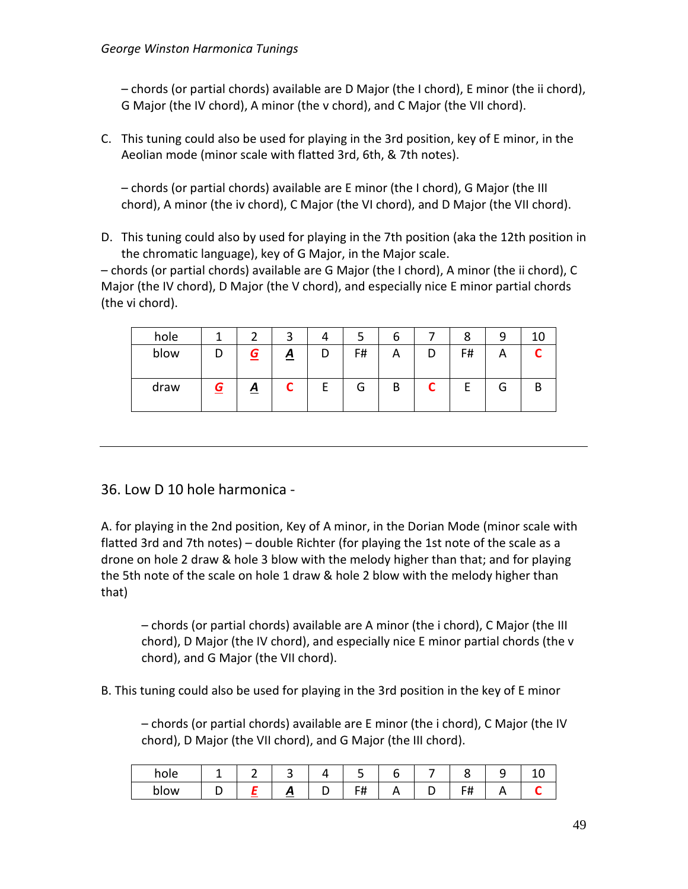– chords (or partial chords) available are D Major (the I chord), E minor (the ii chord), G Major (the IV chord), A minor (the v chord), and C Major (the VII chord).

C. This tuning could also be used for playing in the 3rd position, key of E minor, in the Aeolian mode (minor scale with flatted 3rd, 6th, & 7th notes).

– chords (or partial chords) available are E minor (the I chord), G Major (the III chord), A minor (the iv chord), C Major (the VI chord), and D Major (the VII chord).

D. This tuning could also by used for playing in the 7th position (aka the 12th position in the chromatic language), key of G Major, in the Major scale.

– chords (or partial chords) available are G Major (the I chord), A minor (the ii chord), C Major (the IV chord), D Major (the V chord), and especially nice E minor partial chords (the vi chord).

| hole |   |                 | ົ               | 4 |    | b |   | 8  | a |   |
|------|---|-----------------|-----------------|---|----|---|---|----|---|---|
| blow |   | G               | $\underline{A}$ |   | F# | А |   | F# |   |   |
| draw | G | $\underline{A}$ | C               | E | G  | B | ∼ | E  | G | מ |

## 36. Low D 10 hole harmonica -

A. for playing in the 2nd position, Key of A minor, in the Dorian Mode (minor scale with flatted 3rd and 7th notes) – double Richter (for playing the 1st note of the scale as a drone on hole 2 draw & hole 3 blow with the melody higher than that; and for playing the 5th note of the scale on hole 1 draw & hole 2 blow with the melody higher than that)

– chords (or partial chords) available are A minor (the i chord), C Major (the III chord), D Major (the IV chord), and especially nice E minor partial chords (the v chord), and G Major (the VII chord).

B. This tuning could also be used for playing in the 3rd position in the key of E minor

– chords (or partial chords) available are E minor (the i chord), C Major (the IV chord), D Major (the VII chord), and G Major (the III chord).

| hole | - | ے      |   | -                   |          |  |  |
|------|---|--------|---|---------------------|----------|--|--|
| blow |   | ≖<br>≃ | ັ | FЩ<br>$\cdot$ $\pi$ | <u>n</u> |  |  |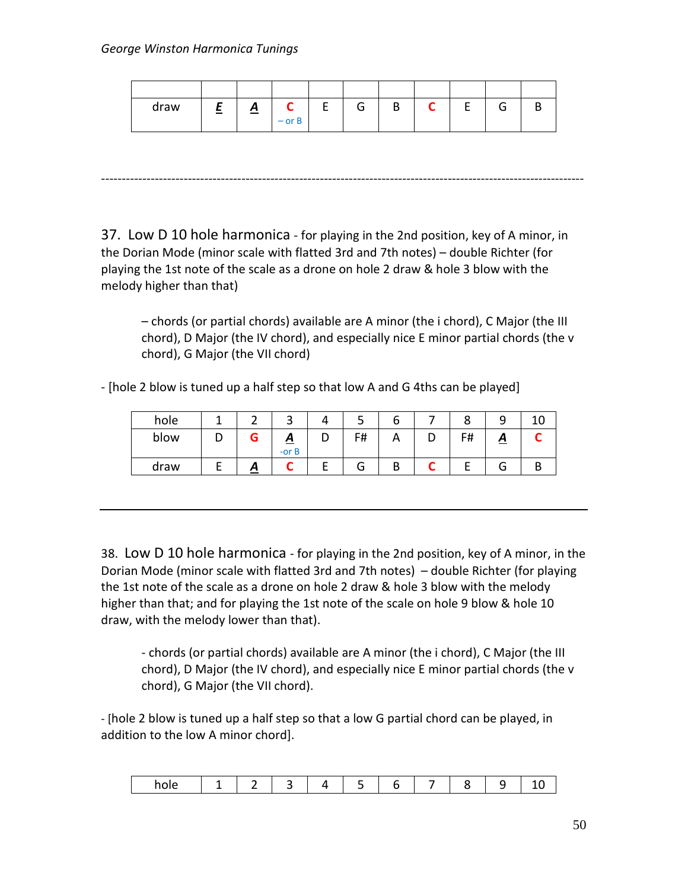melody higher than that)

| draw | <u>. на п</u> | $\mathbf{\Omega}$ | $-$ or B | ∽ | n |  |  |
|------|---------------|-------------------|----------|---|---|--|--|

---------------------------------------------------------------------------------------------------------------------

37. Low D 10 hole harmonica - for playing in the 2nd position, key of A minor, in the Dorian Mode (minor scale with flatted 3rd and 7th notes) – double Richter (for playing the 1st note of the scale as a drone on hole 2 draw & hole 3 blow with the

– chords (or partial chords) available are A minor (the i chord), C Major (the III chord), D Major (the IV chord), and especially nice E minor partial chords (the v chord), G Major (the VII chord)

- [hole 2 blow is tuned up a half step so that low A and G 4ths can be played]

| hole |   |   |               |   | ٮ  | b            |   |    |                   |  |
|------|---|---|---------------|---|----|--------------|---|----|-------------------|--|
| blow | ш |   | ≏<br>$-$ or B | י | F# | $\mathsf{H}$ | ┕ | F# | $\mathbf{\Omega}$ |  |
| draw |   | г |               |   | G  | В            |   |    |                   |  |

38. Low D 10 hole harmonica - for playing in the 2nd position, key of A minor, in the Dorian Mode (minor scale with flatted 3rd and 7th notes) – double Richter (for playing the 1st note of the scale as a drone on hole 2 draw & hole 3 blow with the melody higher than that; and for playing the 1st note of the scale on hole 9 blow & hole 10 draw, with the melody lower than that).

- chords (or partial chords) available are A minor (the i chord), C Major (the III chord), D Major (the IV chord), and especially nice E minor partial chords (the v chord), G Major (the VII chord).

- [hole 2 blow is tuned up a half step so that a low G partial chord can be played, in addition to the low A minor chord].

| hole |  |  | . . |  |  |  |  |  |
|------|--|--|-----|--|--|--|--|--|
|------|--|--|-----|--|--|--|--|--|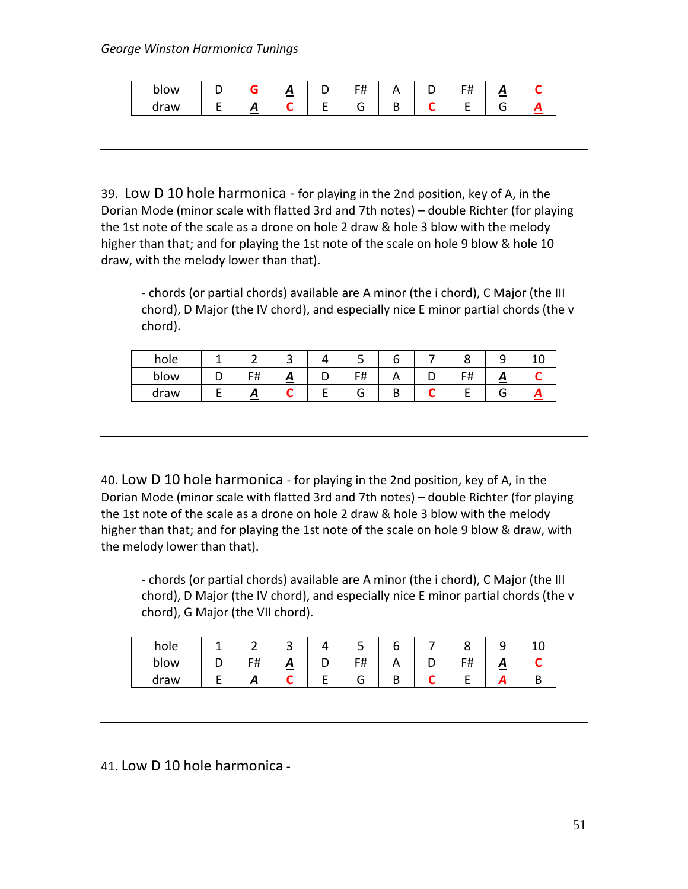| blow |   | . . | - 11<br>.<br>. |   | -<br>. . |  |
|------|---|-----|----------------|---|----------|--|
| draw | ≃ |     |                | - |          |  |

39. Low D 10 hole harmonica - for playing in the 2nd position, key of A, in the Dorian Mode (minor scale with flatted 3rd and 7th notes) – double Richter (for playing the 1st note of the scale as a drone on hole 2 draw & hole 3 blow with the melody higher than that; and for playing the 1st note of the scale on hole 9 blow & hole 10 draw, with the melody lower than that).

- chords (or partial chords) available are A minor (the i chord), C Major (the III chord), D Major (the IV chord), and especially nice E minor partial chords (the v chord).

| hole |                     |          | سه         |  |             |  |
|------|---------------------|----------|------------|--|-------------|--|
| blow | ᄃᆎ<br>$\cdot$ $\pi$ | <u>.</u> | F₩<br>דד ו |  | - 11<br>. . |  |
| draw |                     |          |            |  |             |  |

40. Low D 10 hole harmonica - for playing in the 2nd position, key of A, in the Dorian Mode (minor scale with flatted 3rd and 7th notes) – double Richter (for playing the 1st note of the scale as a drone on hole 2 draw & hole 3 blow with the melody higher than that; and for playing the 1st note of the scale on hole 9 blow & draw, with the melody lower than that).

- chords (or partial chords) available are A minor (the i chord), C Major (the III chord), D Major (the IV chord), and especially nice E minor partial chords (the v chord), G Major (the VII chord).

| hole |            | - |   |    |         |         |   |  |
|------|------------|---|---|----|---------|---------|---|--|
| blow | F#<br>דד ו | ≏ | ັ | F# | $\cdot$ | г#<br>. | - |  |
| draw | ≏          |   |   | ت  |         |         |   |  |

41. Low D 10 hole harmonica -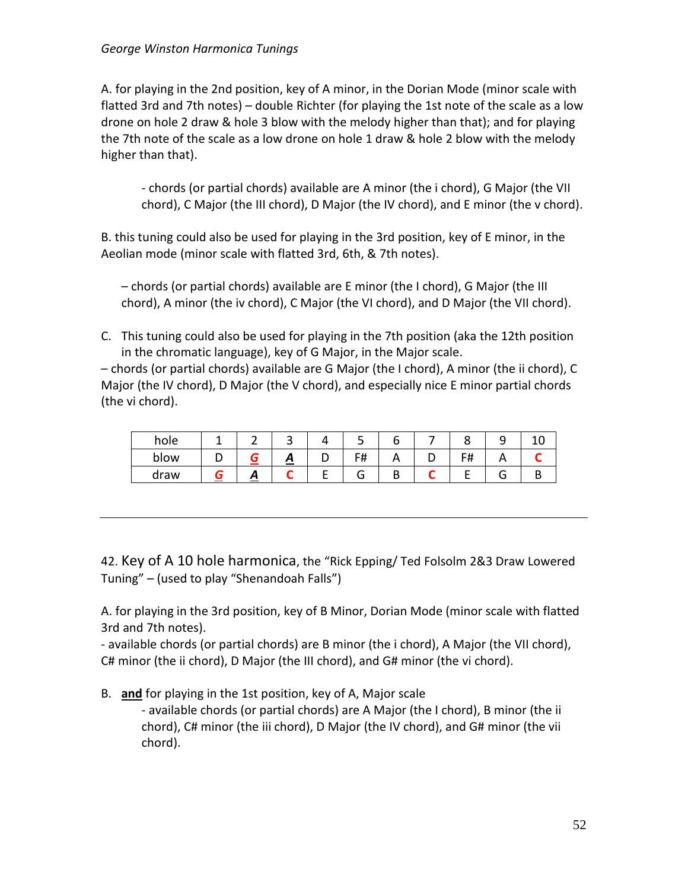A. for playing in the 2nd position, key of A minor, in the Dorian Mode (minor scale with flatted 3rd and 7th notes) – double Richter (for playing the 1st note of the scale as a low drone on hole 2 draw & hole 3 blow with the melody higher than that); and for playing the 7th note of the scale as a low drone on hole 1 draw & hole 2 blow with the melody higher than that).

- chords (or partial chords) available are A minor (the i chord), G Major (the VII chord), C Major (the III chord), D Major (the IV chord), and E minor (the v chord).

B. this tuning could also be used for playing in the 3rd position, key of E minor, in the Aeolian mode (minor scale with flatted 3rd, 6th, & 7th notes).

– chords (or partial chords) available are E minor (the I chord), G Major (the III chord), A minor (the iv chord), C Major (the VI chord), and D Major (the VII chord).

C. This tuning could also be used for playing in the 7th position (aka the 12th position in the chromatic language), key of G Major, in the Major scale.

– chords (or partial chords) available are G Major (the I chord), A minor (the ii chord), C Major (the IV chord), D Major (the V chord), and especially nice E minor partial chords (the vi chord).

| hole |   |   |   | ے  |   |                  |  |
|------|---|---|---|----|---|------------------|--|
| blow |   | Ξ | ັ | F# | n | c#<br>$\bm{\pi}$ |  |
| draw | Л |   |   | O  | ש |                  |  |

42. Key of A 10 hole harmonica, the "Rick Epping/ Ted Folsolm 2&3 Draw Lowered Tuning" – (used to play "Shenandoah Falls")

A. for playing in the 3rd position, key of B Minor, Dorian Mode (minor scale with flatted 3rd and 7th notes).

- available chords (or partial chords) are B minor (the i chord), A Major (the VII chord), C# minor (the ii chord), D Major (the III chord), and G# minor (the vi chord).

B. **and** for playing in the 1st position, key of A, Major scale

- available chords (or partial chords) are A Major (the I chord), B minor (the ii chord), C# minor (the iii chord), D Major (the IV chord), and G# minor (the vii chord).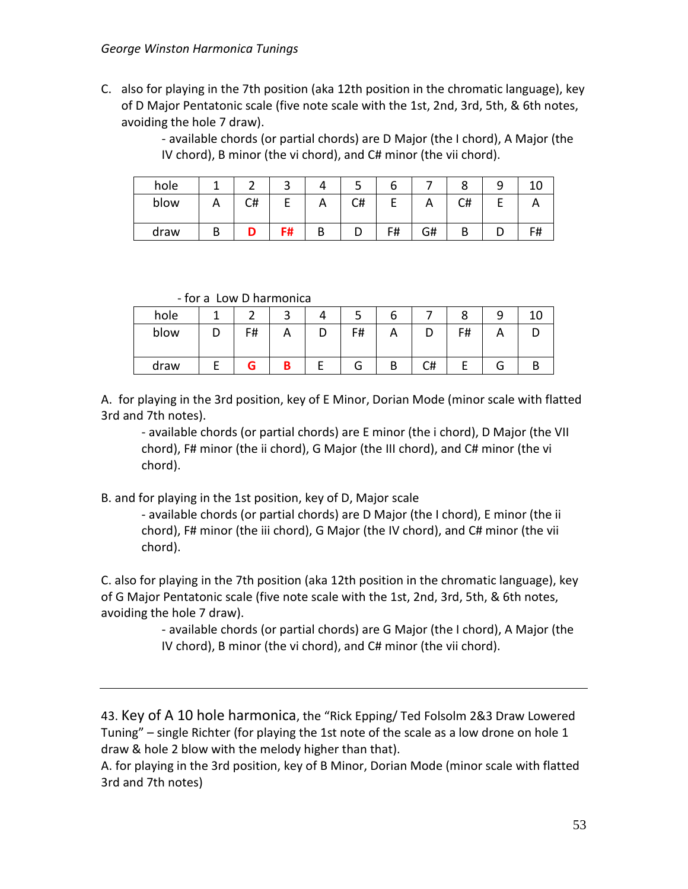C. also for playing in the 7th position (aka 12th position in the chromatic language), key of D Major Pentatonic scale (five note scale with the 1st, 2nd, 3rd, 5th, & 6th notes, avoiding the hole 7 draw).

> - available chords (or partial chords) are D Major (the I chord), A Major (the IV chord), B minor (the vi chord), and C# minor (the vii chord).

| hole |    | ⌒<br>ے |    | ັ  | o  |    |    | - |    |
|------|----|--------|----|----|----|----|----|---|----|
| blow | C# |        | n. | C# |    |    | C# |   |    |
| draw |    | F#     | D  |    | F# | G# |    |   | F# |

- for a Low D harmonica

| hole |    |  |    | o |    |    |        |  |
|------|----|--|----|---|----|----|--------|--|
| blow | F# |  | F# | ⌒ |    | F# |        |  |
| draw |    |  | G  | В | C# |    | -<br>J |  |

A. for playing in the 3rd position, key of E Minor, Dorian Mode (minor scale with flatted 3rd and 7th notes).

- available chords (or partial chords) are E minor (the i chord), D Major (the VII chord), F# minor (the ii chord), G Major (the III chord), and C# minor (the vi chord).

B. and for playing in the 1st position, key of D, Major scale

- available chords (or partial chords) are D Major (the I chord), E minor (the ii chord), F# minor (the iii chord), G Major (the IV chord), and C# minor (the vii chord).

C. also for playing in the 7th position (aka 12th position in the chromatic language), key of G Major Pentatonic scale (five note scale with the 1st, 2nd, 3rd, 5th, & 6th notes, avoiding the hole 7 draw).

> - available chords (or partial chords) are G Major (the I chord), A Major (the IV chord), B minor (the vi chord), and C# minor (the vii chord).

43. Key of A 10 hole harmonica, the "Rick Epping/ Ted Folsolm 2&3 Draw Lowered Tuning" – single Richter (for playing the 1st note of the scale as a low drone on hole 1 draw & hole 2 blow with the melody higher than that).

A. for playing in the 3rd position, key of B Minor, Dorian Mode (minor scale with flatted 3rd and 7th notes)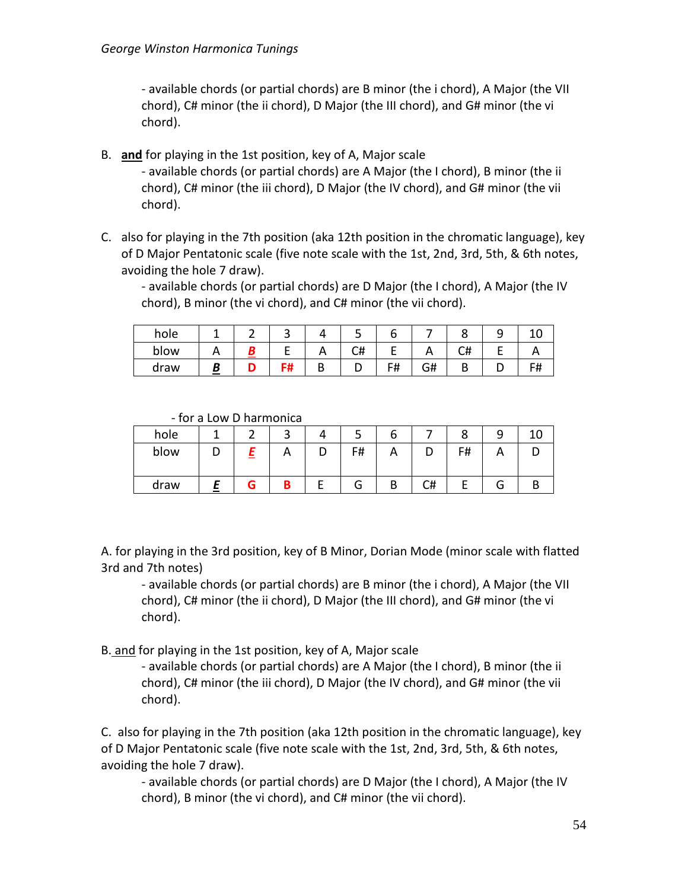- available chords (or partial chords) are B minor (the i chord), A Major (the VII chord), C# minor (the ii chord), D Major (the III chord), and G# minor (the vi chord).

- B. **and** for playing in the 1st position, key of A, Major scale - available chords (or partial chords) are A Major (the I chord), B minor (the ii chord), C# minor (the iii chord), D Major (the IV chord), and G# minor (the vii chord).
- C. also for playing in the 7th position (aka 12th position in the chromatic language), key of D Major Pentatonic scale (five note scale with the 1st, 2nd, 3rd, 5th, & 6th notes, avoiding the hole 7 draw).

- available chords (or partial chords) are D Major (the I chord), A Major (the IV chord), B minor (the vi chord), and C# minor (the vii chord).

| hole |  |          | ٮ  | ∼                     |    |    | ۔ |  |
|------|--|----------|----|-----------------------|----|----|---|--|
| blow |  | $\cdots$ | C# | -                     |    | C# |   |  |
| draw |  | D<br>◡   | ◡  | F#<br>ı <del>11</del> | G# |    |   |  |

- for a Low D harmonica

| hole |  |          | -  | ь                         |    |    |        |  |
|------|--|----------|----|---------------------------|----|----|--------|--|
| blow |  | <u>r</u> | F# | $\boldsymbol{\mathsf{A}}$ | ◡  | F# |        |  |
| draw |  |          | G  | В                         | C# |    | ∽<br>J |  |

A. for playing in the 3rd position, key of B Minor, Dorian Mode (minor scale with flatted 3rd and 7th notes)

- available chords (or partial chords) are B minor (the i chord), A Major (the VII chord), C# minor (the ii chord), D Major (the III chord), and G# minor (the vi chord).

B. and for playing in the 1st position, key of A, Major scale

- available chords (or partial chords) are A Major (the I chord), B minor (the ii chord), C# minor (the iii chord), D Major (the IV chord), and G# minor (the vii chord).

C. also for playing in the 7th position (aka 12th position in the chromatic language), key of D Major Pentatonic scale (five note scale with the 1st, 2nd, 3rd, 5th, & 6th notes, avoiding the hole 7 draw).

- available chords (or partial chords) are D Major (the I chord), A Major (the IV chord), B minor (the vi chord), and C# minor (the vii chord).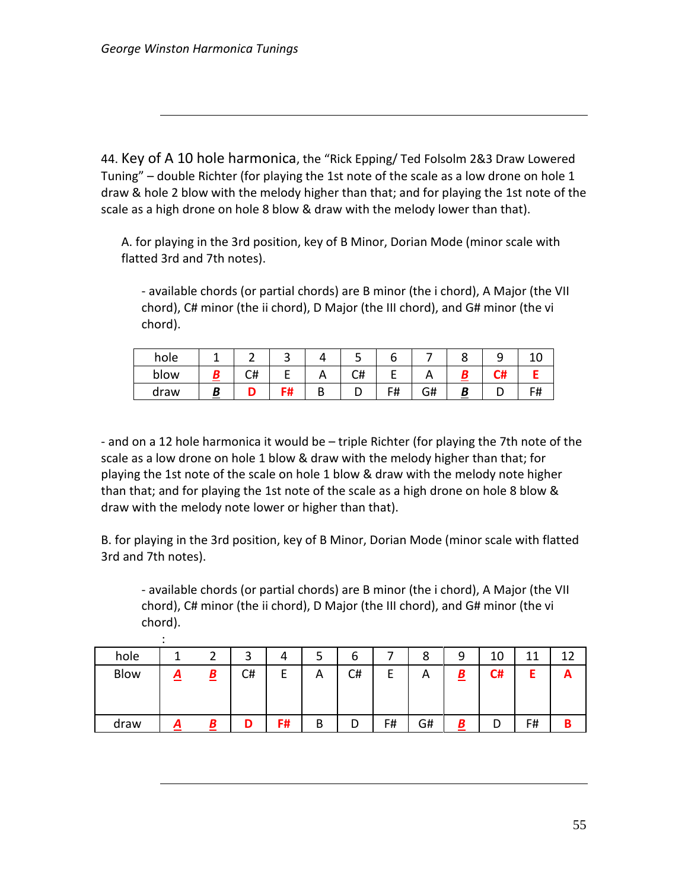:

44. Key of A 10 hole harmonica, the "Rick Epping/ Ted Folsolm 2&3 Draw Lowered Tuning" – double Richter (for playing the 1st note of the scale as a low drone on hole 1 draw & hole 2 blow with the melody higher than that; and for playing the 1st note of the scale as a high drone on hole 8 blow & draw with the melody lower than that).

A. for playing in the 3rd position, key of B Minor, Dorian Mode (minor scale with flatted 3rd and 7th notes).

- available chords (or partial chords) are B minor (the i chord), A Major (the VII chord), C# minor (the ii chord), D Major (the III chord), and G# minor (the vi chord).

| hole |          |          | ٮ  |    |    | ۔ |    |
|------|----------|----------|----|----|----|---|----|
| blow | r#<br>∽⊤ | $\cdots$ | C# |    |    |   |    |
| draw |          |          |    | F# | G# |   | F# |

- and on a 12 hole harmonica it would be – triple Richter (for playing the 7th note of the scale as a low drone on hole 1 blow & draw with the melody higher than that; for playing the 1st note of the scale on hole 1 blow & draw with the melody note higher than that; and for playing the 1st note of the scale as a high drone on hole 8 blow & draw with the melody note lower or higher than that).

B. for playing in the 3rd position, key of B Minor, Dorian Mode (minor scale with flatted 3rd and 7th notes).

- available chords (or partial chords) are B minor (the i chord), A Major (the VII chord), C# minor (the ii chord), D Major (the III chord), and G# minor (the vi chord).

| hole        |          |                          | ર<br>ت | 4       | ͻ | ь  |    | 8  | 9                        | 10 | 44 | 1 ว |
|-------------|----------|--------------------------|--------|---------|---|----|----|----|--------------------------|----|----|-----|
| <b>Blow</b> | <u>д</u> | $\underline{\mathbf{B}}$ | C#     | -<br>ь. | A | C# |    | Α  | $\underline{\mathbf{B}}$ | C# |    | A   |
| draw        |          | B                        |        | F#      | B | D  | F# | G# | Β                        | D  | F# | в   |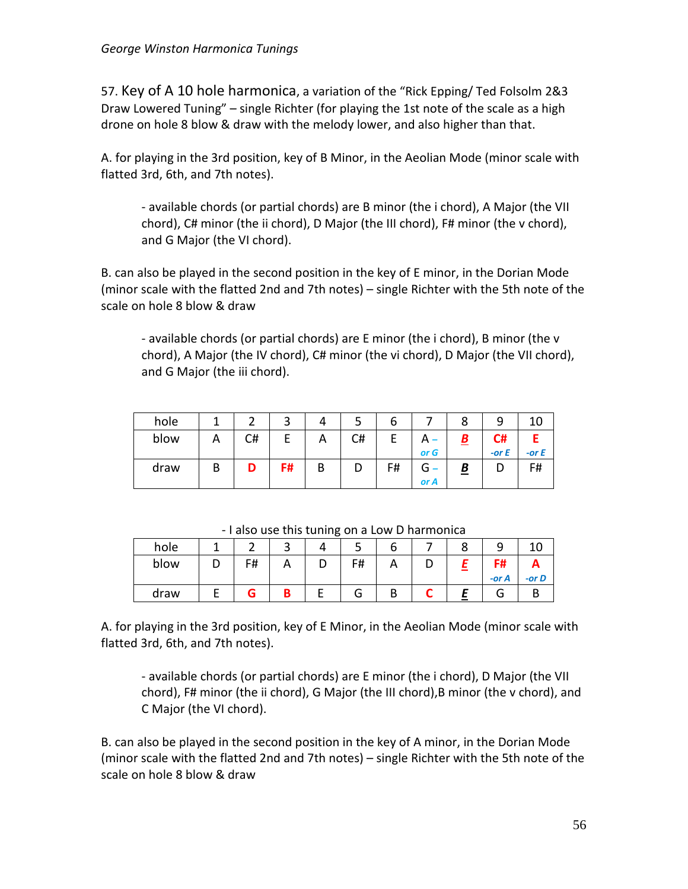57. Key of A 10 hole harmonica, a variation of the "Rick Epping/ Ted Folsolm 2&3 Draw Lowered Tuning" – single Richter (for playing the 1st note of the scale as a high drone on hole 8 blow & draw with the melody lower, and also higher than that.

A. for playing in the 3rd position, key of B Minor, in the Aeolian Mode (minor scale with flatted 3rd, 6th, and 7th notes).

- available chords (or partial chords) are B minor (the i chord), A Major (the VII chord), C# minor (the ii chord), D Major (the III chord), F# minor (the v chord), and G Major (the VI chord).

B. can also be played in the second position in the key of E minor, in the Dorian Mode (minor scale with the flatted 2nd and 7th notes) – single Richter with the 5th note of the scale on hole 8 blow & draw

- available chords (or partial chords) are E minor (the i chord), B minor (the v chord), A Major (the IV chord), C# minor (the vi chord), D Major (the VII chord), and G Major (the iii chord).

| hole |   |    | າ  | 4 |    | ь  |           |                           |         |         |
|------|---|----|----|---|----|----|-----------|---------------------------|---------|---------|
| blow | A | C# |    | A | C# | F  |           | $\underline{\mathcal{B}}$ | C#      |         |
|      |   |    |    |   |    |    | or G      |                           | -or $E$ | -or $E$ |
| draw | D |    | F# | B | D  | F# | G<br>or A | <u>B</u>                  |         | F#      |

| hole |    | ٮ        | ັ  |   |   |       |          |
|------|----|----------|----|---|---|-------|----------|
| blow | F# | <u>r</u> | F# | n | ◡ | F#    | Ē        |
|      |    |          |    |   |   | -or A | $-$ or D |
| draw |    |          | G  | D |   | J     |          |

- I also use this tuning on a Low D harmonica

A. for playing in the 3rd position, key of E Minor, in the Aeolian Mode (minor scale with flatted 3rd, 6th, and 7th notes).

- available chords (or partial chords) are E minor (the i chord), D Major (the VII chord), F# minor (the ii chord), G Major (the III chord),B minor (the v chord), and C Major (the VI chord).

B. can also be played in the second position in the key of A minor, in the Dorian Mode (minor scale with the flatted 2nd and 7th notes) – single Richter with the 5th note of the scale on hole 8 blow & draw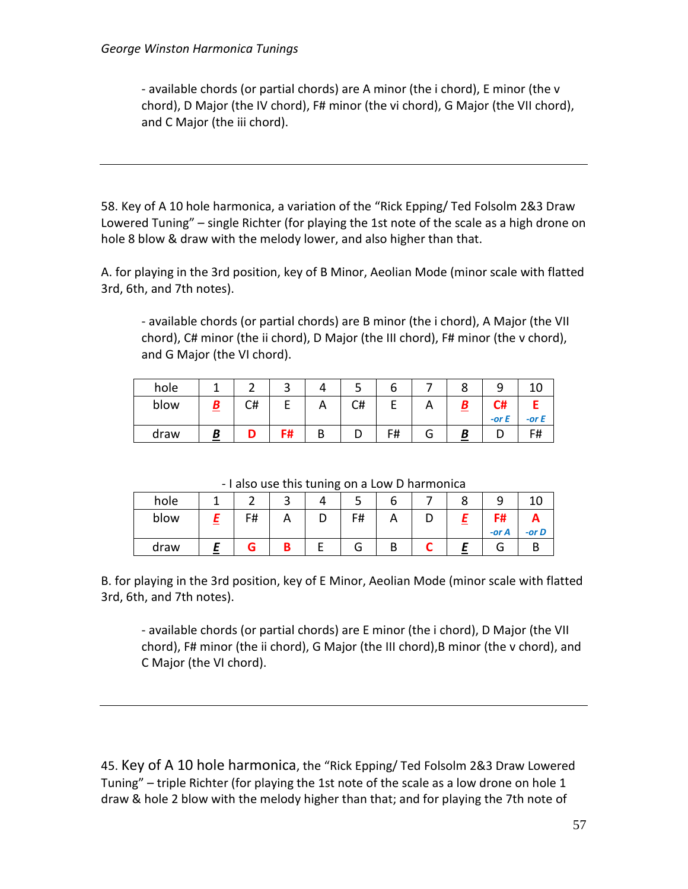- available chords (or partial chords) are A minor (the i chord), E minor (the v chord), D Major (the IV chord), F# minor (the vi chord), G Major (the VII chord), and C Major (the iii chord).

58. Key of A 10 hole harmonica, a variation of the "Rick Epping/ Ted Folsolm 2&3 Draw Lowered Tuning" – single Richter (for playing the 1st note of the scale as a high drone on hole 8 blow & draw with the melody lower, and also higher than that.

A. for playing in the 3rd position, key of B Minor, Aeolian Mode (minor scale with flatted 3rd, 6th, and 7th notes).

- available chords (or partial chords) are B minor (the i chord), A Major (the VII chord), C# minor (the ii chord), D Major (the III chord), F# minor (the v chord), and G Major (the VI chord).

| hole |    |                   |          | ٮ  |    |   |          |         |
|------|----|-------------------|----------|----|----|---|----------|---------|
| blow | C# |                   | <u>r</u> | C# |    |   | C#       |         |
|      |    |                   |          |    |    |   | $-$ or E | -or $E$ |
| draw |    | - 4<br>. .<br>. п | B        | ◡  | F# | O |          | F#      |

- I also use this tuning on a Low D harmonica

| hole |    | ٮ | ັ | ٮ  | O |   | u |                |          |
|------|----|---|---|----|---|---|---|----------------|----------|
| blow | F# |   |   | F# | ⌒ | ◡ |   | F#<br>$-$ or A | $-$ or D |
| draw |    |   |   | ٠  | В |   |   | п              |          |

B. for playing in the 3rd position, key of E Minor, Aeolian Mode (minor scale with flatted 3rd, 6th, and 7th notes).

- available chords (or partial chords) are E minor (the i chord), D Major (the VII chord), F# minor (the ii chord), G Major (the III chord),B minor (the v chord), and C Major (the VI chord).

45. Key of A 10 hole harmonica, the "Rick Epping/ Ted Folsolm 2&3 Draw Lowered Tuning" – triple Richter (for playing the 1st note of the scale as a low drone on hole 1 draw & hole 2 blow with the melody higher than that; and for playing the 7th note of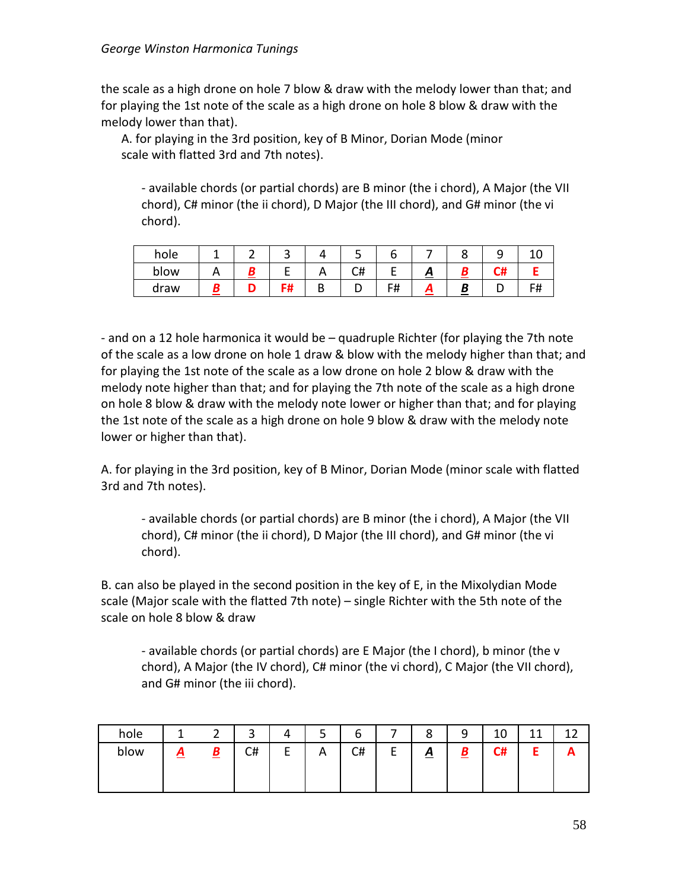the scale as a high drone on hole 7 blow & draw with the melody lower than that; and for playing the 1st note of the scale as a high drone on hole 8 blow & draw with the melody lower than that).

A. for playing in the 3rd position, key of B Minor, Dorian Mode (minor scale with flatted 3rd and 7th notes).

- available chords (or partial chords) are B minor (the i chord), A Major (the VII chord), C# minor (the ii chord), D Major (the III chord), and G# minor (the vi chord).

| hole |  |   | س  |    |                   |      |  |
|------|--|---|----|----|-------------------|------|--|
| blow |  | − | C# |    | $\mathbf{\Gamma}$ | - 77 |  |
| draw |  |   |    | F# | Ā                 |      |  |

- and on a 12 hole harmonica it would be – quadruple Richter (for playing the 7th note of the scale as a low drone on hole 1 draw & blow with the melody higher than that; and for playing the 1st note of the scale as a low drone on hole 2 blow & draw with the melody note higher than that; and for playing the 7th note of the scale as a high drone on hole 8 blow & draw with the melody note lower or higher than that; and for playing the 1st note of the scale as a high drone on hole 9 blow & draw with the melody note lower or higher than that).

A. for playing in the 3rd position, key of B Minor, Dorian Mode (minor scale with flatted 3rd and 7th notes).

- available chords (or partial chords) are B minor (the i chord), A Major (the VII chord), C# minor (the ii chord), D Major (the III chord), and G# minor (the vi chord).

B. can also be played in the second position in the key of E, in the Mixolydian Mode scale (Major scale with the flatted 7th note) – single Richter with the 5th note of the scale on hole 8 blow & draw

- available chords (or partial chords) are E Major (the I chord), b minor (the v chord), A Major (the IV chord), C# minor (the vi chord), C Major (the VII chord), and G# minor (the iii chord).

| hole |   |                          | ົ  |        | ┍<br>ٮ | ∽<br>ь |             | o        | a<br>╯ | 1 በ<br>⊥∪ | $\overline{A}$ |  |
|------|---|--------------------------|----|--------|--------|--------|-------------|----------|--------|-----------|----------------|--|
| blow | ▱ | $\mathbf{\underline{B}}$ | C# | -<br>- | A      | C#     | −<br>⊢<br>- | <u>д</u> | D<br>= | C#        |                |  |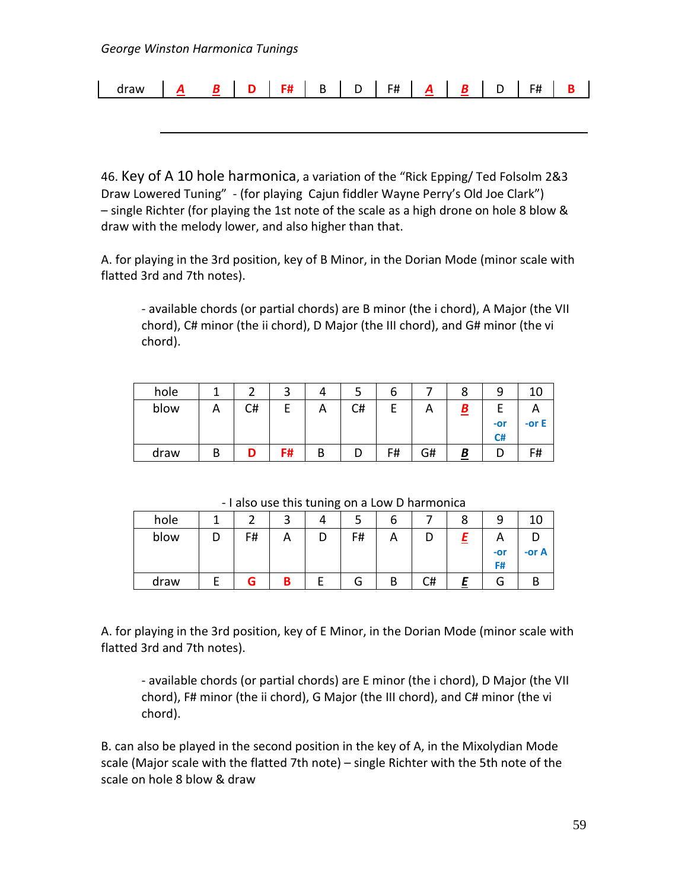| draw |  | - |   | -            | $- \cdot \cdot$<br>$  \tau$ |           |  | - 11<br>. . |  |
|------|--|---|---|--------------|-----------------------------|-----------|--|-------------|--|
|      |  | . | - | . .<br><br>- | n                           | - -<br>__ |  |             |  |

46. Key of A 10 hole harmonica, a variation of the "Rick Epping/ Ted Folsolm 2&3 Draw Lowered Tuning" - (for playing Cajun fiddler Wayne Perry's Old Joe Clark") – single Richter (for playing the 1st note of the scale as a high drone on hole 8 blow & draw with the melody lower, and also higher than that.

A. for playing in the 3rd position, key of B Minor, in the Dorian Mode (minor scale with flatted 3rd and 7th notes).

- available chords (or partial chords) are B minor (the i chord), A Major (the VII chord), C# minor (the ii chord), D Major (the III chord), and G# minor (the vi chord).

| hole |   |    | ົ  |   |    | ь  |    |   |           |         |
|------|---|----|----|---|----|----|----|---|-----------|---------|
| blow | n | C# |    | A | C# | F  | n  | D |           |         |
|      |   |    |    |   |    |    |    |   | -or<br>C# | -or $E$ |
| draw | D |    | F# | В | υ  | F# | G# | Β |           | F#      |

- I also use this tuning on a Low D harmonica

| hole |    | ⌒   |    | ь |    | o | a     |         |
|------|----|-----|----|---|----|---|-------|---------|
| blow | F# | ┌ \ | F# | ⌒ |    |   | n     |         |
|      |    |     |    |   |    |   | $-0r$ | -or $A$ |
|      |    |     |    |   |    |   | F#    |         |
| draw |    | B   | G  | В | C# |   | п     |         |

A. for playing in the 3rd position, key of E Minor, in the Dorian Mode (minor scale with flatted 3rd and 7th notes).

- available chords (or partial chords) are E minor (the i chord), D Major (the VII chord), F# minor (the ii chord), G Major (the III chord), and C# minor (the vi chord).

B. can also be played in the second position in the key of A, in the Mixolydian Mode scale (Major scale with the flatted 7th note) – single Richter with the 5th note of the scale on hole 8 blow & draw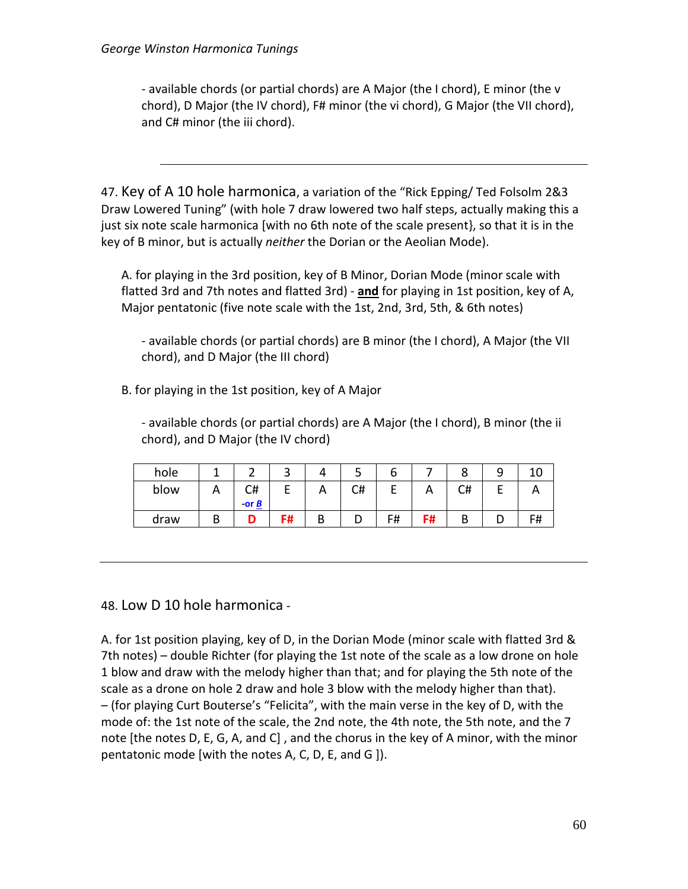- available chords (or partial chords) are A Major (the I chord), E minor (the v chord), D Major (the IV chord), F# minor (the vi chord), G Major (the VII chord), and C# minor (the iii chord).

47. Key of A 10 hole harmonica, a variation of the "Rick Epping/ Ted Folsolm 2&3 Draw Lowered Tuning" (with hole 7 draw lowered two half steps, actually making this a just six note scale harmonica [with no 6th note of the scale present}, so that it is in the key of B minor, but is actually *neither* the Dorian or the Aeolian Mode).

A. for playing in the 3rd position, key of B Minor, Dorian Mode (minor scale with flatted 3rd and 7th notes and flatted 3rd) - **and** for playing in 1st position, key of A, Major pentatonic (five note scale with the 1st, 2nd, 3rd, 5th, & 6th notes)

- available chords (or partial chords) are B minor (the I chord), A Major (the VII chord), and D Major (the III chord)

B. for playing in the 1st position, key of A Major

- available chords (or partial chords) are A Major (the I chord), B minor (the ii chord), and D Major (the IV chord)

| hole |          |                                    | ے    |   | ٮ  | ь  |                           |    |   |    |
|------|----------|------------------------------------|------|---|----|----|---------------------------|----|---|----|
| blow | <u>n</u> | C#<br>-or $\underline{\mathbf{B}}$ |      | A | C# | –  | $\boldsymbol{\mathsf{A}}$ | C# |   |    |
| draw |          |                                    | - 11 | D | ◡  | F# | F#                        |    | ◡ | F# |

48. Low D 10 hole harmonica -

A. for 1st position playing, key of D, in the Dorian Mode (minor scale with flatted 3rd & 7th notes) – double Richter (for playing the 1st note of the scale as a low drone on hole 1 blow and draw with the melody higher than that; and for playing the 5th note of the scale as a drone on hole 2 draw and hole 3 blow with the melody higher than that). – (for playing Curt Bouterse's "Felicita", with the main verse in the key of D, with the mode of: the 1st note of the scale, the 2nd note, the 4th note, the 5th note, and the 7 note [the notes D, E, G, A, and C] , and the chorus in the key of A minor, with the minor pentatonic mode [with the notes A, C, D, E, and G ]).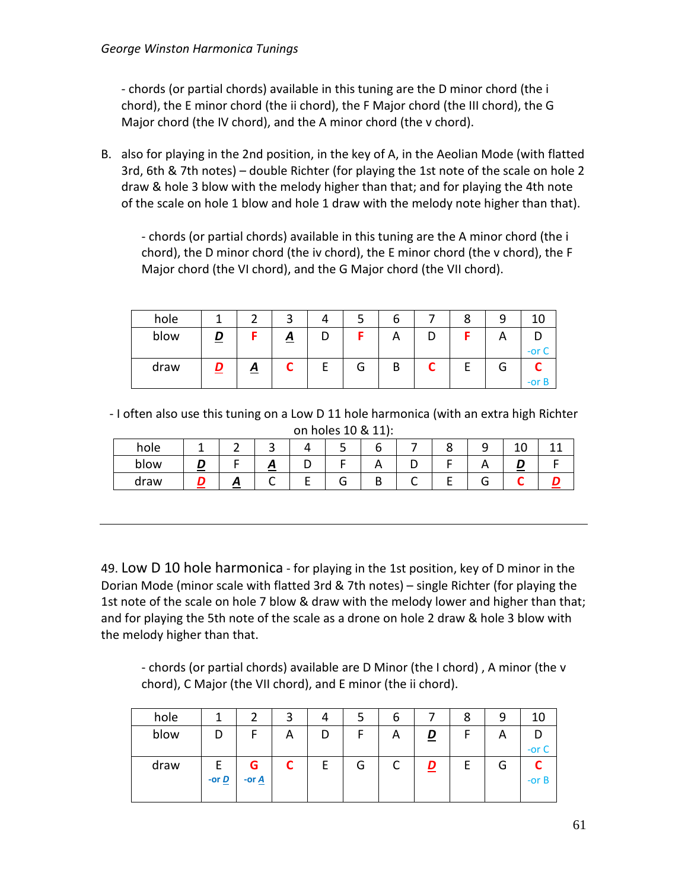- chords (or partial chords) available in this tuning are the D minor chord (the i chord), the E minor chord (the ii chord), the F Major chord (the III chord), the G Major chord (the IV chord), and the A minor chord (the v chord).

B. also for playing in the 2nd position, in the key of A, in the Aeolian Mode (with flatted 3rd, 6th & 7th notes) – double Richter (for playing the 1st note of the scale on hole 2 draw & hole 3 blow with the melody higher than that; and for playing the 4th note of the scale on hole 1 blow and hole 1 draw with the melody note higher than that).

- chords (or partial chords) available in this tuning are the A minor chord (the i chord), the D minor chord (the iv chord), the E minor chord (the v chord), the F Major chord (the VI chord), and the G Major chord (the VII chord).

| hole |          | ◠        |        | O | Ο | ۵      |       |
|------|----------|----------|--------|---|---|--------|-------|
| blow |          | <u>A</u> |        | ⌒ |   |        |       |
|      |          |          |        |   |   |        | -or   |
| draw | <u>A</u> |          | ∽<br>G | В |   | ∽<br>G |       |
|      |          |          |        |   |   |        | -or B |

- I often also use this tuning on a Low D 11 hole harmonica (with an extra high Richter on holes 10 & 11):

| hole | -- |   | ے                   |   |   | ۔ | ⊥∪     |  |
|------|----|---|---------------------|---|---|---|--------|--|
| blow |    |   | <u>г.</u><br>$\sim$ |   | ັ |   | $\sim$ |  |
| draw |    | ~ |                     | ∽ | ∽ |   |        |  |

49. Low D 10 hole harmonica - for playing in the 1st position, key of D minor in the Dorian Mode (minor scale with flatted 3rd & 7th notes) – single Richter (for playing the 1st note of the scale on hole 7 blow & draw with the melody lower and higher than that; and for playing the 5th note of the scale as a drone on hole 2 draw & hole 3 blow with the melody higher than that.

- chords (or partial chords) available are D Minor (the I chord) , A minor (the v chord), C Major (the VII chord), and E minor (the ii chord).

| hole |                              |                     | ت | 4 |   | O      |          | 8 | 9 | 10      |
|------|------------------------------|---------------------|---|---|---|--------|----------|---|---|---------|
| blow | D                            |                     | A | D |   |        | <u>D</u> | г | А |         |
|      |                              |                     |   |   |   |        |          |   |   | -or $C$ |
| draw |                              | G                   |   | E | G | ∽<br>◡ | D<br>_   | E | G |         |
|      | -or $\underline{\mathbf{D}}$ | -or $\underline{A}$ |   |   |   |        |          |   |   | -or $B$ |
|      |                              |                     |   |   |   |        |          |   |   |         |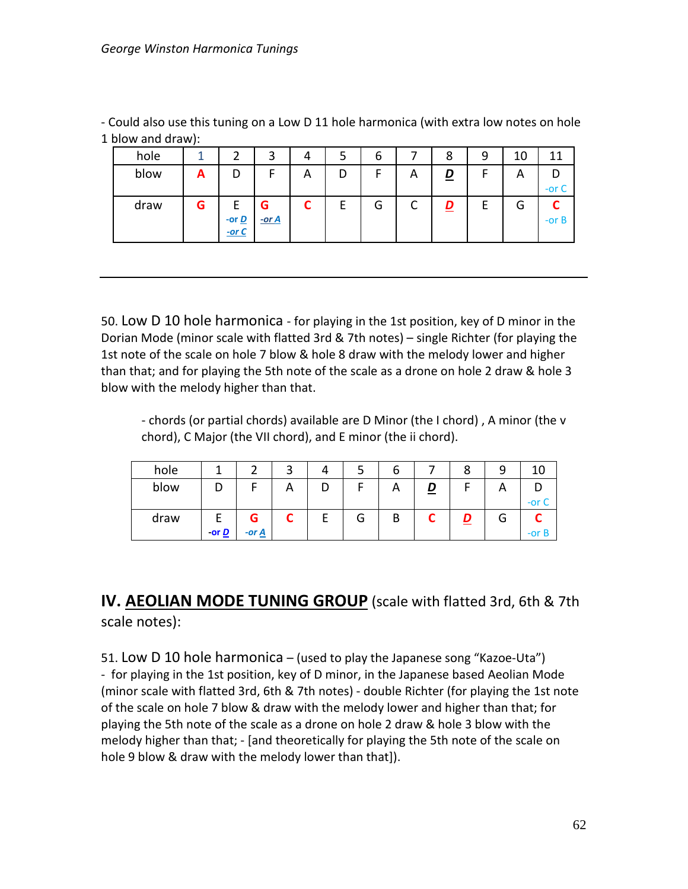- Could also use this tuning on a Low D 11 hole harmonica (with extra low notes on hole 1 blow and draw):

| hole | ◠                            | 3        | 4 | O |   | 8        | 9      | 10 | 11       |
|------|------------------------------|----------|---|---|---|----------|--------|----|----------|
| blow |                              | г        | A | - | Α | <u>D</u> | ┍      | A  |          |
|      |                              |          |   |   |   |          |        |    | -or C    |
| draw |                              | G        |   | G |   | D<br>=   | −<br>E | G  |          |
|      | -or $\underline{\mathbf{D}}$ | $-$ or A |   |   |   |          |        |    | $-$ or B |
|      | $-$ or C                     |          |   |   |   |          |        |    |          |

50. Low D 10 hole harmonica - for playing in the 1st position, key of D minor in the Dorian Mode (minor scale with flatted 3rd & 7th notes) – single Richter (for playing the 1st note of the scale on hole 7 blow & hole 8 draw with the melody lower and higher than that; and for playing the 5th note of the scale as a drone on hole 2 draw & hole 3 blow with the melody higher than that.

- chords (or partial chords) available are D Minor (the I chord) , A minor (the v chord), C Major (the VII chord), and E minor (the ii chord).

| hole |              |                     | ⌒ | 4 |        |   |   | О | a       |       |
|------|--------------|---------------------|---|---|--------|---|---|---|---------|-------|
| blow |              |                     | Α | ◡ |        | Ħ | = |   | ⌒       |       |
|      |              |                     |   |   |        |   |   |   |         | -or C |
| draw |              | G                   |   | E | ⌒<br>G | В |   |   | ⌒<br>Ĺ٦ |       |
|      | -or <u>D</u> | -or $\underline{A}$ |   |   |        |   |   |   |         | -or B |

# **IV. AEOLIAN MODE TUNING GROUP** (scale with flatted 3rd, 6th & 7th scale notes):

51. Low D 10 hole harmonica – (used to play the Japanese song "Kazoe-Uta") - for playing in the 1st position, key of D minor, in the Japanese based Aeolian Mode (minor scale with flatted 3rd, 6th & 7th notes) - double Richter (for playing the 1st note of the scale on hole 7 blow & draw with the melody lower and higher than that; for playing the 5th note of the scale as a drone on hole 2 draw & hole 3 blow with the melody higher than that; - [and theoretically for playing the 5th note of the scale on hole 9 blow & draw with the melody lower than that]).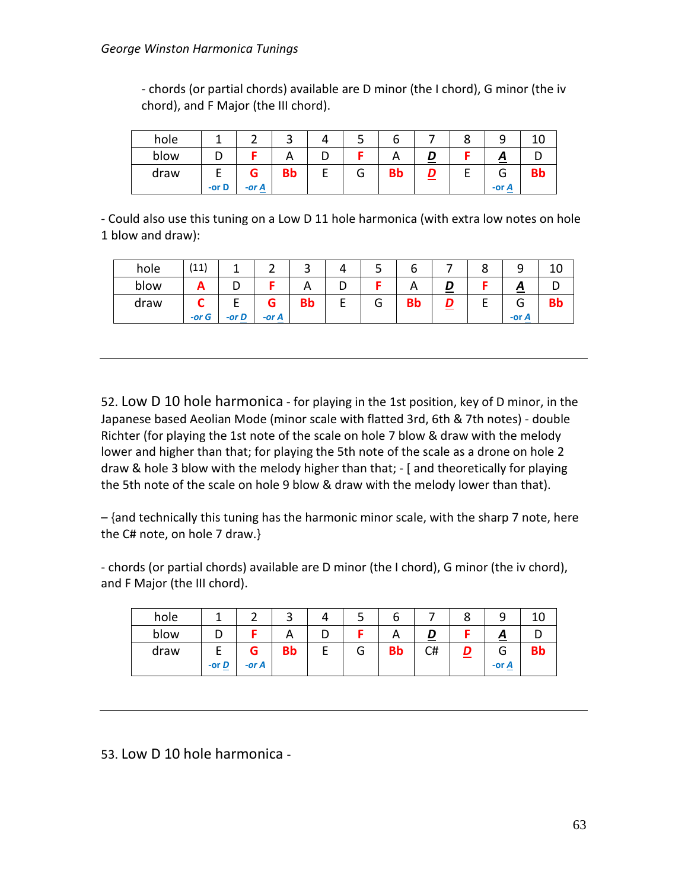- chords (or partial chords) available are D minor (the I chord), G minor (the iv chord), and F Major (the III chord).

| hole |         |            |    |    | ب | o         |          | c |                          | ιv        |
|------|---------|------------|----|----|---|-----------|----------|---|--------------------------|-----------|
| blow | ◡       |            | n  | ◡  |   |           | =        |   |                          |           |
| draw | -or $D$ | G<br>-or A | Bb | E, | G | <b>Bb</b> | <u>_</u> | - | u<br>-or $\underline{A}$ | <b>DD</b> |

- Could also use this tuning on a Low D 11 hole harmonica (with extra low notes on hole 1 blow and draw):

| hole | (11)     |          |          | ے         |   | ے | o         |        | u | ے          | ∸  |
|------|----------|----------|----------|-----------|---|---|-----------|--------|---|------------|----|
| blow | Ā        | ◡        |          | A         | ◡ |   | A         |        |   |            |    |
| draw | $-$ or G | $-$ or D | $-$ or A | <b>Bb</b> |   | O | <b>Bb</b> | D<br>— | ▃ | u<br>-or A | Bр |

52. Low D 10 hole harmonica - for playing in the 1st position, key of D minor, in the Japanese based Aeolian Mode (minor scale with flatted 3rd, 6th & 7th notes) - double Richter (for playing the 1st note of the scale on hole 7 blow & draw with the melody lower and higher than that; for playing the 5th note of the scale as a drone on hole 2 draw & hole 3 blow with the melody higher than that; - [ and theoretically for playing the 5th note of the scale on hole 9 blow & draw with the melody lower than that).

– {and technically this tuning has the harmonic minor scale, with the sharp 7 note, here the C# note, on hole 7 draw.}

- chords (or partial chords) available are D minor (the I chord), G minor (the iv chord), and F Major (the III chord).

| hole |                              |               | ٮ         | 4 | ٮ | O         |    | Ο |                   |    |
|------|------------------------------|---------------|-----------|---|---|-----------|----|---|-------------------|----|
| blow |                              |               | Α         | ◡ |   |           | ≝  |   | ≏                 |    |
| draw | -or $\underline{\mathbf{D}}$ | G<br>$-$ or A | <b>Bb</b> |   | G | <b>Bb</b> | C# | ⋍ | G<br><u>-or A</u> | вp |

53. Low D 10 hole harmonica -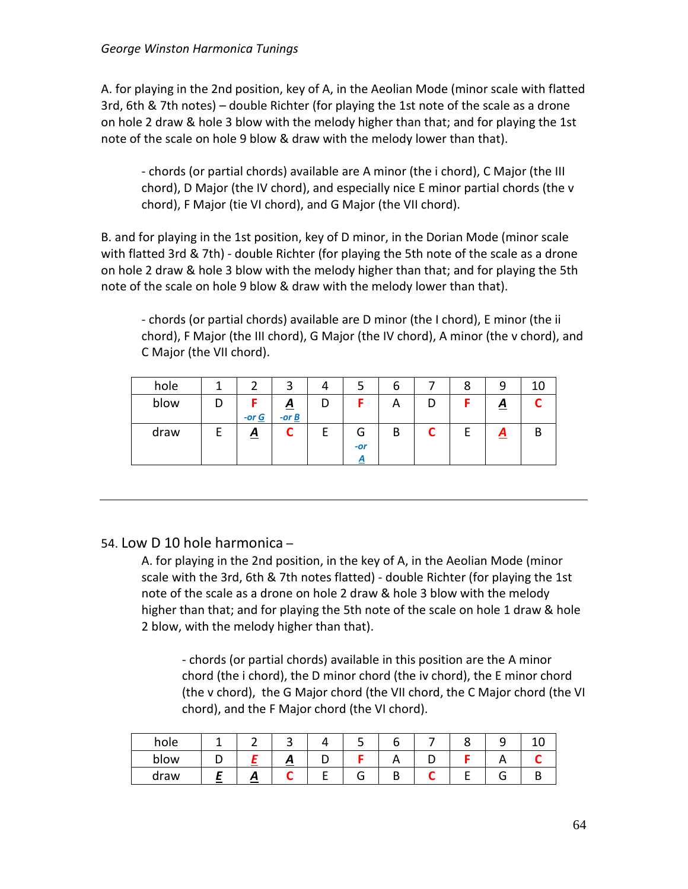A. for playing in the 2nd position, key of A, in the Aeolian Mode (minor scale with flatted 3rd, 6th & 7th notes) – double Richter (for playing the 1st note of the scale as a drone on hole 2 draw & hole 3 blow with the melody higher than that; and for playing the 1st note of the scale on hole 9 blow & draw with the melody lower than that).

- chords (or partial chords) available are A minor (the i chord), C Major (the III chord), D Major (the IV chord), and especially nice E minor partial chords (the v chord), F Major (tie VI chord), and G Major (the VII chord).

B. and for playing in the 1st position, key of D minor, in the Dorian Mode (minor scale with flatted 3rd & 7th) - double Richter (for playing the 5th note of the scale as a drone on hole 2 draw & hole 3 blow with the melody higher than that; and for playing the 5th note of the scale on hole 9 blow & draw with the melody lower than that).

- chords (or partial chords) available are D minor (the I chord), E minor (the ii chord), F Major (the III chord), G Major (the IV chord), A minor (the v chord), and C Major (the VII chord).

| hole |          | ◠                                               | 4 |                      | O | Ο |                         |   |
|------|----------|-------------------------------------------------|---|----------------------|---|---|-------------------------|---|
| blow | -or $G$  | $\underline{A}$<br>-or $\underline{\mathbf{B}}$ | υ |                      | Α |   | $\underline{A}$         |   |
| draw | <u>A</u> |                                                 | t | ⌒<br>G<br>$-or$<br>A | B |   | $\overline{\mathbf{A}}$ | B |

#### 54. Low D 10 hole harmonica –

A. for playing in the 2nd position, in the key of A, in the Aeolian Mode (minor scale with the 3rd, 6th & 7th notes flatted) - double Richter (for playing the 1st note of the scale as a drone on hole 2 draw & hole 3 blow with the melody higher than that; and for playing the 5th note of the scale on hole 1 draw & hole 2 blow, with the melody higher than that).

- chords (or partial chords) available in this position are the A minor chord (the i chord), the D minor chord (the iv chord), the E minor chord (the v chord), the G Major chord (the VII chord, the C Major chord (the VI chord), and the F Major chord (the VI chord).

| hole |                |    | ັ                     |   |   |  |  |
|------|----------------|----|-----------------------|---|---|--|--|
| blow |                |    | $\mathbf{\mathsf{m}}$ |   |   |  |  |
| draw | <b>Service</b> | -- |                       | п | υ |  |  |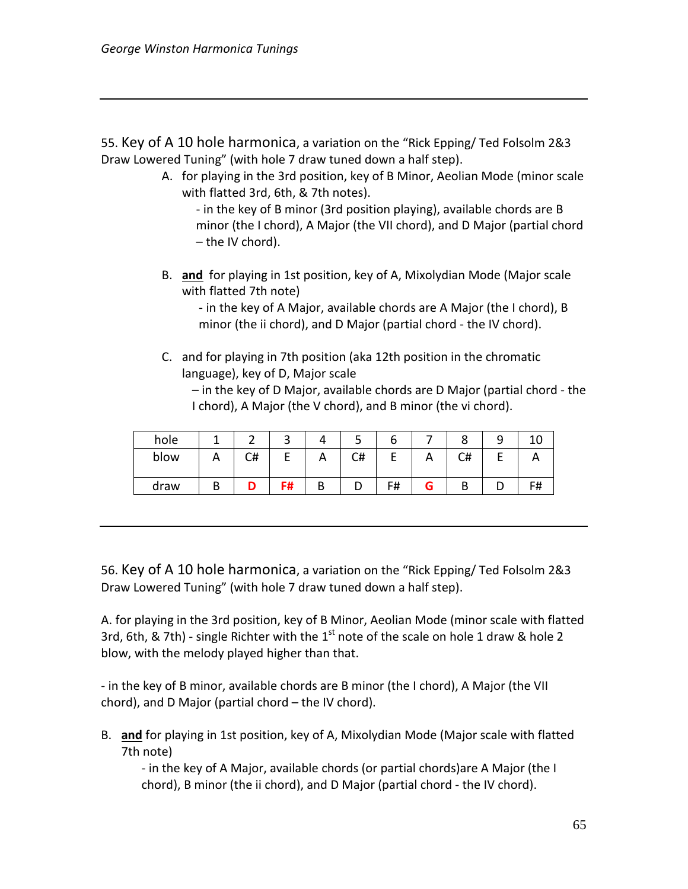55. Key of A 10 hole harmonica, a variation on the "Rick Epping/ Ted Folsolm 2&3 Draw Lowered Tuning" (with hole 7 draw tuned down a half step).

- A. for playing in the 3rd position, key of B Minor, Aeolian Mode (minor scale with flatted 3rd, 6th, & 7th notes).
	- in the key of B minor (3rd position playing), available chords are B minor (the I chord), A Major (the VII chord), and D Major (partial chord – the IV chord).
- B. **and** for playing in 1st position, key of A, Mixolydian Mode (Major scale with flatted 7th note)

- in the key of A Major, available chords are A Major (the I chord), B minor (the ii chord), and D Major (partial chord - the IV chord).

C. and for playing in 7th position (aka 12th position in the chromatic language), key of D, Major scale

– in the key of D Major, available chords are D Major (partial chord - the I chord), A Major (the V chord), and B minor (the vi chord).

| hole |   |    | است. |          | ٮ  | O                        |   | $\circ$ |    |
|------|---|----|------|----------|----|--------------------------|---|---------|----|
| blow |   | C# |      | <u>r</u> | C# | $\overline{\phantom{a}}$ | n | C#      |    |
| draw | י |    | F#   | В        | ◡  | F#                       |   |         | F# |

56. Key of A 10 hole harmonica, a variation on the "Rick Epping/ Ted Folsolm 2&3 Draw Lowered Tuning" (with hole 7 draw tuned down a half step).

A. for playing in the 3rd position, key of B Minor, Aeolian Mode (minor scale with flatted 3rd, 6th, & 7th) - single Richter with the  $1^{st}$  note of the scale on hole 1 draw & hole 2 blow, with the melody played higher than that.

- in the key of B minor, available chords are B minor (the I chord), A Major (the VII chord), and D Major (partial chord – the IV chord).

B. **and** for playing in 1st position, key of A, Mixolydian Mode (Major scale with flatted 7th note)

- in the key of A Major, available chords (or partial chords)are A Major (the I chord), B minor (the ii chord), and D Major (partial chord - the IV chord).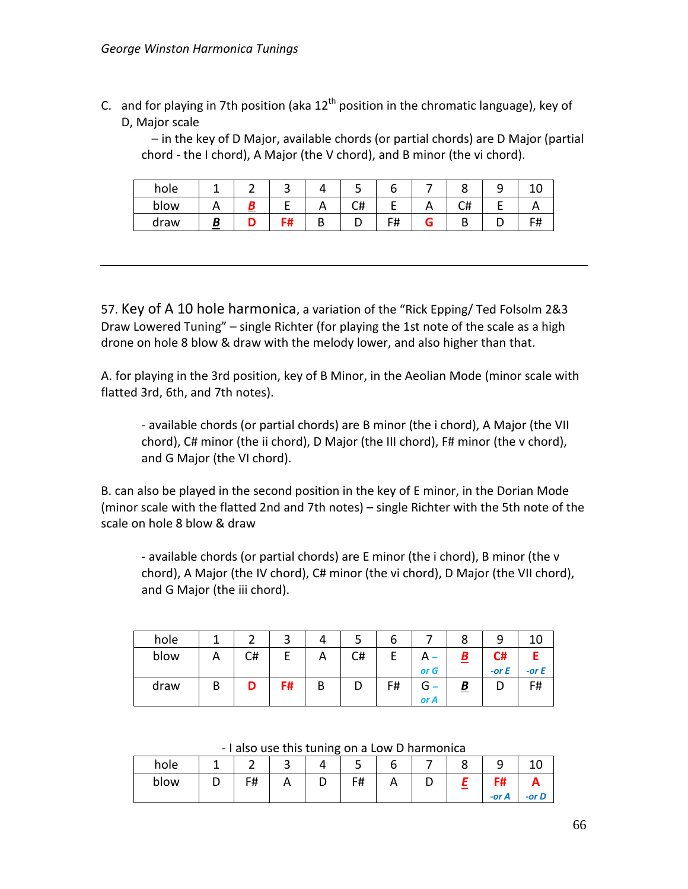C. and for playing in 7th position (aka  $12<sup>th</sup>$  position in the chromatic language), key of D, Major scale

– in the key of D Major, available chords (or partial chords) are D Major (partial chord - the I chord), A Major (the V chord), and B minor (the vi chord).

| hole |   | ے         |            | ٮ  |            |    | ۔ |    |
|------|---|-----------|------------|----|------------|----|---|----|
| blow |   |           | <u>r v</u> | C# |            | #ب |   |    |
| draw | п | - 4<br>ıπ | n          | ັ  | Г#<br>דד ו |    |   | F# |

57. Key of A 10 hole harmonica, a variation of the "Rick Epping/ Ted Folsolm 2&3 Draw Lowered Tuning" – single Richter (for playing the 1st note of the scale as a high drone on hole 8 blow & draw with the melody lower, and also higher than that.

A. for playing in the 3rd position, key of B Minor, in the Aeolian Mode (minor scale with flatted 3rd, 6th, and 7th notes).

- available chords (or partial chords) are B minor (the i chord), A Major (the VII chord), C# minor (the ii chord), D Major (the III chord), F# minor (the v chord), and G Major (the VI chord).

B. can also be played in the second position in the key of E minor, in the Dorian Mode (minor scale with the flatted 2nd and 7th notes) – single Richter with the 5th note of the scale on hole 8 blow & draw

- available chords (or partial chords) are E minor (the i chord), B minor (the v chord), A Major (the IV chord), C# minor (the vi chord), D Major (the VII chord), and G Major (the iii chord).

| hole |   |    | ີ  | 4 |    | ь  |      | 8        |         |         |
|------|---|----|----|---|----|----|------|----------|---------|---------|
| blow |   | C# |    | А | C# |    |      |          | C#      |         |
|      |   |    |    |   |    |    | or G |          | -or $E$ | -or $E$ |
| draw | В |    | F# | В | υ  | F# | G    | <u>B</u> |         | F#      |
|      |   |    |    |   |    |    | or A |          |         |         |

- I also use this tuning on a Low D harmonica

| hole |    | ـ | ب  | ь            |  |       |       |
|------|----|---|----|--------------|--|-------|-------|
| blow | F# |   | F# | $\mathsf{A}$ |  | -     |       |
|      |    |   |    |              |  | -or A | -or D |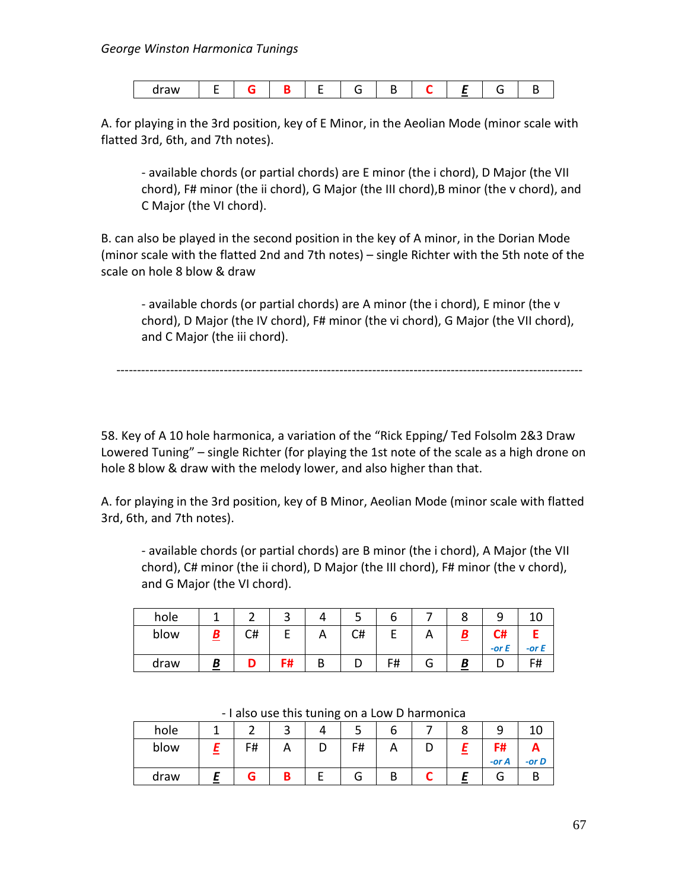| .<br>araw |  |  |  |
|-----------|--|--|--|
|-----------|--|--|--|

A. for playing in the 3rd position, key of E Minor, in the Aeolian Mode (minor scale with flatted 3rd, 6th, and 7th notes).

- available chords (or partial chords) are E minor (the i chord), D Major (the VII chord), F# minor (the ii chord), G Major (the III chord),B minor (the v chord), and C Major (the VI chord).

B. can also be played in the second position in the key of A minor, in the Dorian Mode (minor scale with the flatted 2nd and 7th notes) – single Richter with the 5th note of the scale on hole 8 blow & draw

- available chords (or partial chords) are A minor (the i chord), E minor (the v chord), D Major (the IV chord), F# minor (the vi chord), G Major (the VII chord), and C Major (the iii chord).

-----------------------------------------------------------------------------------------------------------------

58. Key of A 10 hole harmonica, a variation of the "Rick Epping/ Ted Folsolm 2&3 Draw Lowered Tuning" – single Richter (for playing the 1st note of the scale as a high drone on hole 8 blow & draw with the melody lower, and also higher than that.

A. for playing in the 3rd position, key of B Minor, Aeolian Mode (minor scale with flatted 3rd, 6th, and 7th notes).

- available chords (or partial chords) are B minor (the i chord), A Major (the VII chord), C# minor (the ii chord), D Major (the III chord), F# minor (the v chord), and G Major (the VI chord).

| hole |    |      |   | ت  | o  |   | О |            |         |
|------|----|------|---|----|----|---|---|------------|---------|
| blow | C# |      |   | C# |    |   |   | C#         |         |
|      |    |      |   |    |    |   |   | $-$ or $E$ | -or $E$ |
| draw |    | - 11 | ח |    | F# | u | B |            | F#      |

| hole |                          |    | ٮ        |    | O |   | ് |       |          |
|------|--------------------------|----|----------|----|---|---|---|-------|----------|
| blow |                          | F# | $\cdots$ | F# | Α | ч |   | F#    |          |
|      |                          |    |          |    |   |   |   | -or A | $-$ or D |
| draw | $\overline{\phantom{a}}$ |    |          | u  | В |   |   | J     |          |

- I also use this tuning on a Low D harmonica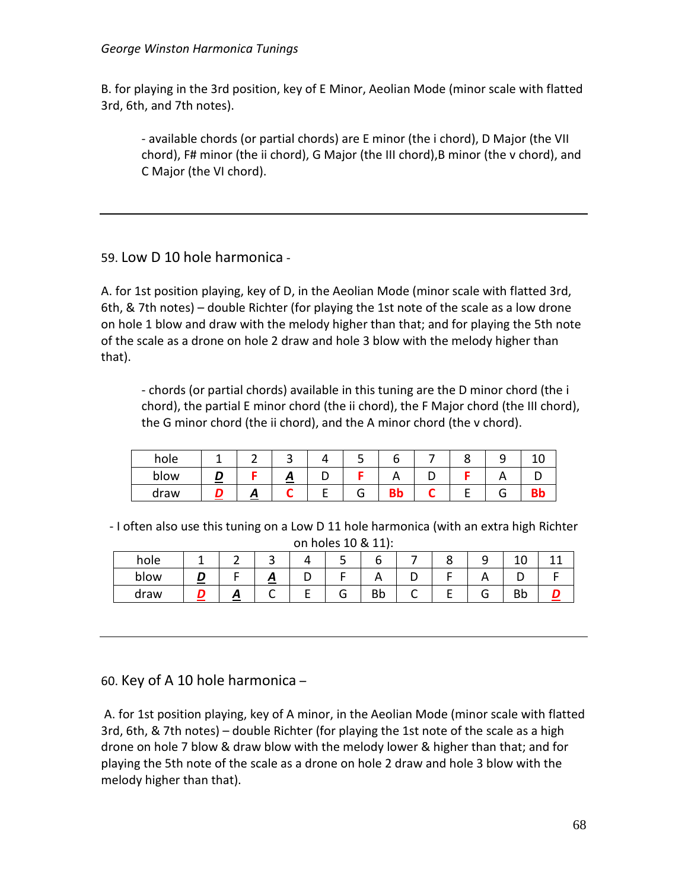B. for playing in the 3rd position, key of E Minor, Aeolian Mode (minor scale with flatted 3rd, 6th, and 7th notes).

- available chords (or partial chords) are E minor (the i chord), D Major (the VII chord), F# minor (the ii chord), G Major (the III chord),B minor (the v chord), and C Major (the VI chord).

### 59. Low D 10 hole harmonica -

A. for 1st position playing, key of D, in the Aeolian Mode (minor scale with flatted 3rd, 6th, & 7th notes) – double Richter (for playing the 1st note of the scale as a low drone on hole 1 blow and draw with the melody higher than that; and for playing the 5th note of the scale as a drone on hole 2 draw and hole 3 blow with the melody higher than that).

- chords (or partial chords) available in this tuning are the D minor chord (the i chord), the partial E minor chord (the ii chord), the F Major chord (the III chord), the G minor chord (the ii chord), and the A minor chord (the v chord).

| hole |   |   |   |   |  |  |
|------|---|---|---|---|--|--|
| blow |   | ≏ | ້ | n |  |  |
| draw | ≏ |   |   | ◡ |  |  |

- I often also use this tuning on a Low D 11 hole harmonica (with an extra high Richter on holes 10 & 11):

| hole |   |   |        |    |   |          | ⊥∪ |  |
|------|---|---|--------|----|---|----------|----|--|
| blow |   | ≏ |        |    | ◡ | <u>r</u> | ◡  |  |
| draw | ≏ |   | ∽<br>J | Bb |   | п.       | Bb |  |

## 60. Key of A 10 hole harmonica –

A. for 1st position playing, key of A minor, in the Aeolian Mode (minor scale with flatted 3rd, 6th, & 7th notes) – double Richter (for playing the 1st note of the scale as a high drone on hole 7 blow & draw blow with the melody lower & higher than that; and for playing the 5th note of the scale as a drone on hole 2 draw and hole 3 blow with the melody higher than that).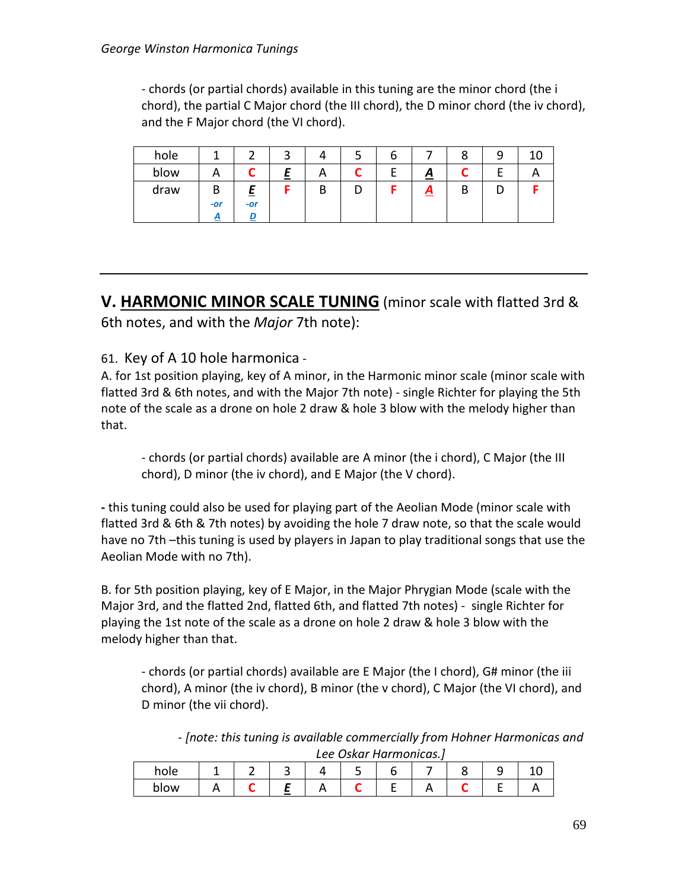- chords (or partial chords) available in this tuning are the minor chord (the i chord), the partial C Major chord (the III chord), the D minor chord (the iv chord), and the F Major chord (the VI chord).

| hole |            |     | ◠ |   |   | O |                 | Ο |  |
|------|------------|-----|---|---|---|---|-----------------|---|--|
| blow | −          | -   | = | Α |   | − | $\underline{A}$ |   |  |
| draw | В          | =   |   | В | υ |   | <u>д</u>        | D |  |
|      | $-or$<br>A | -or |   |   |   |   |                 |   |  |

**V. HARMONIC MINOR SCALE TUNING** (minor scale with flatted 3rd & 6th notes, and with the *Major* 7th note):

### 61. Key of A 10 hole harmonica -

A. for 1st position playing, key of A minor, in the Harmonic minor scale (minor scale with flatted 3rd & 6th notes, and with the Major 7th note) - single Richter for playing the 5th note of the scale as a drone on hole 2 draw & hole 3 blow with the melody higher than that.

- chords (or partial chords) available are A minor (the i chord), C Major (the III chord), D minor (the iv chord), and E Major (the V chord).

**-** this tuning could also be used for playing part of the Aeolian Mode (minor scale with flatted 3rd & 6th & 7th notes) by avoiding the hole 7 draw note, so that the scale would have no 7th –this tuning is used by players in Japan to play traditional songs that use the Aeolian Mode with no 7th).

B. for 5th position playing, key of E Major, in the Major Phrygian Mode (scale with the Major 3rd, and the flatted 2nd, flatted 6th, and flatted 7th notes) - single Richter for playing the 1st note of the scale as a drone on hole 2 draw & hole 3 blow with the melody higher than that.

- chords (or partial chords) available are E Major (the I chord), G# minor (the iii chord), A minor (the iv chord), B minor (the v chord), C Major (the VI chord), and D minor (the vii chord).

- *[note: this tuning is available commercially from Hohner Harmonicas and Lee Oskar Harmonicas.]*

| hole |  |                          |  |   |  |  |
|------|--|--------------------------|--|---|--|--|
| blow |  | $\overline{\phantom{a}}$ |  | _ |  |  |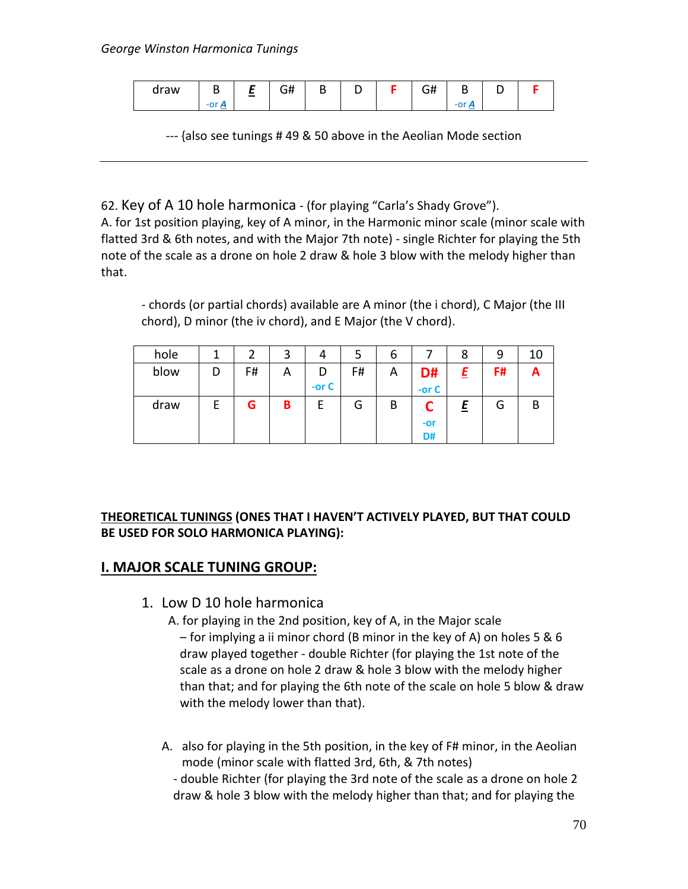| draw | -<br>D                          | $\sim$ | .<br>-<br>- 11<br>◡᠇ | D |  | $\sim$<br>◡╥ | ч                                    |  |
|------|---------------------------------|--------|----------------------|---|--|--------------|--------------------------------------|--|
|      | . .<br>$\overline{\phantom{a}}$ |        |                      |   |  |              | . .<br>Ð<br>$\overline{\phantom{a}}$ |  |

--- {also see tunings # 49 & 50 above in the Aeolian Mode section

62. Key of A 10 hole harmonica - (for playing "Carla's Shady Grove").

A. for 1st position playing, key of A minor, in the Harmonic minor scale (minor scale with flatted 3rd & 6th notes, and with the Major 7th note) - single Richter for playing the 5th note of the scale as a drone on hole 2 draw & hole 3 blow with the melody higher than that.

- chords (or partial chords) available are A minor (the i chord), C Major (the III chord), D minor (the iv chord), and E Major (the V chord).

| hole |   |    | 3 | 4       |    | ь |         | 8 | 9  | 10 |
|------|---|----|---|---------|----|---|---------|---|----|----|
| blow | D | F# | Α | D       | F# | Α | D#      | E | F# | A  |
|      |   |    |   | -or $C$ |    |   | -or $C$ |   |    |    |
| draw |   | G  | B | F       | G  | B | ┍       | 트 | G  | B  |
|      |   |    |   |         |    |   | $-0r$   |   |    |    |
|      |   |    |   |         |    |   | D#      |   |    |    |

#### **THEORETICAL TUNINGS (ONES THAT I HAVEN'T ACTIVELY PLAYED, BUT THAT COULD BE USED FOR SOLO HARMONICA PLAYING):**

## **I. MAJOR SCALE TUNING GROUP:**

1. Low D 10 hole harmonica

 A. for playing in the 2nd position, key of A, in the Major scale – for implying a ii minor chord (B minor in the key of A) on holes 5 & 6 draw played together - double Richter (for playing the 1st note of the scale as a drone on hole 2 draw & hole 3 blow with the melody higher than that; and for playing the 6th note of the scale on hole 5 blow & draw with the melody lower than that).

A. also for playing in the 5th position, in the key of F# minor, in the Aeolian mode (minor scale with flatted 3rd, 6th, & 7th notes) - double Richter (for playing the 3rd note of the scale as a drone on hole 2 draw & hole 3 blow with the melody higher than that; and for playing the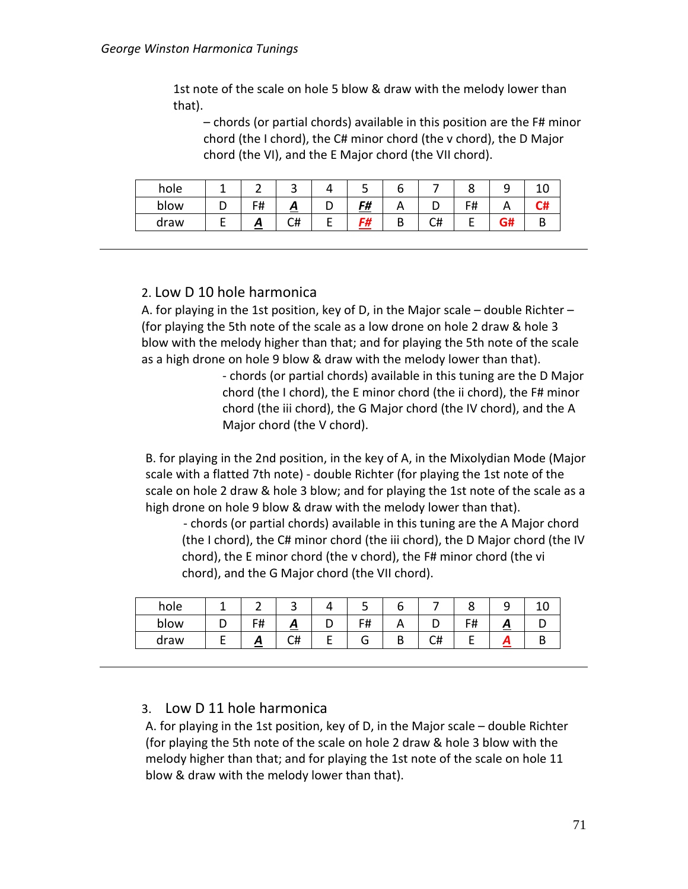1st note of the scale on hole 5 blow & draw with the melody lower than that).

– chords (or partial chords) available in this position are the F# minor chord (the I chord), the C# minor chord (the v chord), the D Major chord (the VI), and the E Major chord (the VII chord).

| hole |            | ٮ  |   | ے         | b      |              |                    |    |   |
|------|------------|----|---|-----------|--------|--------------|--------------------|----|---|
| blow | F#<br>- 11 | ≏  | L | <u>F#</u> |        |              | <b>C</b> #<br>דו ו |    | m |
| draw | ~          | C# | - | r4        | D<br>D | $\sim$<br>◡╥ |                    | ~… |   |

#### 2. Low D 10 hole harmonica

A. for playing in the 1st position, key of D, in the Major scale – double Richter – (for playing the 5th note of the scale as a low drone on hole 2 draw & hole 3 blow with the melody higher than that; and for playing the 5th note of the scale as a high drone on hole 9 blow & draw with the melody lower than that).

> - chords (or partial chords) available in this tuning are the D Major chord (the I chord), the E minor chord (the ii chord), the F# minor chord (the iii chord), the G Major chord (the IV chord), and the A Major chord (the V chord).

B. for playing in the 2nd position, in the key of A, in the Mixolydian Mode (Major scale with a flatted 7th note) - double Richter (for playing the 1st note of the scale on hole 2 draw & hole 3 blow; and for playing the 1st note of the scale as a high drone on hole 9 blow & draw with the melody lower than that).

- chords (or partial chords) available in this tuning are the A Major chord (the I chord), the C# minor chord (the iii chord), the D Major chord (the IV chord), the E minor chord (the v chord), the F# minor chord (the vi chord), and the G Major chord (the VII chord).

| hole |                     | ັ       |   | ر ـ |          |               |   |  |
|------|---------------------|---------|---|-----|----------|---------------|---|--|
| blow | г#<br>$\cdot$ $\pi$ | ≏       |   | F#  |          | $-11$<br>דד ו | ∼ |  |
| draw | ~                   | ∼#<br>∽ | - |     | า#<br>⊾π |               |   |  |

#### 3. Low D 11 hole harmonica

A. for playing in the 1st position, key of D, in the Major scale – double Richter (for playing the 5th note of the scale on hole 2 draw & hole 3 blow with the melody higher than that; and for playing the 1st note of the scale on hole 11 blow & draw with the melody lower than that).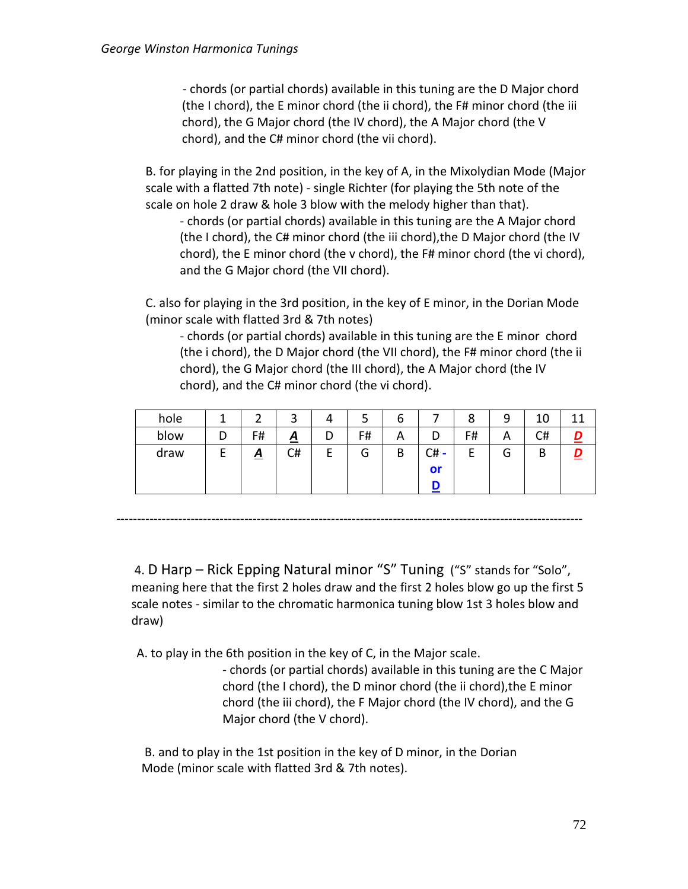- chords (or partial chords) available in this tuning are the D Major chord (the I chord), the E minor chord (the ii chord), the F# minor chord (the iii chord), the G Major chord (the IV chord), the A Major chord (the V chord), and the C# minor chord (the vii chord).

B. for playing in the 2nd position, in the key of A, in the Mixolydian Mode (Major scale with a flatted 7th note) - single Richter (for playing the 5th note of the scale on hole 2 draw & hole 3 blow with the melody higher than that).

- chords (or partial chords) available in this tuning are the A Major chord (the I chord), the C# minor chord (the iii chord),the D Major chord (the IV chord), the E minor chord (the v chord), the F# minor chord (the vi chord), and the G Major chord (the VII chord).

C. also for playing in the 3rd position, in the key of E minor, in the Dorian Mode (minor scale with flatted 3rd & 7th notes)

- chords (or partial chords) available in this tuning are the E minor chord (the i chord), the D Major chord (the VII chord), the F# minor chord (the ii chord), the G Major chord (the III chord), the A Major chord (the IV chord), and the C# minor chord (the vi chord).

| hole |   |                 | ⌒<br>ٮ          |   |    | O                        |         | 8  | a      | 10 | л |
|------|---|-----------------|-----------------|---|----|--------------------------|---------|----|--------|----|---|
| blow | D | F#              | $\underline{A}$ |   | F# | $\overline{\phantom{a}}$ |         | F# | A      | C# |   |
| draw |   | $\underline{A}$ | C#              | - | G  | B                        | C#<br>- |    | ⌒<br>u | В  |   |
|      |   |                 |                 |   |    |                          | or      |    |        |    |   |
|      |   |                 |                 |   |    |                          |         |    |        |    |   |

-----------------------------------------------------------------------------------------------------------------

4. D Harp – Rick Epping Natural minor "S" Tuning ("S" stands for "Solo", meaning here that the first 2 holes draw and the first 2 holes blow go up the first 5 scale notes - similar to the chromatic harmonica tuning blow 1st 3 holes blow and draw)

A. to play in the 6th position in the key of C, in the Major scale.

- chords (or partial chords) available in this tuning are the C Major chord (the I chord), the D minor chord (the ii chord),the E minor chord (the iii chord), the F Major chord (the IV chord), and the G Major chord (the V chord).

B. and to play in the 1st position in the key of D minor, in the Dorian Mode (minor scale with flatted 3rd & 7th notes).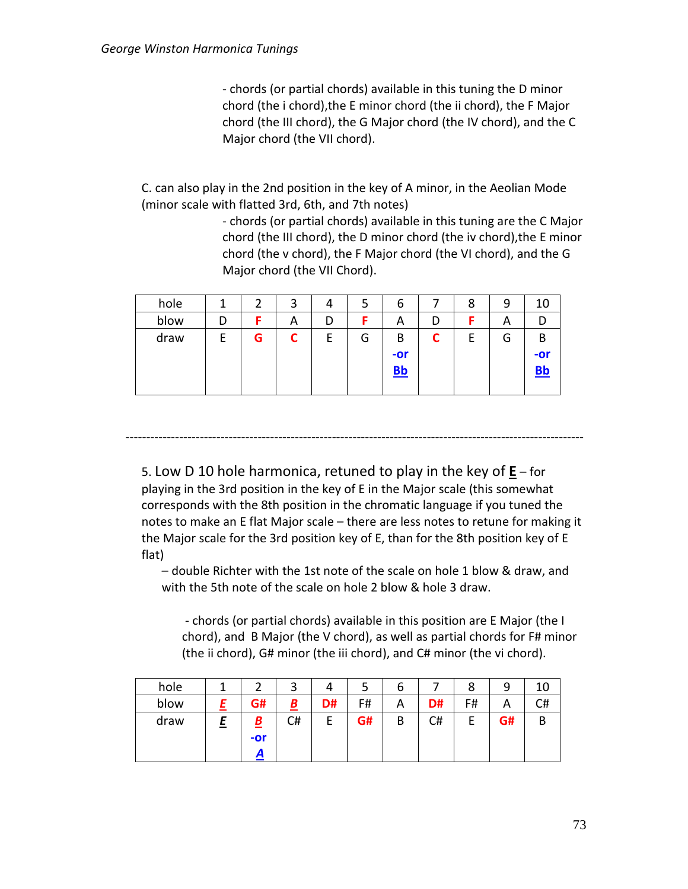- chords (or partial chords) available in this tuning the D minor chord (the i chord),the E minor chord (the ii chord), the F Major chord (the III chord), the G Major chord (the IV chord), and the C Major chord (the VII chord).

C. can also play in the 2nd position in the key of A minor, in the Aeolian Mode (minor scale with flatted 3rd, 6th, and 7th notes)

> - chords (or partial chords) available in this tuning are the C Major chord (the III chord), the D minor chord (the iv chord),the E minor chord (the v chord), the F Major chord (the VI chord), and the G Major chord (the VII Chord).

| hole |   |   |   |   | ر | O                     |   | 8  | 9 | 10  |
|------|---|---|---|---|---|-----------------------|---|----|---|-----|
| blow |   |   | Α | D |   | $\mathbf{\mathsf{m}}$ |   |    | A |     |
| draw | E | G | ◠ | г | G | B                     | ◚ | Þ. | G | B   |
|      |   |   |   |   |   | $-0r$                 |   |    |   | -or |
|      |   |   |   |   |   | $BB$                  |   |    |   |     |
|      |   |   |   |   |   |                       |   |    |   |     |

---------------------------------------------------------------------------------------------------------------

5. Low D 10 hole harmonica, retuned to play in the key of **E** – for playing in the 3rd position in the key of E in the Major scale (this somewhat corresponds with the 8th position in the chromatic language if you tuned the notes to make an E flat Major scale – there are less notes to retune for making it the Major scale for the 3rd position key of E, than for the 8th position key of E flat)

– double Richter with the 1st note of the scale on hole 1 blow & draw, and with the 5th note of the scale on hole 2 blow & hole 3 draw.

- chords (or partial chords) available in this position are E Major (the I chord), and B Major (the V chord), as well as partial chords for F# minor (the ii chord), G# minor (the iii chord), and C# minor (the vi chord).

| hole | ∽                        | ٮ        |    | ٮ  | o |    | 8      | 9  | 10 |
|------|--------------------------|----------|----|----|---|----|--------|----|----|
| blow | G#                       | <u>B</u> | D# | F# | A | D# | F#     | A  | C# |
| draw | $\underline{\mathbf{B}}$ | C#       |    | G# | B | C# | г<br>E | G# | В  |
|      | $-or$                    |          |    |    |   |    |        |    |    |
|      |                          |          |    |    |   |    |        |    |    |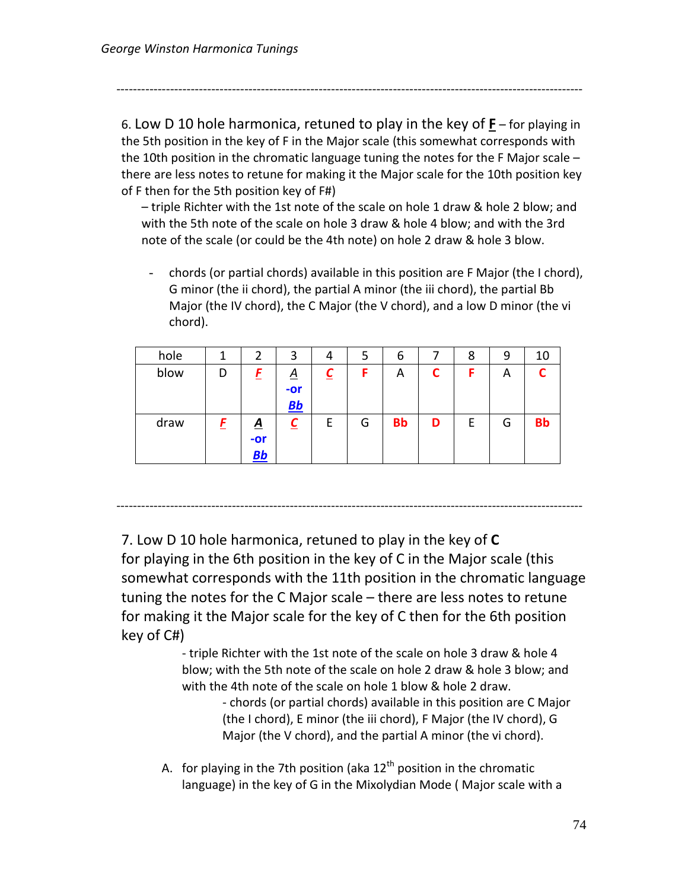-----------------------------------------------------------------------------------------------------------------

6. Low D 10 hole harmonica, retuned to play in the key of **F** – for playing in the 5th position in the key of F in the Major scale (this somewhat corresponds with the 10th position in the chromatic language tuning the notes for the F Major scale – there are less notes to retune for making it the Major scale for the 10th position key of F then for the 5th position key of F#)

– triple Richter with the 1st note of the scale on hole 1 draw & hole 2 blow; and with the 5th note of the scale on hole 3 draw & hole 4 blow; and with the 3rd note of the scale (or could be the 4th note) on hole 2 draw & hole 3 blow.

- chords (or partial chords) available in this position are F Major (the I chord), G minor (the ii chord), the partial A minor (the iii chord), the partial Bb Major (the IV chord), the C Major (the V chord), and a low D minor (the vi chord).

| hole |   | 2                              | 3                            | 4 | 5 | 6         |   | 8 | 9 | 10        |
|------|---|--------------------------------|------------------------------|---|---|-----------|---|---|---|-----------|
| blow | D | F                              | <u>A</u><br>-or<br><u>Bb</u> | ⊵ | F | A         |   |   | A |           |
| draw | E | <u>A</u><br>$-0r$<br><u>Bb</u> | <u>C</u>                     | Е | G | <b>Bb</b> | D | E | G | <b>Bb</b> |

-----------------------------------------------------------------------------------------------------------------

7. Low D 10 hole harmonica, retuned to play in the key of **C** for playing in the 6th position in the key of C in the Major scale (this somewhat corresponds with the 11th position in the chromatic language tuning the notes for the C Major scale – there are less notes to retune for making it the Major scale for the key of C then for the 6th position key of C#)

> - triple Richter with the 1st note of the scale on hole 3 draw & hole 4 blow; with the 5th note of the scale on hole 2 draw & hole 3 blow; and with the 4th note of the scale on hole 1 blow & hole 2 draw.

> > - chords (or partial chords) available in this position are C Major (the I chord), E minor (the iii chord), F Major (the IV chord), G Major (the V chord), and the partial A minor (the vi chord).

A. for playing in the 7th position (aka  $12<sup>th</sup>$  position in the chromatic language) in the key of G in the Mixolydian Mode ( Major scale with a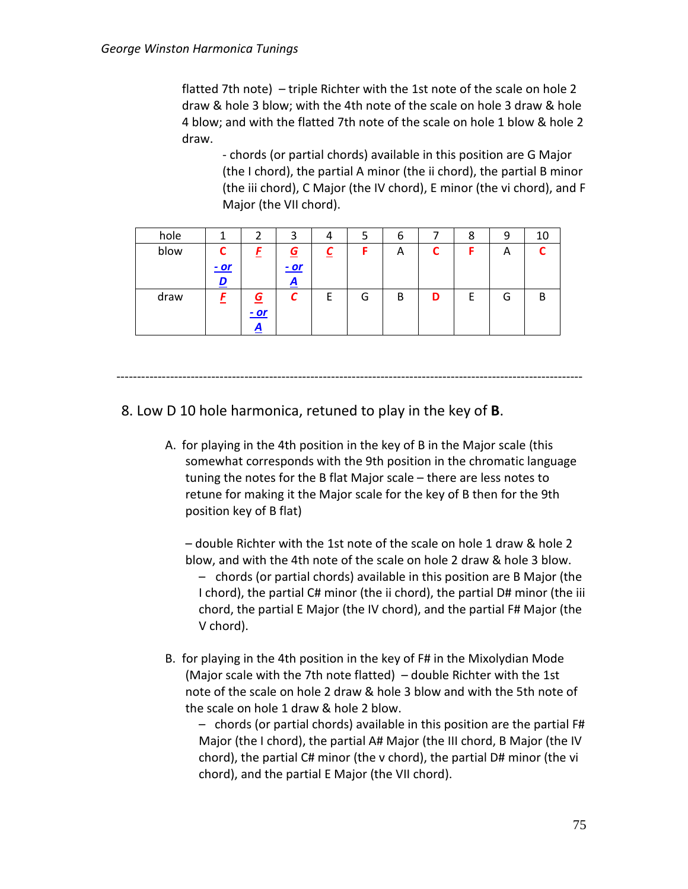flatted 7th note) – triple Richter with the 1st note of the scale on hole 2 draw & hole 3 blow; with the 4th note of the scale on hole 3 draw & hole 4 blow; and with the flatted 7th note of the scale on hole 1 blow & hole 2 draw.

- chords (or partial chords) available in this position are G Major (the I chord), the partial A minor (the ii chord), the partial B minor (the iii chord), C Major (the IV chord), E minor (the vi chord), and F Major (the VII chord).

| hole |        |             | 3        | 4 |   | b |   |   | ч | 10 |
|------|--------|-------------|----------|---|---|---|---|---|---|----|
| blow |        |             | <u>G</u> |   |   | A |   |   | A |    |
|      | $-$ or |             | $-or$    |   |   |   |   |   |   |    |
|      |        |             | <u>д</u> |   |   |   |   |   |   |    |
| draw |        | $\mathbf G$ |          |   | G | B | D | ۲ | G | R. |
|      |        | $-or$       |          |   |   |   |   |   |   |    |
|      |        | <u>д</u>    |          |   |   |   |   |   |   |    |

-----------------------------------------------------------------------------------------------------------------

# 8. Low D 10 hole harmonica, retuned to play in the key of **B**.

A. for playing in the 4th position in the key of B in the Major scale (this somewhat corresponds with the 9th position in the chromatic language tuning the notes for the B flat Major scale – there are less notes to retune for making it the Major scale for the key of B then for the 9th position key of B flat)

– double Richter with the 1st note of the scale on hole 1 draw & hole 2 blow, and with the 4th note of the scale on hole 2 draw & hole 3 blow. – chords (or partial chords) available in this position are B Major (the I chord), the partial C# minor (the ii chord), the partial D# minor (the iii chord, the partial E Major (the IV chord), and the partial F# Major (the V chord).

B. for playing in the 4th position in the key of F# in the Mixolydian Mode (Major scale with the 7th note flatted) – double Richter with the 1st note of the scale on hole 2 draw & hole 3 blow and with the 5th note of the scale on hole 1 draw & hole 2 blow.

– chords (or partial chords) available in this position are the partial F# Major (the I chord), the partial A# Major (the III chord, B Major (the IV chord), the partial C# minor (the v chord), the partial D# minor (the vi chord), and the partial E Major (the VII chord).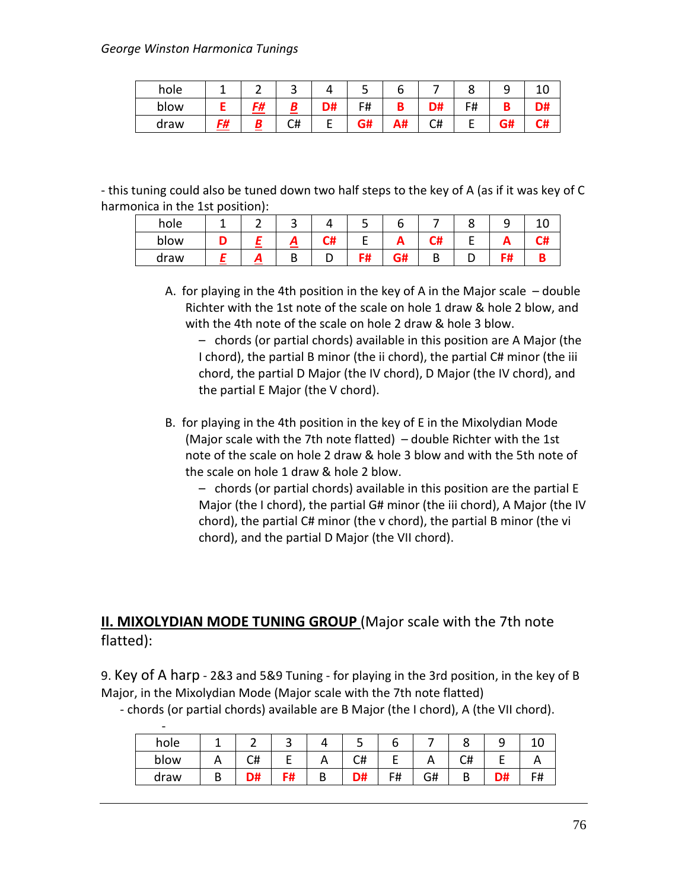#### *George Winston Harmonica Tunings*

| hole |    | -  | ັ  |    | ٮ  |    |          |    | پ  |    |
|------|----|----|----|----|----|----|----------|----|----|----|
| blow |    | F# |    | D# | F# |    | D#       | F# | D  | D# |
| draw | F# |    | C# |    | r# | A₩ | r#<br>८π | −  | J# | C# |

- this tuning could also be tuned down two half steps to the key of A (as if it was key of C harmonica in the 1st position):

| hole |  | ີ |      | ے         |           |   |    |      |
|------|--|---|------|-----------|-----------|---|----|------|
| blow |  | - | - '' |           |           | - | -- | - 77 |
| draw |  | D |      | c#<br>ד ו | G#<br>vn. | ◡ | .  |      |

A. for playing in the 4th position in the key of A in the Major scale – double Richter with the 1st note of the scale on hole 1 draw & hole 2 blow, and with the 4th note of the scale on hole 2 draw & hole 3 blow.

– chords (or partial chords) available in this position are A Major (the I chord), the partial B minor (the ii chord), the partial C# minor (the iii chord, the partial D Major (the IV chord), D Major (the IV chord), and the partial E Major (the V chord).

B. for playing in the 4th position in the key of E in the Mixolydian Mode (Major scale with the 7th note flatted) – double Richter with the 1st note of the scale on hole 2 draw & hole 3 blow and with the 5th note of the scale on hole 1 draw & hole 2 blow.

– chords (or partial chords) available in this position are the partial E Major (the I chord), the partial G# minor (the iii chord), A Major (the IV chord), the partial C# minor (the v chord), the partial B minor (the vi chord), and the partial D Major (the VII chord).

# **II. MIXOLYDIAN MODE TUNING GROUP** (Major scale with the 7th note flatted):

9. Key of A harp - 2&3 and 5&9 Tuning - for playing in the 3rd position, in the key of B Major, in the Mixolydian Mode (Major scale with the 7th note flatted)

| $\overline{\phantom{a}}$ |   |    |        |   |    |    |    |        |    |    |
|--------------------------|---|----|--------|---|----|----|----|--------|----|----|
| hole                     |   |    | ∽<br>ے |   | ັ  | ь  |    |        |    |    |
| blow                     |   | C# |        | Α | C# | E  | n  | C#     |    |    |
| draw                     | D | D# | F#     | B | D# | F# | G# | D<br>D | D# | F# |

- chords (or partial chords) available are B Major (the I chord), A (the VII chord).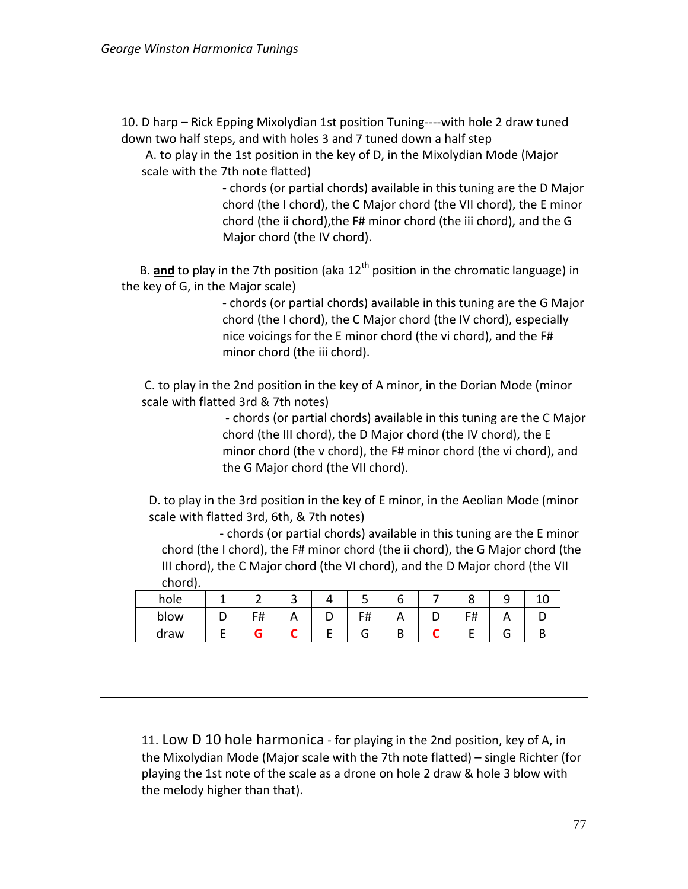10. D harp – Rick Epping Mixolydian 1st position Tuning----with hole 2 draw tuned down two half steps, and with holes 3 and 7 tuned down a half step

A. to play in the 1st position in the key of D, in the Mixolydian Mode (Major scale with the 7th note flatted)

> - chords (or partial chords) available in this tuning are the D Major chord (the I chord), the C Major chord (the VII chord), the E minor chord (the ii chord),the F# minor chord (the iii chord), and the G Major chord (the IV chord).

B. **and** to play in the 7th position (aka 12<sup>th</sup> position in the chromatic language) in the key of G, in the Major scale)

> - chords (or partial chords) available in this tuning are the G Major chord (the I chord), the C Major chord (the IV chord), especially nice voicings for the E minor chord (the vi chord), and the F# minor chord (the iii chord).

C. to play in the 2nd position in the key of A minor, in the Dorian Mode (minor scale with flatted 3rd & 7th notes)

> - chords (or partial chords) available in this tuning are the C Major chord (the III chord), the D Major chord (the IV chord), the E minor chord (the v chord), the F# minor chord (the vi chord), and the G Major chord (the VII chord).

D. to play in the 3rd position in the key of E minor, in the Aeolian Mode (minor scale with flatted 3rd, 6th, & 7th notes)

 - chords (or partial chords) available in this tuning are the E minor chord (the I chord), the F# minor chord (the ii chord), the G Major chord (the III chord), the C Major chord (the VI chord), and the D Major chord (the VII chord).

| hole |   |    |          |   |            |   |           | ۔ |  |
|------|---|----|----------|---|------------|---|-----------|---|--|
| blow |   | F# | $\cdots$ | ັ | F#<br>דד ו |   | <u> п</u> |   |  |
| draw | - |    |          | - | . п        | ш |           |   |  |

11. Low D 10 hole harmonica - for playing in the 2nd position, key of A, in the Mixolydian Mode (Major scale with the 7th note flatted) – single Richter (for playing the 1st note of the scale as a drone on hole 2 draw & hole 3 blow with the melody higher than that).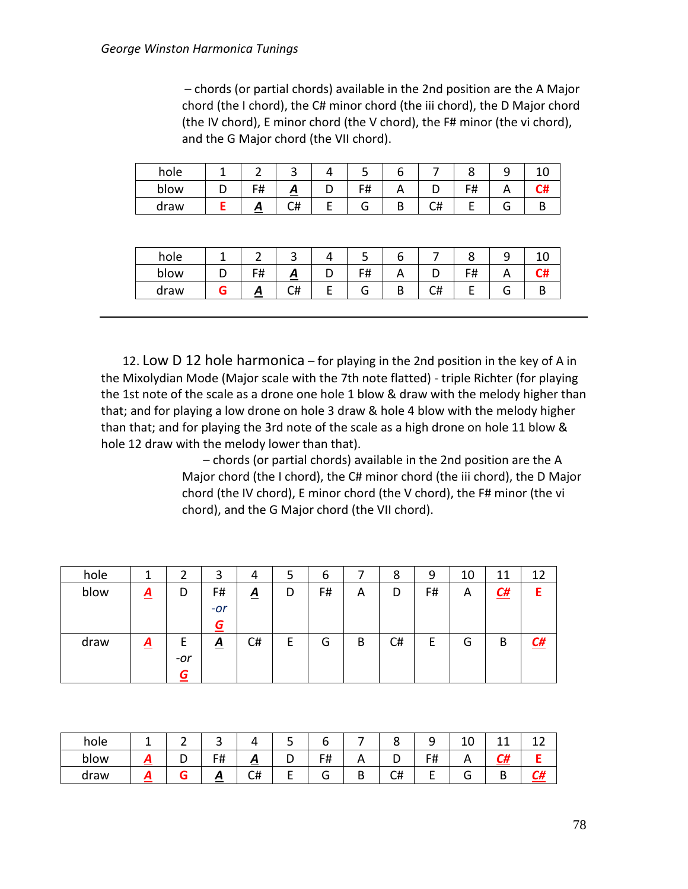– chords (or partial chords) available in the 2nd position are the A Major chord (the I chord), the C# minor chord (the iii chord), the D Major chord (the IV chord), E minor chord (the V chord), the F# minor (the vi chord), and the G Major chord (the VII chord).

| hole |         | ີ        |   | ب  |    |      |   |    |
|------|---------|----------|---|----|----|------|---|----|
| blow | г#<br>π | <u>a</u> |   | F# |    | דד ו |   | C# |
| draw | Ā       | C#       | - | O  | ∪# |      | J |    |

| hole |            | ີ       |   | ر ـ |        |      |  |
|------|------------|---------|---|-----|--------|------|--|
| blow | c#<br>דו ו | ≏       |   | F#  |        | דד ו |  |
| draw | Γ,         | r#<br>∽ | - |     | н<br>๛ |      |  |

 12. Low D 12 hole harmonica – for playing in the 2nd position in the key of A in the Mixolydian Mode (Major scale with the 7th note flatted) - triple Richter (for playing the 1st note of the scale as a drone one hole 1 blow & draw with the melody higher than that; and for playing a low drone on hole 3 draw & hole 4 blow with the melody higher than that; and for playing the 3rd note of the scale as a high drone on hole 11 blow & hole 12 draw with the melody lower than that).

> – chords (or partial chords) available in the 2nd position are the A Major chord (the I chord), the C# minor chord (the iii chord), the D Major chord (the IV chord), E minor chord (the V chord), the F# minor (the vi chord), and the G Major chord (the VII chord).

| hole |                 | 2               | 3        | 4               | כ      | 6  |   | 8  | 9  | 10 | 11        | 12                |
|------|-----------------|-----------------|----------|-----------------|--------|----|---|----|----|----|-----------|-------------------|
| blow | $\underline{A}$ | D               | F#       | $\underline{A}$ | D      | F# | Α | D  | F# | A  | <u>C#</u> |                   |
|      |                 |                 | $-or$    |                 |        |    |   |    |    |    |           |                   |
|      |                 |                 | G        |                 |        |    |   |    |    |    |           |                   |
| draw | $\mathbf{A}$    | E               | <u>A</u> | C#              | -<br>- | G  | B | C# | t  | G  | B         | $\underline{C}$ # |
|      |                 | $-Or$           |          |                 |        |    |   |    |    |    |           |                   |
|      |                 | $\underline{G}$ |          |                 |        |    |   |    |    |    |           |                   |

| hole |   |                  |          | ٮ |                          |          | ◡  | ື<br>ـ       | ∸        |         |  |
|------|---|------------------|----------|---|--------------------------|----------|----|--------------|----------|---------|--|
| blow | σ | F#<br>$\bm{\pi}$ | Ξ        |   | F#<br>$\boldsymbol{\pi}$ | $\cdots$ |    | г .<br>-<br> | $\cdots$ | ~"<br>п |  |
| draw |   | $\sqrt{ }$       | r#<br>◡₩ |   | J                        | D<br>D   | C# | -            | ∽        | -<br>n. |  |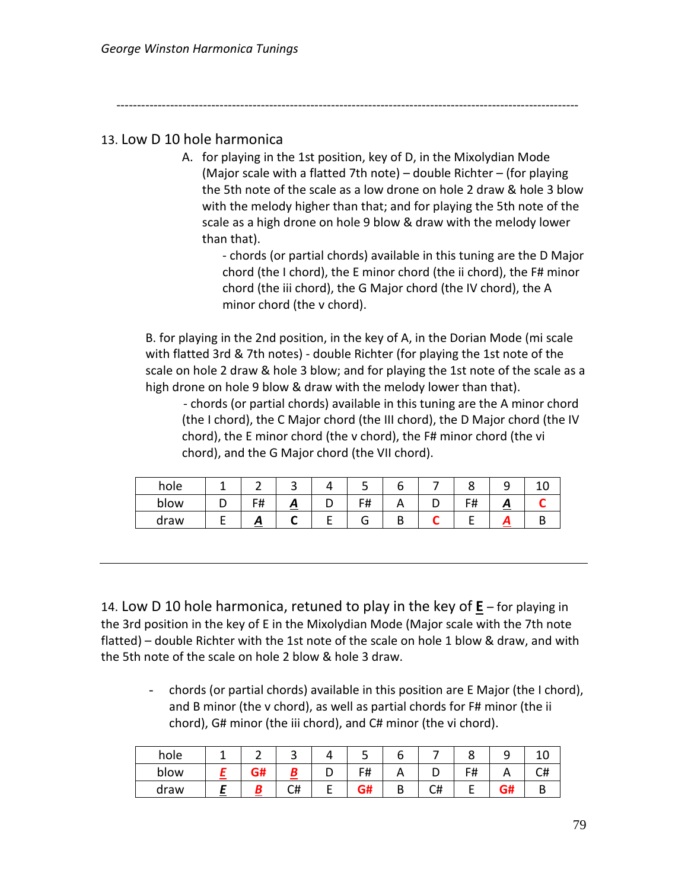----------------------------------------------------------------------------------------------------------------

## 13. Low D 10 hole harmonica

A. for playing in the 1st position, key of D, in the Mixolydian Mode (Major scale with a flatted 7th note) – double Richter – (for playing the 5th note of the scale as a low drone on hole 2 draw & hole 3 blow with the melody higher than that; and for playing the 5th note of the scale as a high drone on hole 9 blow & draw with the melody lower than that).

- chords (or partial chords) available in this tuning are the D Major chord (the I chord), the E minor chord (the ii chord), the F# minor chord (the iii chord), the G Major chord (the IV chord), the A minor chord (the v chord).

B. for playing in the 2nd position, in the key of A, in the Dorian Mode (mi scale with flatted 3rd & 7th notes) - double Richter (for playing the 1st note of the scale on hole 2 draw & hole 3 blow; and for playing the 1st note of the scale as a high drone on hole 9 blow & draw with the melody lower than that).

- chords (or partial chords) available in this tuning are the A minor chord (the I chord), the C Major chord (the III chord), the D Major chord (the IV chord), the E minor chord (the v chord), the F# minor chord (the vi chord), and the G Major chord (the VII chord).

| hole |                   |   | سه         |  |                        |  |
|------|-------------------|---|------------|--|------------------------|--|
| blow | F#                | ≏ | C#<br>דד ו |  | г#<br>. <del>. .</del> |  |
| draw | $\mathbf{\Omega}$ |   |            |  |                        |  |

14. Low D 10 hole harmonica, retuned to play in the key of **E** – for playing in the 3rd position in the key of E in the Mixolydian Mode (Major scale with the 7th note flatted) – double Richter with the 1st note of the scale on hole 1 blow & draw, and with the 5th note of the scale on hole 2 blow & hole 3 draw.

- chords (or partial chords) available in this position are E Major (the I chord), and B minor (the v chord), as well as partial chords for F# minor (the ii chord), G# minor (the iii chord), and C# minor (the vi chord).

| hole |    | ٮ  | ٮ          |   |   |                | ے  | ⊥∪ |
|------|----|----|------------|---|---|----------------|----|----|
| blow | G# |    | г.<br>דד ו |   |   | <del>ח</del> ו | n  | C# |
| draw |    | C# | ~<br>ЧП    | ப | ີ |                | G# |    |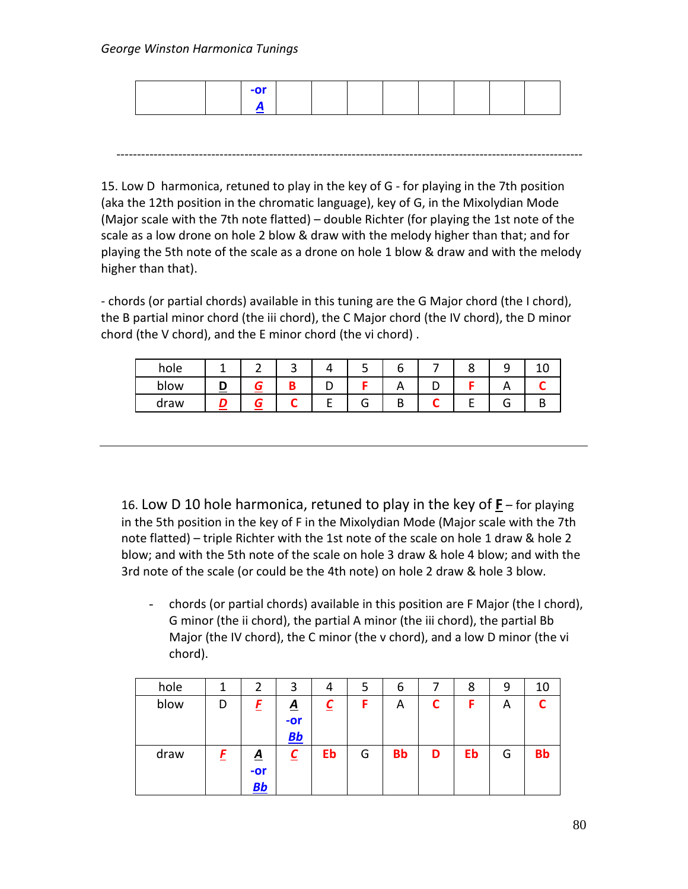|  | <b>OF</b> |  |  |  |  |
|--|-----------|--|--|--|--|
|  |           |  |  |  |  |

-----------------------------------------------------------------------------------------------------------------

15. Low D harmonica, retuned to play in the key of G - for playing in the 7th position (aka the 12th position in the chromatic language), key of G, in the Mixolydian Mode (Major scale with the 7th note flatted) – double Richter (for playing the 1st note of the scale as a low drone on hole 2 blow & draw with the melody higher than that; and for playing the 5th note of the scale as a drone on hole 1 blow & draw and with the melody higher than that).

- chords (or partial chords) available in this tuning are the G Major chord (the I chord), the B partial minor chord (the iii chord), the C Major chord (the IV chord), the D minor chord (the V chord), and the E minor chord (the vi chord) .

| hole | ∽ | -   |   |         |         |   |        |  |
|------|---|-----|---|---------|---------|---|--------|--|
| blow |   | . . |   |         |         |   |        |  |
| draw |   |     | - | ∽<br>п. | D<br>., | - | ∽<br>п |  |

16. Low D 10 hole harmonica, retuned to play in the key of **F** – for playing in the 5th position in the key of F in the Mixolydian Mode (Major scale with the 7th note flatted) – triple Richter with the 1st note of the scale on hole 1 draw & hole 2 blow; and with the 5th note of the scale on hole 3 draw & hole 4 blow; and with the 3rd note of the scale (or could be the 4th note) on hole 2 draw & hole 3 blow.

- chords (or partial chords) available in this position are F Major (the I chord), G minor (the ii chord), the partial A minor (the iii chord), the partial Bb Major (the IV chord), the C minor (the v chord), and a low D minor (the vi chord).

| hole |   | 2                              | 3                 |    | 5 | 6         |   | 8  | 9 | 10        |
|------|---|--------------------------------|-------------------|----|---|-----------|---|----|---|-----------|
| blow | D | E                              | <u>A</u><br>$-0r$ |    | F | A         | С | F  | Α |           |
|      |   |                                | Bb                |    |   |           |   |    |   |           |
| draw | E | <u>A</u><br>$-or$<br><u>Bb</u> | <u>C</u>          | Eb | G | <b>Bb</b> | D | Eb | G | <b>Bb</b> |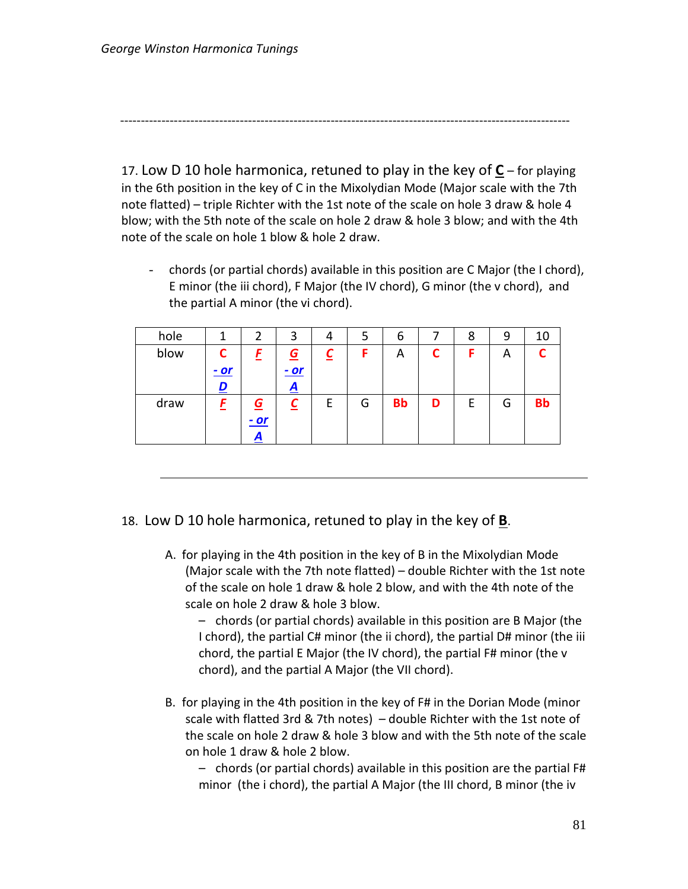-------------------------------------------------------------------------------------------------------------

17. Low D 10 hole harmonica, retuned to play in the key of **C** – for playing in the 6th position in the key of C in the Mixolydian Mode (Major scale with the 7th note flatted) – triple Richter with the 1st note of the scale on hole 3 draw & hole 4 blow; with the 5th note of the scale on hole 2 draw & hole 3 blow; and with the 4th note of the scale on hole 1 blow & hole 2 draw.

- chords (or partial chords) available in this position are C Major (the I chord), E minor (the iii chord), F Major (the IV chord), G minor (the v chord), and the partial A minor (the vi chord).

| hole |             | 2        | 3        | 4 | 5 | 6         |   | 8 | 9 | 10        |
|------|-------------|----------|----------|---|---|-----------|---|---|---|-----------|
| blow | С           |          | <u>G</u> |   | F | Α         |   | F | A |           |
|      | <u>- or</u> |          | $-or$    |   |   |           |   |   |   |           |
|      | D           |          | A        |   |   |           |   |   |   |           |
| draw |             | <u>G</u> | <u>C</u> | E | G | <b>Bb</b> | D | Ε | G | <b>Bb</b> |
|      |             | $- or$   |          |   |   |           |   |   |   |           |
|      |             | A        |          |   |   |           |   |   |   |           |

### 18. Low D 10 hole harmonica, retuned to play in the key of **B**.

A. for playing in the 4th position in the key of B in the Mixolydian Mode (Major scale with the 7th note flatted) – double Richter with the 1st note of the scale on hole 1 draw & hole 2 blow, and with the 4th note of the scale on hole 2 draw & hole 3 blow.

– chords (or partial chords) available in this position are B Major (the I chord), the partial C# minor (the ii chord), the partial D# minor (the iii chord, the partial E Major (the IV chord), the partial F# minor (the v chord), and the partial A Major (the VII chord).

B. for playing in the 4th position in the key of F# in the Dorian Mode (minor scale with flatted 3rd & 7th notes) – double Richter with the 1st note of the scale on hole 2 draw & hole 3 blow and with the 5th note of the scale on hole 1 draw & hole 2 blow.

– chords (or partial chords) available in this position are the partial F# minor (the i chord), the partial A Major (the III chord, B minor (the iv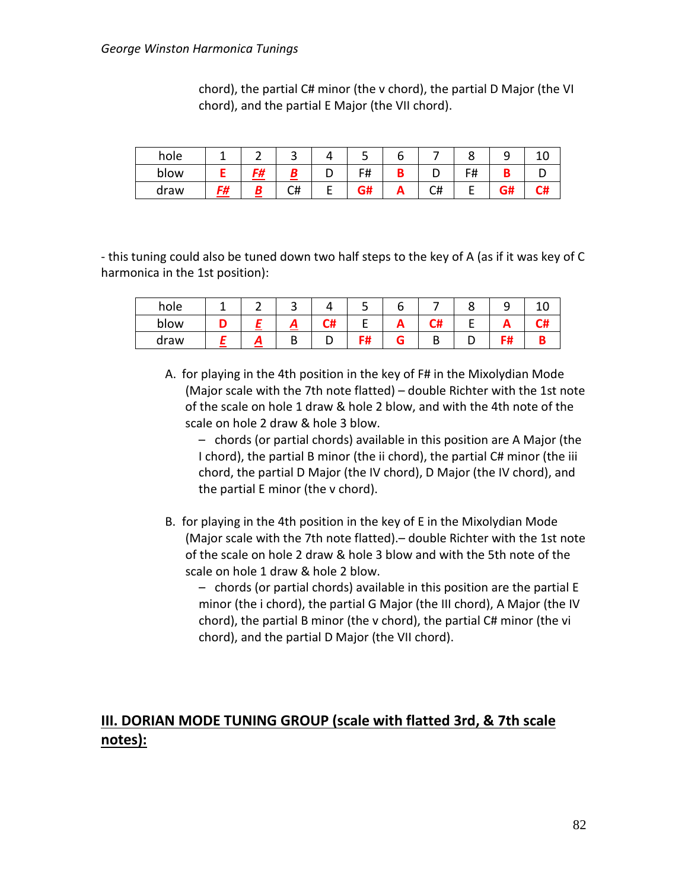| hole |    |    |    |   |    |   |    |    |           |  |
|------|----|----|----|---|----|---|----|----|-----------|--|
| blow |    | F# |    | ◡ | F# | D |    | F# |           |  |
| draw | C# |    | C# | ▃ | G# | Ē | C# |    | - "<br>5# |  |

chord), the partial C# minor (the v chord), the partial D Major (the VI chord), and the partial E Major (the VII chord).

- this tuning could also be tuned down two half steps to the key of A (as if it was key of C harmonica in the 1st position):

| hole |  | ັ |    |   |         |    |  |
|------|--|---|----|---|---------|----|--|
| blow |  | Л | C# |   | г.<br>- |    |  |
| draw |  | ט |    | - |         | ıπ |  |

A. for playing in the 4th position in the key of F# in the Mixolydian Mode (Major scale with the 7th note flatted) – double Richter with the 1st note of the scale on hole 1 draw & hole 2 blow, and with the 4th note of the scale on hole 2 draw & hole 3 blow.

– chords (or partial chords) available in this position are A Major (the I chord), the partial B minor (the ii chord), the partial C# minor (the iii chord, the partial D Major (the IV chord), D Major (the IV chord), and the partial E minor (the v chord).

- B. for playing in the 4th position in the key of E in the Mixolydian Mode (Major scale with the 7th note flatted).– double Richter with the 1st note of the scale on hole 2 draw & hole 3 blow and with the 5th note of the scale on hole 1 draw & hole 2 blow.
	- chords (or partial chords) available in this position are the partial E minor (the i chord), the partial G Major (the III chord), A Major (the IV chord), the partial B minor (the v chord), the partial C# minor (the vi chord), and the partial D Major (the VII chord).

# **III. DORIAN MODE TUNING GROUP (scale with flatted 3rd, & 7th scale notes):**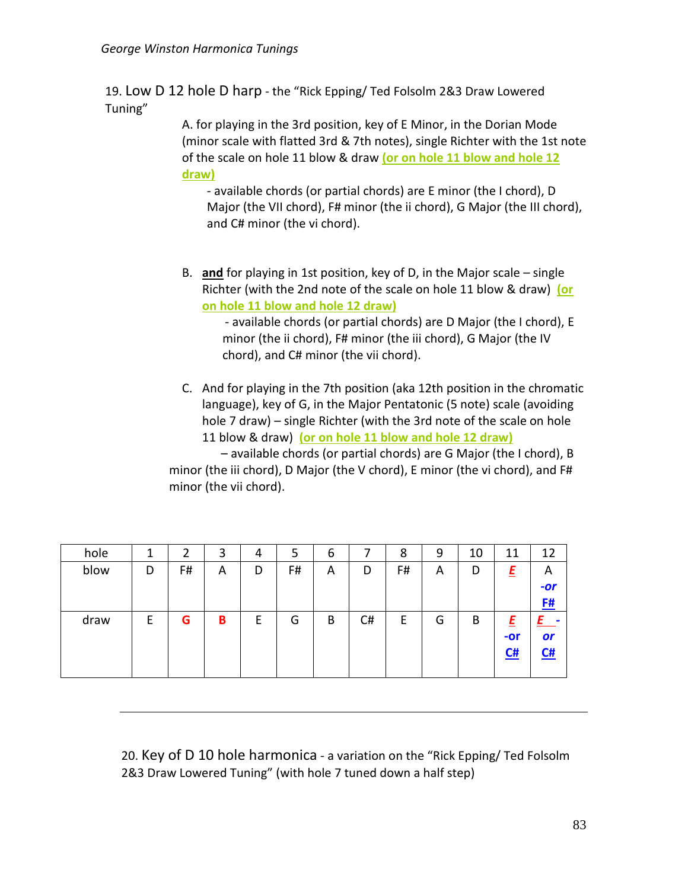19. Low D 12 hole D harp - the "Rick Epping/ Ted Folsolm 2&3 Draw Lowered Tuning"

> A. for playing in the 3rd position, key of E Minor, in the Dorian Mode (minor scale with flatted 3rd & 7th notes), single Richter with the 1st note of the scale on hole 11 blow & draw **(or on hole 11 blow and hole 12 draw)**

- available chords (or partial chords) are E minor (the I chord), D Major (the VII chord), F# minor (the ii chord), G Major (the III chord), and C# minor (the vi chord).

B. **and** for playing in 1st position, key of D, in the Major scale – single Richter (with the 2nd note of the scale on hole 11 blow & draw) **(or on hole 11 blow and hole 12 draw)**

> - available chords (or partial chords) are D Major (the I chord), E minor (the ii chord), F# minor (the iii chord), G Major (the IV chord), and C# minor (the vii chord).

C. And for playing in the 7th position (aka 12th position in the chromatic language), key of G, in the Major Pentatonic (5 note) scale (avoiding hole 7 draw) – single Richter (with the 3rd note of the scale on hole 11 blow & draw) **(or on hole 11 blow and hole 12 draw)**

 – available chords (or partial chords) are G Major (the I chord), B minor (the iii chord), D Major (the V chord), E minor (the vi chord), and F# minor (the vii chord).

| hole | ┻ | 2  | 3 | 4 | 5  | 6 |    | 8  | 9 | 10 | 11    | 12        |
|------|---|----|---|---|----|---|----|----|---|----|-------|-----------|
| blow | D | F# | A | D | F# | A | D  | F# | A | D  | Ε     | A         |
|      |   |    |   |   |    |   |    |    |   |    |       | $-or$     |
|      |   |    |   |   |    |   |    |    |   |    |       | <u>F#</u> |
| draw | F | G  | В | E | G  | B | C# | E  | G | B  | E     |           |
|      |   |    |   |   |    |   |    |    |   |    | $-0r$ | or        |
|      |   |    |   |   |    |   |    |    |   |    | C#    | C#        |
|      |   |    |   |   |    |   |    |    |   |    |       |           |

20. Key of D 10 hole harmonica - a variation on the "Rick Epping/ Ted Folsolm 2&3 Draw Lowered Tuning" (with hole 7 tuned down a half step)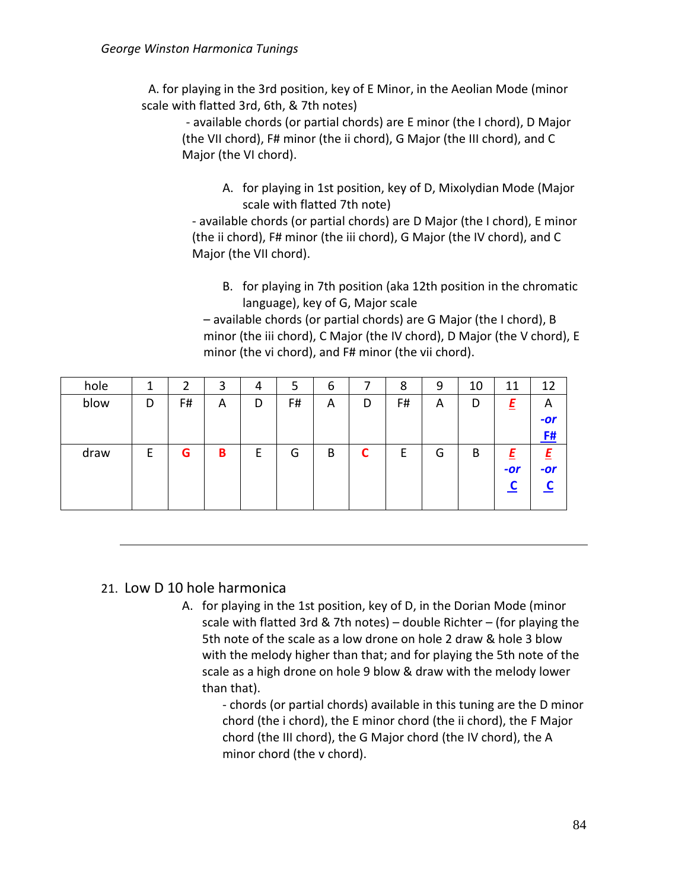A. for playing in the 3rd position, key of E Minor, in the Aeolian Mode (minor scale with flatted 3rd, 6th, & 7th notes)

- available chords (or partial chords) are E minor (the I chord), D Major (the VII chord), F# minor (the ii chord), G Major (the III chord), and C Major (the VI chord).

> A. for playing in 1st position, key of D, Mixolydian Mode (Major scale with flatted 7th note)

- available chords (or partial chords) are D Major (the I chord), E minor (the ii chord), F# minor (the iii chord), G Major (the IV chord), and C Major (the VII chord).

B. for playing in 7th position (aka 12th position in the chromatic language), key of G, Major scale

– available chords (or partial chords) are G Major (the I chord), B minor (the iii chord), C Major (the IV chord), D Major (the V chord), E minor (the vi chord), and F# minor (the vii chord).

| hole | ┸ | 2  | 3 | 4 | 5  | 6 |   | 8  | 9 | 10 | 11    | 12        |
|------|---|----|---|---|----|---|---|----|---|----|-------|-----------|
| blow | D | F# | A | D | F# | A | D | F# | A | D  | Ε     | A         |
|      |   |    |   |   |    |   |   |    |   |    |       | $-or$     |
|      |   |    |   |   |    |   |   |    |   |    |       | <u>F#</u> |
| draw | F | G  | B | F | G  | B | ┍ | E  | G | B  |       |           |
|      |   |    |   |   |    |   |   |    |   |    | $-or$ | $-or$     |
|      |   |    |   |   |    |   |   |    |   |    |       |           |
|      |   |    |   |   |    |   |   |    |   |    |       |           |

# 21. Low D 10 hole harmonica

A. for playing in the 1st position, key of D, in the Dorian Mode (minor scale with flatted 3rd & 7th notes) – double Richter – (for playing the 5th note of the scale as a low drone on hole 2 draw & hole 3 blow with the melody higher than that; and for playing the 5th note of the scale as a high drone on hole 9 blow & draw with the melody lower than that).

> - chords (or partial chords) available in this tuning are the D minor chord (the i chord), the E minor chord (the ii chord), the F Major chord (the III chord), the G Major chord (the IV chord), the A minor chord (the v chord).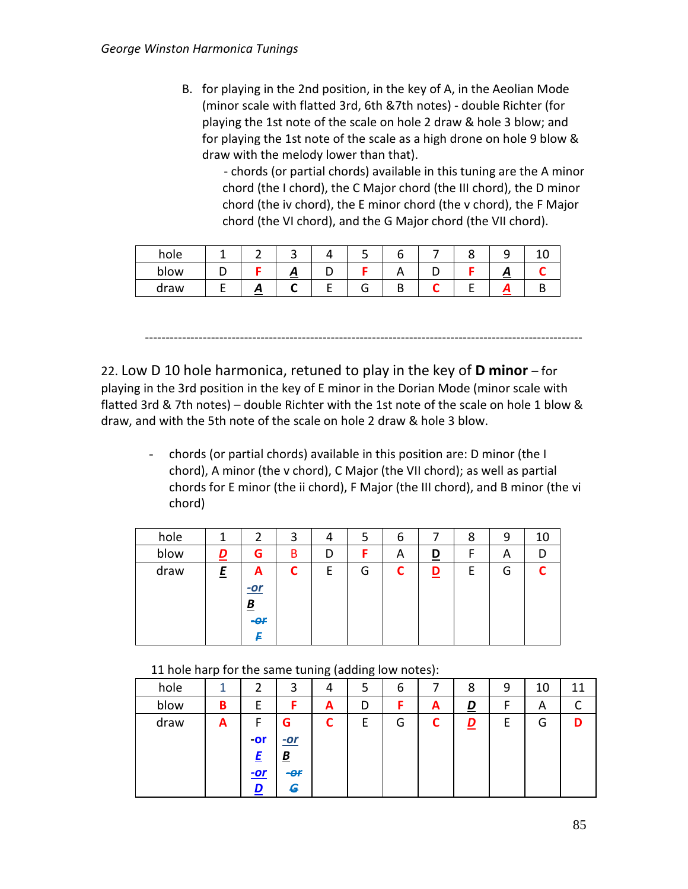- B. for playing in the 2nd position, in the key of A, in the Aeolian Mode (minor scale with flatted 3rd, 6th &7th notes) - double Richter (for playing the 1st note of the scale on hole 2 draw & hole 3 blow; and for playing the 1st note of the scale as a high drone on hole 9 blow & draw with the melody lower than that).
	- chords (or partial chords) available in this tuning are the A minor chord (the I chord), the C Major chord (the III chord), the D minor chord (the iv chord), the E minor chord (the v chord), the F Major chord (the VI chord), and the G Major chord (the VII chord).

| hole |    | $\tilde{\phantom{a}}$ |  |  |   |  |
|------|----|-----------------------|--|--|---|--|
| blow |    | ≏                     |  |  | ≃ |  |
| draw | г, |                       |  |  |   |  |

22. Low D 10 hole harmonica, retuned to play in the key of **D minor** – for playing in the 3rd position in the key of E minor in the Dorian Mode (minor scale with flatted 3rd & 7th notes) – double Richter with the 1st note of the scale on hole 1 blow & draw, and with the 5th note of the scale on hole 2 draw & hole 3 blow.

----------------------------------------------------------------------------------------------------------

- chords (or partial chords) available in this position are: D minor (the I chord), A minor (the v chord), C Major (the VII chord); as well as partial chords for E minor (the ii chord), F Major (the III chord), and B minor (the vi chord)

| hole |          |                                                  | 3 | 4 | 5 | b |          | 8 | 9 | 10 |
|------|----------|--------------------------------------------------|---|---|---|---|----------|---|---|----|
| blow | <u>D</u> | G                                                | B | D | F | A | <u>D</u> |   | A |    |
| draw | E        | A<br>$-$ or<br>$\underline{\mathbf{B}}$<br>$-CF$ | С | Е | G |   | D        | E | G |    |

### 11 hole harp for the same tuning (adding low notes):

|      | . . |            |                          | $\ddot{\phantom{0}}$ | $\tilde{\phantom{a}}$ |   | $\cdot$ |          |   |    |    |
|------|-----|------------|--------------------------|----------------------|-----------------------|---|---------|----------|---|----|----|
| hole | 1   | 2          | 3                        | 4                    | 5                     | ь |         | 8        | 9 | 10 | 11 |
| blow | B   | E          | E                        | A                    | D                     |   | A       | <u>D</u> | F | A  |    |
| draw | A   | F          | G                        |                      | E                     | G | ◚       | <u>D</u> | E | G  |    |
|      |     | $-0r$      | $-$ or                   |                      |                       |   |         |          |   |    |    |
|      |     | F          | $\underline{\mathbf{B}}$ |                      |                       |   |         |          |   |    |    |
|      |     | <u>-or</u> | $-er$                    |                      |                       |   |         |          |   |    |    |
|      |     | D          | G                        |                      |                       |   |         |          |   |    |    |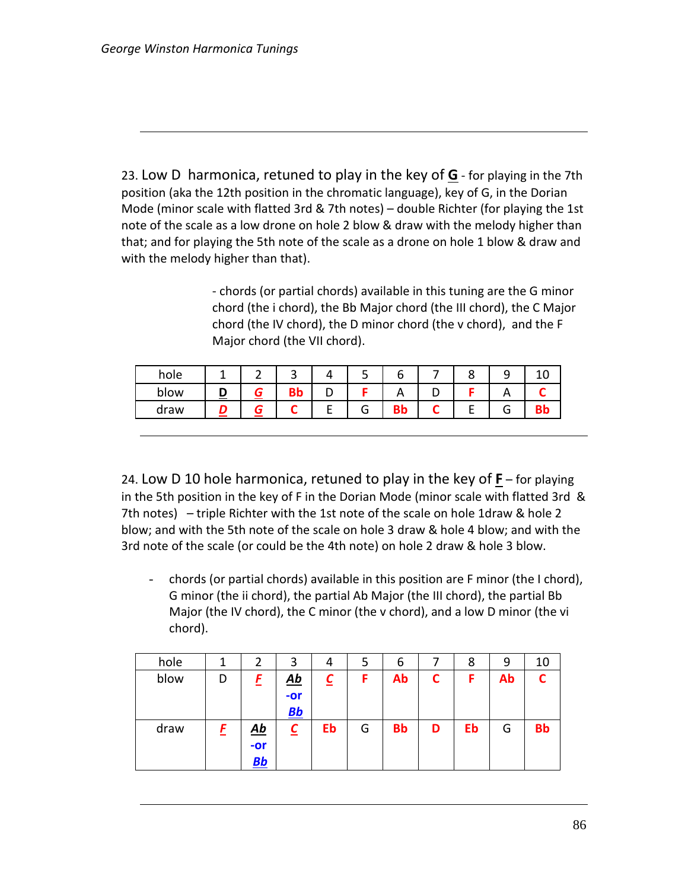23. Low D harmonica, retuned to play in the key of **G** - for playing in the 7th position (aka the 12th position in the chromatic language), key of G, in the Dorian Mode (minor scale with flatted 3rd & 7th notes) – double Richter (for playing the 1st note of the scale as a low drone on hole 2 blow & draw with the melody higher than that; and for playing the 5th note of the scale as a drone on hole 1 blow & draw and with the melody higher than that).

> - chords (or partial chords) available in this tuning are the G minor chord (the i chord), the Bb Major chord (the III chord), the C Major chord (the IV chord), the D minor chord (the v chord), and the F Major chord (the VII chord).

| hole | - |    |    |          |  |   |  |
|------|---|----|----|----------|--|---|--|
| blow |   | DЬ |    | $\cdots$ |  |   |  |
| draw |   |    | lп |          |  | ∽ |  |

24. Low D 10 hole harmonica, retuned to play in the key of **F** – for playing in the 5th position in the key of F in the Dorian Mode (minor scale with flatted 3rd & 7th notes) – triple Richter with the 1st note of the scale on hole 1draw & hole 2 blow; and with the 5th note of the scale on hole 3 draw & hole 4 blow; and with the 3rd note of the scale (or could be the 4th note) on hole 2 draw & hole 3 blow.

- chords (or partial chords) available in this position are F minor (the I chord), G minor (the ii chord), the partial Ab Major (the III chord), the partial Bb Major (the IV chord), the C minor (the v chord), and a low D minor (the vi chord).

| hole |   |                                                | 3                         | 4                       | 5 | 6         |   | 8  | 9  | 10        |
|------|---|------------------------------------------------|---------------------------|-------------------------|---|-----------|---|----|----|-----------|
| blow | D | E                                              | $\underline{\mathbf{Ab}}$ | $\overline{\mathsf{c}}$ | F | Ab        | C | F  | Ab |           |
|      |   |                                                | $-or$                     |                         |   |           |   |    |    |           |
|      |   |                                                | Bb                        |                         |   |           |   |    |    |           |
| draw | E | $\underline{\mathbf{A}}\underline{\mathbf{b}}$ | $\overline{\mathsf{c}}$   | Eb                      | G | <b>Bb</b> | D | Eb | G  | <b>Bb</b> |
|      |   | $-or$                                          |                           |                         |   |           |   |    |    |           |
|      |   | <u>Bb</u>                                      |                           |                         |   |           |   |    |    |           |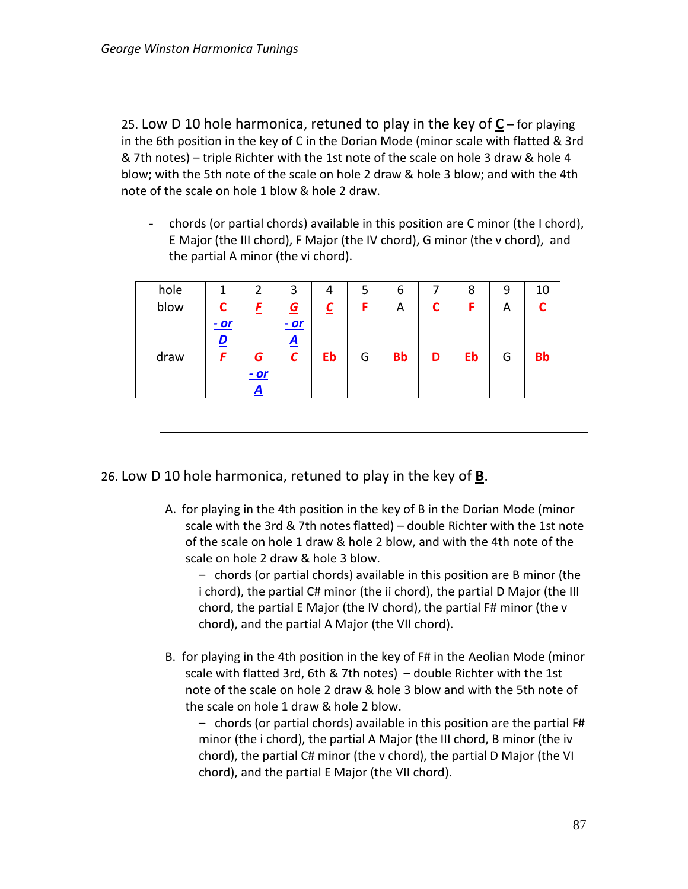25. Low D 10 hole harmonica, retuned to play in the key of **C** – for playing in the 6th position in the key of C in the Dorian Mode (minor scale with flatted & 3rd & 7th notes) – triple Richter with the 1st note of the scale on hole 3 draw & hole 4 blow; with the 5th note of the scale on hole 2 draw & hole 3 blow; and with the 4th note of the scale on hole 1 blow & hole 2 draw.

- chords (or partial chords) available in this position are C minor (the I chord), E Major (the III chord), F Major (the IV chord), G minor (the v chord), and the partial A minor (the vi chord).

| hole |       | 2              | 3           | 4                       | 5 | 6         |   | 8  | 9 | 10        |
|------|-------|----------------|-------------|-------------------------|---|-----------|---|----|---|-----------|
| blow | C     | E              | $\mathbf G$ | $\overline{\mathsf{c}}$ | F | Α         | C | F  | A | ⌒         |
|      | $-or$ |                | $-$ or      |                         |   |           |   |    |   |           |
|      | D     |                | A           |                         |   |           |   |    |   |           |
| draw |       | $\overline{G}$ | С           | Eb                      | G | <b>Bb</b> | D | Eb | G | <b>Bb</b> |
|      |       | <u>- or</u>    |             |                         |   |           |   |    |   |           |
|      |       | A              |             |                         |   |           |   |    |   |           |

26. Low D 10 hole harmonica, retuned to play in the key of **B**.

A. for playing in the 4th position in the key of B in the Dorian Mode (minor scale with the 3rd & 7th notes flatted) – double Richter with the 1st note of the scale on hole 1 draw & hole 2 blow, and with the 4th note of the scale on hole 2 draw & hole 3 blow.

– chords (or partial chords) available in this position are B minor (the i chord), the partial C# minor (the ii chord), the partial D Major (the III chord, the partial E Major (the IV chord), the partial F# minor (the v chord), and the partial A Major (the VII chord).

B. for playing in the 4th position in the key of F# in the Aeolian Mode (minor scale with flatted 3rd, 6th & 7th notes) – double Richter with the 1st note of the scale on hole 2 draw & hole 3 blow and with the 5th note of the scale on hole 1 draw & hole 2 blow.

– chords (or partial chords) available in this position are the partial F# minor (the i chord), the partial A Major (the III chord, B minor (the iv chord), the partial C# minor (the v chord), the partial D Major (the VI chord), and the partial E Major (the VII chord).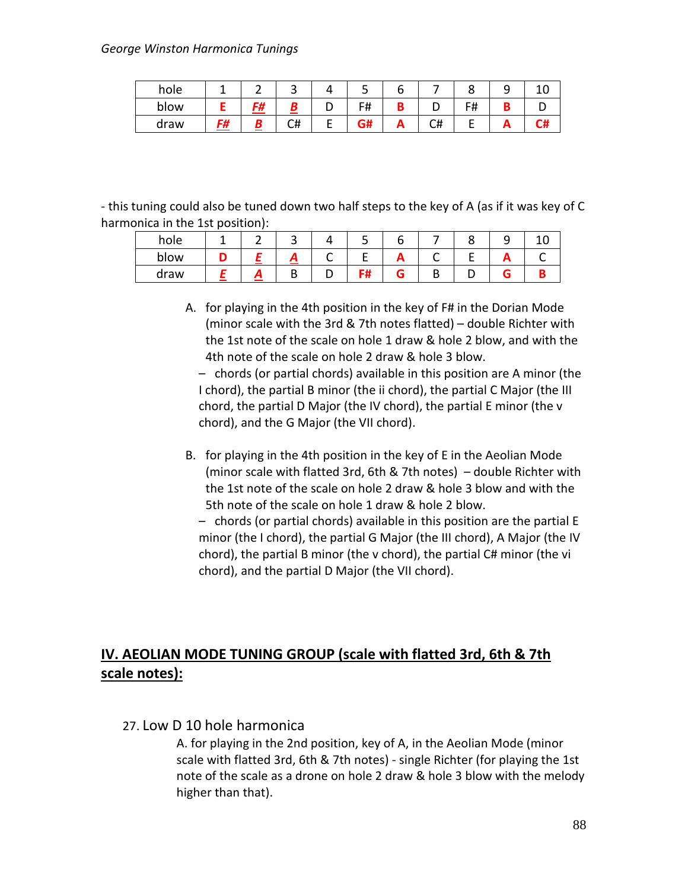#### *George Winston Harmonica Tunings*

| hole |    |     | ັ  |   | ╌          |    |      |    |    |
|------|----|-----|----|---|------------|----|------|----|----|
| blow |    | - 4 |    |   | F#         |    | דד ו |    |    |
| draw | F# |     | C# | - | ~ ''<br>5# | #ب | -    | n. | C# |

- this tuning could also be tuned down two half steps to the key of A (as if it was key of C harmonica in the 1st position):

| hole |  |   |    |  |  |  |
|------|--|---|----|--|--|--|
| blow |  |   |    |  |  |  |
| draw |  | ╌ | பா |  |  |  |

A. for playing in the 4th position in the key of F# in the Dorian Mode (minor scale with the 3rd & 7th notes flatted) – double Richter with the 1st note of the scale on hole 1 draw & hole 2 blow, and with the 4th note of the scale on hole 2 draw & hole 3 blow.

– chords (or partial chords) available in this position are A minor (the I chord), the partial B minor (the ii chord), the partial C Major (the III chord, the partial D Major (the IV chord), the partial E minor (the v chord), and the G Major (the VII chord).

B. for playing in the 4th position in the key of E in the Aeolian Mode (minor scale with flatted 3rd, 6th & 7th notes) – double Richter with the 1st note of the scale on hole 2 draw & hole 3 blow and with the 5th note of the scale on hole 1 draw & hole 2 blow.

– chords (or partial chords) available in this position are the partial E minor (the I chord), the partial G Major (the III chord), A Major (the IV chord), the partial B minor (the v chord), the partial C# minor (the vi chord), and the partial D Major (the VII chord).

# **IV. AEOLIAN MODE TUNING GROUP (scale with flatted 3rd, 6th & 7th scale notes):**

### 27. Low D 10 hole harmonica

A. for playing in the 2nd position, key of A, in the Aeolian Mode (minor scale with flatted 3rd, 6th & 7th notes) - single Richter (for playing the 1st note of the scale as a drone on hole 2 draw & hole 3 blow with the melody higher than that).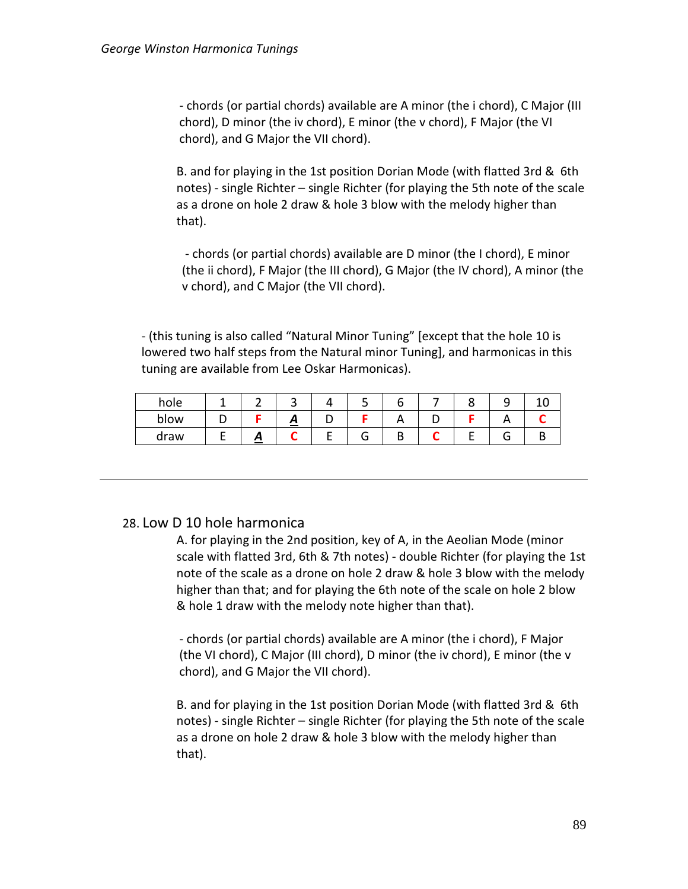- chords (or partial chords) available are A minor (the i chord), C Major (III chord), D minor (the iv chord), E minor (the v chord), F Major (the VI chord), and G Major the VII chord).

B. and for playing in the 1st position Dorian Mode (with flatted 3rd & 6th notes) - single Richter – single Richter (for playing the 5th note of the scale as a drone on hole 2 draw & hole 3 blow with the melody higher than that).

- chords (or partial chords) available are D minor (the I chord), E minor (the ii chord), F Major (the III chord), G Major (the IV chord), A minor (the v chord), and C Major (the VII chord).

- (this tuning is also called "Natural Minor Tuning" [except that the hole 10 is lowered two half steps from the Natural minor Tuning], and harmonicas in this tuning are available from Lee Oskar Harmonicas).

| hole |  |   |    |  |  |  |
|------|--|---|----|--|--|--|
| blow |  | ≃ |    |  |  |  |
| draw |  |   | л. |  |  |  |

# 28. Low D 10 hole harmonica

A. for playing in the 2nd position, key of A, in the Aeolian Mode (minor scale with flatted 3rd, 6th & 7th notes) - double Richter (for playing the 1st note of the scale as a drone on hole 2 draw & hole 3 blow with the melody higher than that; and for playing the 6th note of the scale on hole 2 blow & hole 1 draw with the melody note higher than that).

- chords (or partial chords) available are A minor (the i chord), F Major (the VI chord), C Major (III chord), D minor (the iv chord), E minor (the v chord), and G Major the VII chord).

B. and for playing in the 1st position Dorian Mode (with flatted 3rd & 6th notes) - single Richter – single Richter (for playing the 5th note of the scale as a drone on hole 2 draw & hole 3 blow with the melody higher than that).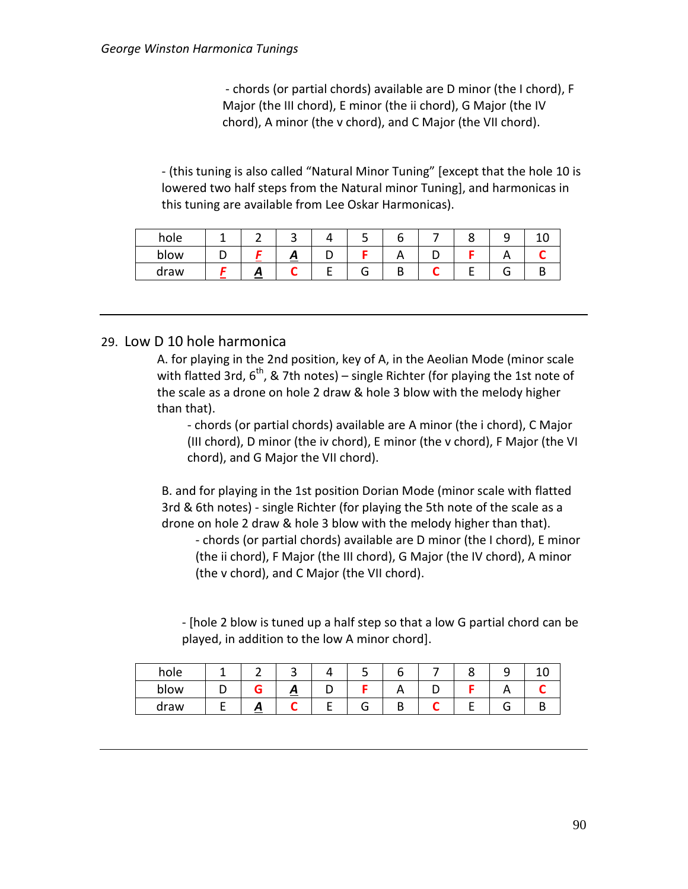- chords (or partial chords) available are D minor (the I chord), F Major (the III chord), E minor (the ii chord), G Major (the IV chord), A minor (the v chord), and C Major (the VII chord).

- (this tuning is also called "Natural Minor Tuning" [except that the hole 10 is lowered two half steps from the Natural minor Tuning], and harmonicas in this tuning are available from Lee Oskar Harmonicas).

| hole |                                                        |                   |   |    |          |  |  |
|------|--------------------------------------------------------|-------------------|---|----|----------|--|--|
| blow |                                                        | $\mathbf{\Gamma}$ | - |    | <u>r</u> |  |  |
| draw | <i>.</i><br><b>Contract Contract Contract Contract</b> |                   |   | п. | ш        |  |  |

### 29. Low D 10 hole harmonica

A. for playing in the 2nd position, key of A, in the Aeolian Mode (minor scale with flatted 3rd,  $6^{th}$ , & 7th notes) – single Richter (for playing the 1st note of the scale as a drone on hole 2 draw & hole 3 blow with the melody higher than that).

- chords (or partial chords) available are A minor (the i chord), C Major (III chord), D minor (the iv chord), E minor (the v chord), F Major (the VI chord), and G Major the VII chord).

B. and for playing in the 1st position Dorian Mode (minor scale with flatted 3rd & 6th notes) - single Richter (for playing the 5th note of the scale as a drone on hole 2 draw & hole 3 blow with the melody higher than that).

- chords (or partial chords) available are D minor (the I chord), E minor (the ii chord), F Major (the III chord), G Major (the IV chord), A minor (the v chord), and C Major (the VII chord).

- [hole 2 blow is tuned up a half step so that a low G partial chord can be played, in addition to the low A minor chord].

| hole |                   | ـ | ر ـ |  |  |  |
|------|-------------------|---|-----|--|--|--|
| blow |                   | ≏ |     |  |  |  |
| draw | $\mathbf{\Omega}$ |   |     |  |  |  |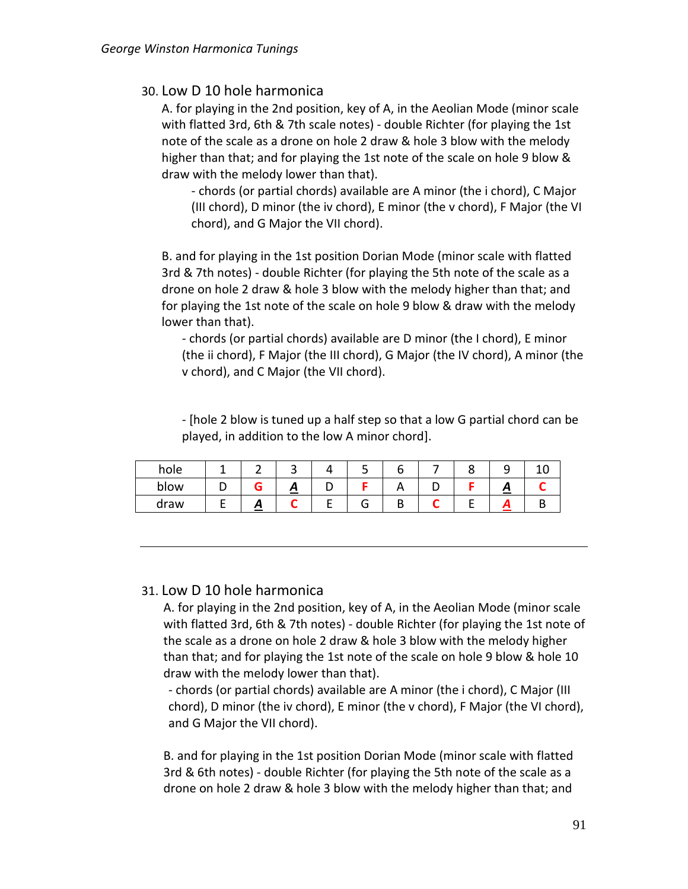## 30. Low D 10 hole harmonica

A. for playing in the 2nd position, key of A, in the Aeolian Mode (minor scale with flatted 3rd, 6th & 7th scale notes) - double Richter (for playing the 1st note of the scale as a drone on hole 2 draw & hole 3 blow with the melody higher than that; and for playing the 1st note of the scale on hole 9 blow & draw with the melody lower than that).

- chords (or partial chords) available are A minor (the i chord), C Major (III chord), D minor (the iv chord), E minor (the v chord), F Major (the VI chord), and G Major the VII chord).

B. and for playing in the 1st position Dorian Mode (minor scale with flatted 3rd & 7th notes) - double Richter (for playing the 5th note of the scale as a drone on hole 2 draw & hole 3 blow with the melody higher than that; and for playing the 1st note of the scale on hole 9 blow & draw with the melody lower than that).

- chords (or partial chords) available are D minor (the I chord), E minor (the ii chord), F Major (the III chord), G Major (the IV chord), A minor (the v chord), and C Major (the VII chord).

- [hole 2 blow is tuned up a half step so that a low G partial chord can be played, in addition to the low A minor chord].

| hole |                        |   |  |  | ۔ | ∸ |
|------|------------------------|---|--|--|---|---|
| blow |                        | ≃ |  |  | n |   |
| draw | $\mathbf{\mathcal{L}}$ |   |  |  |   |   |

### 31. Low D 10 hole harmonica

A. for playing in the 2nd position, key of A, in the Aeolian Mode (minor scale with flatted 3rd, 6th & 7th notes) - double Richter (for playing the 1st note of the scale as a drone on hole 2 draw & hole 3 blow with the melody higher than that; and for playing the 1st note of the scale on hole 9 blow & hole 10 draw with the melody lower than that).

- chords (or partial chords) available are A minor (the i chord), C Major (III chord), D minor (the iv chord), E minor (the v chord), F Major (the VI chord), and G Major the VII chord).

B. and for playing in the 1st position Dorian Mode (minor scale with flatted 3rd & 6th notes) - double Richter (for playing the 5th note of the scale as a drone on hole 2 draw & hole 3 blow with the melody higher than that; and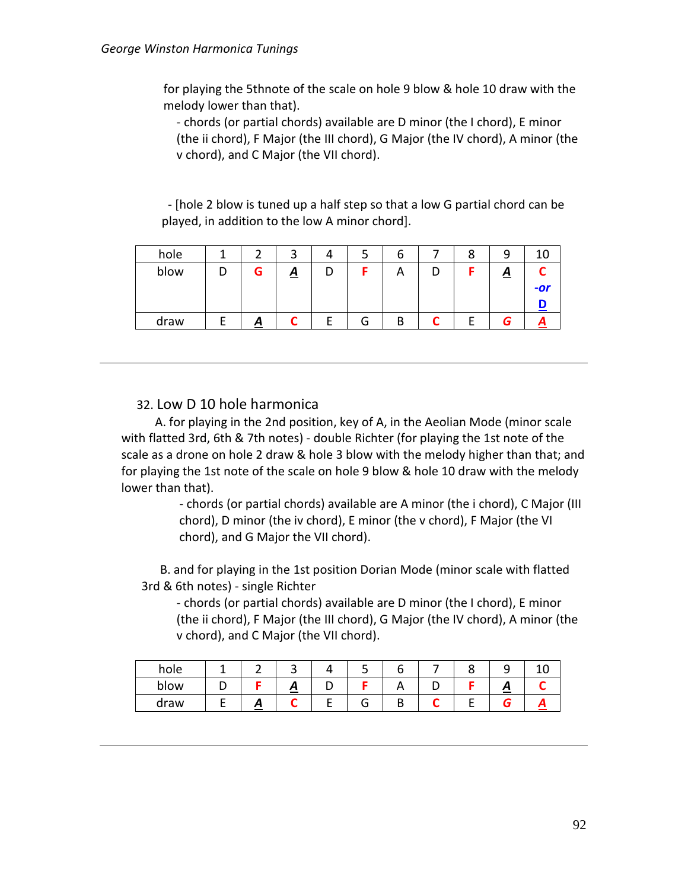for playing the 5thnote of the scale on hole 9 blow & hole 10 draw with the melody lower than that).

- chords (or partial chords) available are D minor (the I chord), E minor (the ii chord), F Major (the III chord), G Major (the IV chord), A minor (the v chord), and C Major (the VII chord).

 - [hole 2 blow is tuned up a half step so that a low G partial chord can be played, in addition to the low A minor chord].

| hole |          | ◠<br>ٮ         |   |   | o |  | Ω        |     |
|------|----------|----------------|---|---|---|--|----------|-----|
| blow | G        | $\overline{A}$ | D |   | A |  | <u>A</u> |     |
|      |          |                |   |   |   |  |          | -or |
|      |          |                |   |   |   |  |          |     |
| draw | <u>д</u> |                | - | G | B |  |          |     |

### 32. Low D 10 hole harmonica

 A. for playing in the 2nd position, key of A, in the Aeolian Mode (minor scale with flatted 3rd, 6th & 7th notes) - double Richter (for playing the 1st note of the scale as a drone on hole 2 draw & hole 3 blow with the melody higher than that; and for playing the 1st note of the scale on hole 9 blow & hole 10 draw with the melody lower than that).

> - chords (or partial chords) available are A minor (the i chord), C Major (III chord), D minor (the iv chord), E minor (the v chord), F Major (the VI chord), and G Major the VII chord).

 B. and for playing in the 1st position Dorian Mode (minor scale with flatted 3rd & 6th notes) - single Richter

- chords (or partial chords) available are D minor (the I chord), E minor (the ii chord), F Major (the III chord), G Major (the IV chord), A minor (the v chord), and C Major (the VII chord).

| hole |   |   |   |   |  |   |  |
|------|---|---|---|---|--|---|--|
| blow |   | ∼ | ້ |   |  | г |  |
| draw | ≏ |   |   | п |  |   |  |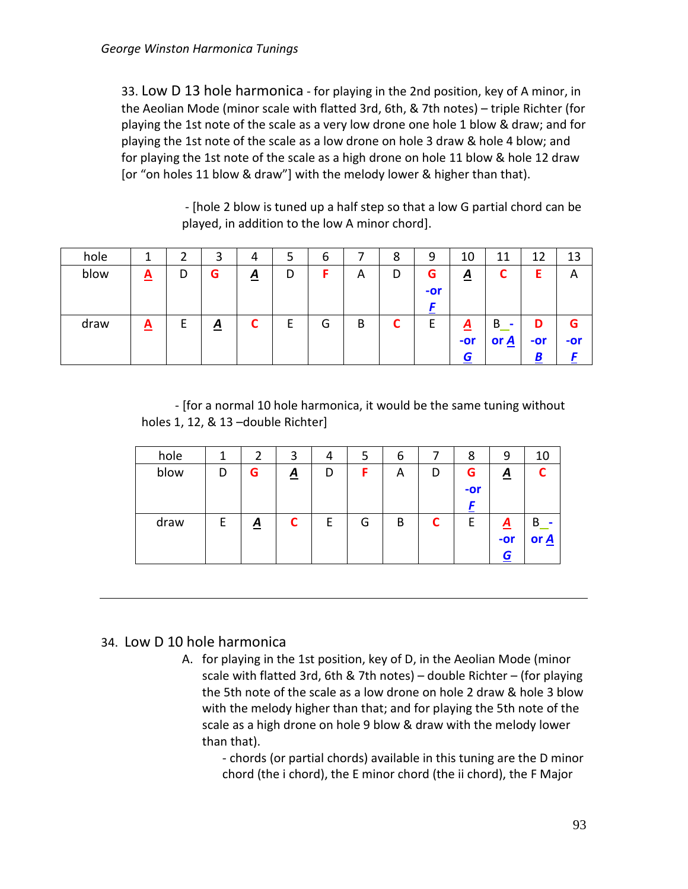33. Low D 13 hole harmonica - for playing in the 2nd position, key of A minor, in the Aeolian Mode (minor scale with flatted 3rd, 6th, & 7th notes) – triple Richter (for playing the 1st note of the scale as a very low drone one hole 1 blow & draw; and for playing the 1st note of the scale as a low drone on hole 3 draw & hole 4 blow; and for playing the 1st note of the scale as a high drone on hole 11 blow & hole 12 draw [or "on holes 11 blow & draw"] with the melody lower & higher than that).

> - [hole 2 blow is tuned up a half step so that a low G partial chord can be played, in addition to the low A minor chord].

| hole |          |   | 3               | 4               |   | b |   | 8 | 9     | 10                      | 11                 | 12  | 13  |
|------|----------|---|-----------------|-----------------|---|---|---|---|-------|-------------------------|--------------------|-----|-----|
| blow | <u>A</u> | D | G               | $\underline{A}$ | D |   | Α | D | G     | $\overline{\mathbf{A}}$ |                    |     | A   |
|      |          |   |                 |                 |   |   |   |   | $-0r$ |                         |                    |     |     |
|      |          |   |                 |                 |   |   |   |   |       |                         |                    |     |     |
| draw | <u>A</u> | E | $\underline{A}$ | ∼               |   | G | B |   |       | $\mathbf{A}$            | B                  |     | G   |
|      |          |   |                 |                 |   |   |   |   |       | $-0r$                   | or $\underline{A}$ | -or | -or |
|      |          |   |                 |                 |   |   |   |   |       | G                       |                    |     |     |

- [for a normal 10 hole harmonica, it would be the same tuning without holes 1, 12, & 13 –double Richter]

| hole |   |                 | 3        | 4 | ל | b |   | 8     | 9               | 10   |
|------|---|-----------------|----------|---|---|---|---|-------|-----------------|------|
| blow | D | G               | <u>A</u> | D | F | A | D | G     | <u>A</u>        |      |
|      |   |                 |          |   |   |   |   | $-0r$ |                 |      |
|      |   |                 |          |   |   |   |   |       |                 |      |
| draw | Е | $\underline{A}$ | r        | E | G | B | ◠ | F     | $\underline{A}$ | В    |
|      |   |                 |          |   |   |   |   |       | -or             | or A |
|      |   |                 |          |   |   |   |   |       | G               |      |

# 34. Low D 10 hole harmonica

A. for playing in the 1st position, key of D, in the Aeolian Mode (minor scale with flatted 3rd, 6th & 7th notes) – double Richter – (for playing the 5th note of the scale as a low drone on hole 2 draw & hole 3 blow with the melody higher than that; and for playing the 5th note of the scale as a high drone on hole 9 blow & draw with the melody lower than that).

- chords (or partial chords) available in this tuning are the D minor chord (the i chord), the E minor chord (the ii chord), the F Major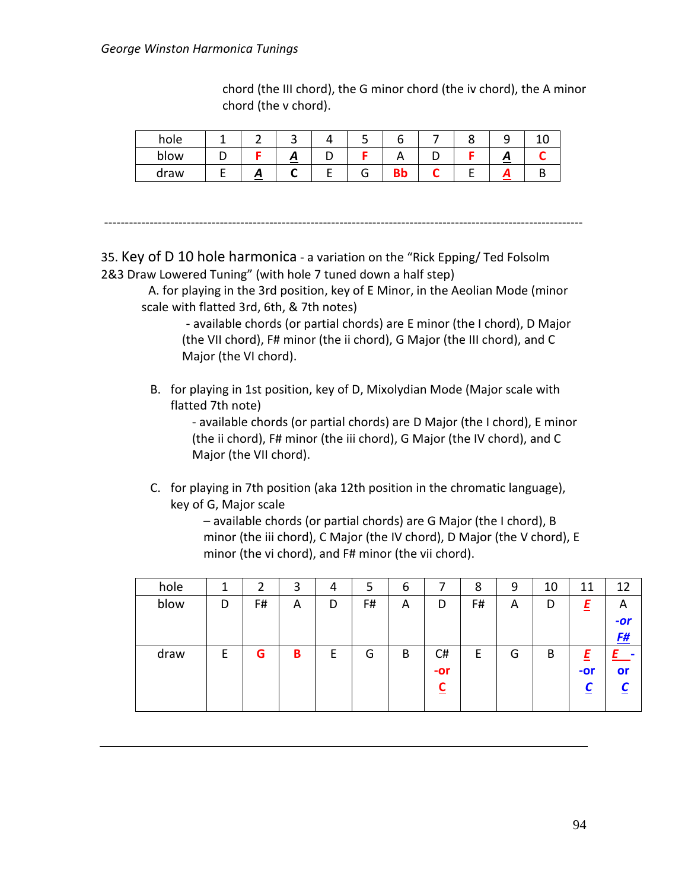#### *George Winston Harmonica Tunings*

chord (the III chord), the G minor chord (the iv chord), the A minor chord (the v chord).

| hole |    | ٮ                 | ر ـ |  | ے |  |
|------|----|-------------------|-----|--|---|--|
| blow |    | $\mathbf{\Omega}$ |     |  | ≏ |  |
| draw | Л, |                   |     |  |   |  |

--------------------------------------------------------------------------------------------------------------------

35. Key of D 10 hole harmonica - a variation on the "Rick Epping/ Ted Folsolm 2&3 Draw Lowered Tuning" (with hole 7 tuned down a half step)

A. for playing in the 3rd position, key of E Minor, in the Aeolian Mode (minor scale with flatted 3rd, 6th, & 7th notes)

- available chords (or partial chords) are E minor (the I chord), D Major (the VII chord), F# minor (the ii chord), G Major (the III chord), and C Major (the VI chord).

B. for playing in 1st position, key of D, Mixolydian Mode (Major scale with flatted 7th note)

> - available chords (or partial chords) are D Major (the I chord), E minor (the ii chord), F# minor (the iii chord), G Major (the IV chord), and C Major (the VII chord).

C. for playing in 7th position (aka 12th position in the chromatic language), key of G, Major scale

> – available chords (or partial chords) are G Major (the I chord), B minor (the iii chord), C Major (the IV chord), D Major (the V chord), E minor (the vi chord), and F# minor (the vii chord).

| hole |   | າ  | 3 | 4 | 5  | 6 |       | 8  | 9 | 10 | 11    | 12           |
|------|---|----|---|---|----|---|-------|----|---|----|-------|--------------|
| blow | D | F# | A | D | F# | A | D     | F# | A | D  | E     | $\mathsf{A}$ |
|      |   |    |   |   |    |   |       |    |   |    |       | $-or$        |
|      |   |    |   |   |    |   |       |    |   |    |       | <u>F#</u>    |
| draw | E | G  | В | E | G  | B | C#    | E  | G | B  |       |              |
|      |   |    |   |   |    |   | $-0r$ |    |   |    | $-0r$ | or           |
|      |   |    |   |   |    |   | ◠     |    |   |    |       |              |
|      |   |    |   |   |    |   |       |    |   |    |       |              |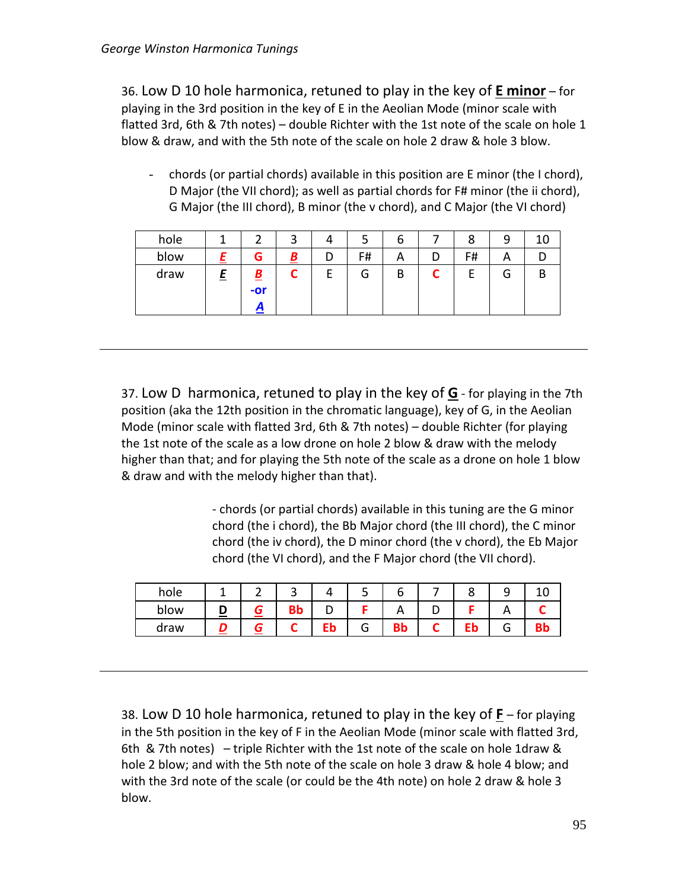36. Low D 10 hole harmonica, retuned to play in the key of **E minor** – for playing in the 3rd position in the key of E in the Aeolian Mode (minor scale with flatted 3rd, 6th & 7th notes) – double Richter with the 1st note of the scale on hole 1 blow & draw, and with the 5th note of the scale on hole 2 draw & hole 3 blow.

- chords (or partial chords) available in this position are E minor (the I chord), D Major (the VII chord); as well as partial chords for F# minor (the ii chord), G Major (the III chord), B minor (the v chord), and C Major (the VI chord)

| hole |   |                   | ◠        |   | ٮ      | o        |   | 8  | 9 | 10 |
|------|---|-------------------|----------|---|--------|----------|---|----|---|----|
| blow |   | G                 | <u>В</u> | D | F#     | <u>r</u> | ע | F# | Α |    |
| draw | E | <u>B</u><br>$-0r$ |          | г | ⌒<br>O | В        | ∽ | -  | G | ь  |

37. Low D harmonica, retuned to play in the key of **G** - for playing in the 7th position (aka the 12th position in the chromatic language), key of G, in the Aeolian Mode (minor scale with flatted 3rd, 6th & 7th notes) – double Richter (for playing the 1st note of the scale as a low drone on hole 2 blow & draw with the melody higher than that; and for playing the 5th note of the scale as a drone on hole 1 blow & draw and with the melody higher than that).

> - chords (or partial chords) available in this tuning are the G minor chord (the i chord), the Bb Major chord (the III chord), the C minor chord (the iv chord), the D minor chord (the v chord), the Eb Major chord (the VI chord), and the F Major chord (the VII chord).

| hole |   | ∽ |         |    |   |    |    |  |
|------|---|---|---------|----|---|----|----|--|
| blow | = |   | D<br>◡◡ |    |   |    |    |  |
| draw |   |   |         | Eb | u | BЮ | Eb |  |

38. Low D 10 hole harmonica, retuned to play in the key of **F** – for playing in the 5th position in the key of F in the Aeolian Mode (minor scale with flatted 3rd, 6th & 7th notes) – triple Richter with the 1st note of the scale on hole 1draw & hole 2 blow; and with the 5th note of the scale on hole 3 draw & hole 4 blow; and with the 3rd note of the scale (or could be the 4th note) on hole 2 draw & hole 3 blow.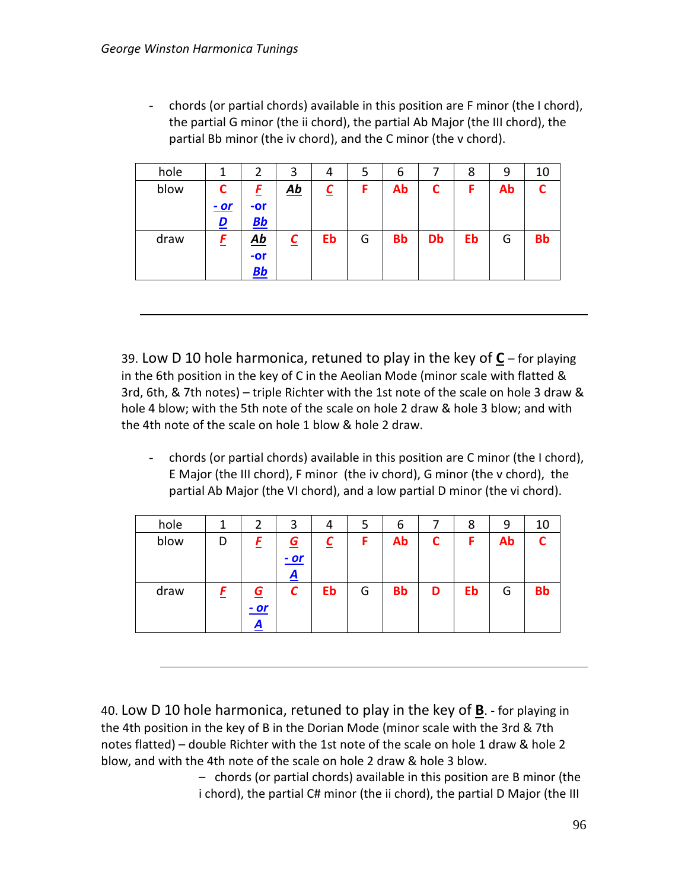- chords (or partial chords) available in this position are F minor (the I chord), the partial G minor (the ii chord), the partial Ab Major (the III chord), the partial Bb minor (the iv chord), and the C minor (the v chord).

| hole | 1           | 2         | 3                                              | 4        | 5 | 6         |    | 8  | 9  | 10        |
|------|-------------|-----------|------------------------------------------------|----------|---|-----------|----|----|----|-----------|
| blow | C           | E         | $\underline{\mathbf{A}}\underline{\mathbf{b}}$ | <u>C</u> | F | Ab        |    | F  | Ab | ◠         |
|      | <u>- or</u> | $-or$     |                                                |          |   |           |    |    |    |           |
|      | <u>D</u>    | $BB$      |                                                |          |   |           |    |    |    |           |
| draw | E           | <u>Ab</u> |                                                | Eb       | G | <b>Bb</b> | Db | Eb | G  | <b>Bb</b> |
|      |             | $-or$     |                                                |          |   |           |    |    |    |           |
|      |             | Bb        |                                                |          |   |           |    |    |    |           |

39. Low D 10 hole harmonica, retuned to play in the key of **C** – for playing in the 6th position in the key of C in the Aeolian Mode (minor scale with flatted & 3rd, 6th, & 7th notes) – triple Richter with the 1st note of the scale on hole 3 draw & hole 4 blow; with the 5th note of the scale on hole 2 draw & hole 3 blow; and with the 4th note of the scale on hole 1 blow & hole 2 draw.

- chords (or partial chords) available in this position are C minor (the I chord), E Major (the III chord), F minor (the iv chord), G minor (the v chord), the partial Ab Major (the VI chord), and a low partial D minor (the vi chord).

| hole |   | 2                      | 3                                         | 4  | 5 | 6         |   | 8  | 9  | 10        |
|------|---|------------------------|-------------------------------------------|----|---|-----------|---|----|----|-----------|
| blow | D |                        | $\overline{G}$<br><u>- or</u><br><u>А</u> |    | F | Ab        |   | F  | Ab |           |
| draw |   | <u>G</u><br>$-or$<br>A | С                                         | Eb | G | <b>Bb</b> | D | Eb | G  | <b>Bb</b> |

40. Low D 10 hole harmonica, retuned to play in the key of **B**. - for playing in the 4th position in the key of B in the Dorian Mode (minor scale with the 3rd & 7th notes flatted) – double Richter with the 1st note of the scale on hole 1 draw & hole 2 blow, and with the 4th note of the scale on hole 2 draw & hole 3 blow.

> – chords (or partial chords) available in this position are B minor (the i chord), the partial C# minor (the ii chord), the partial D Major (the III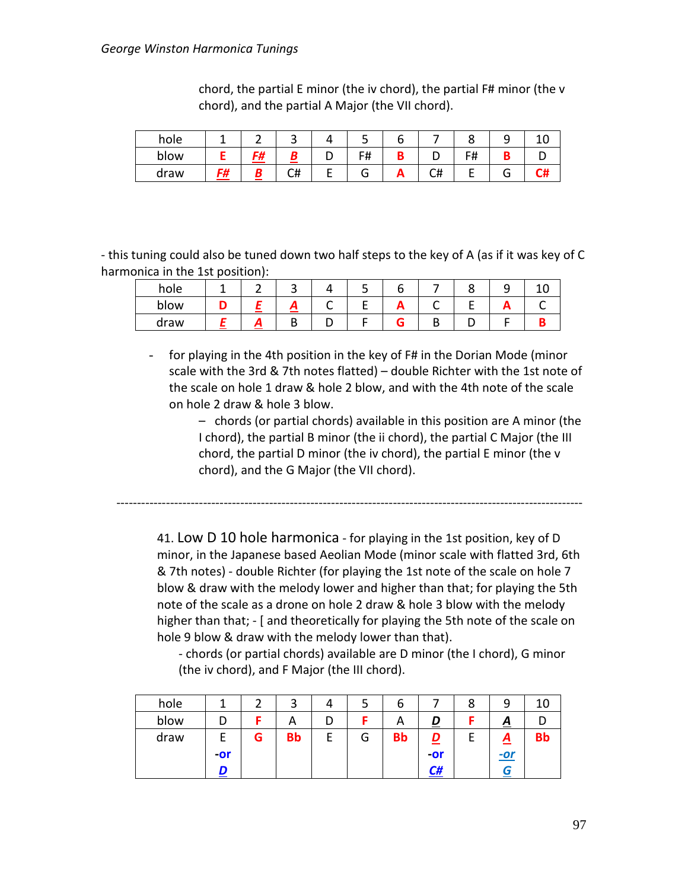| hole |    |           | ັ  |   |     |    |                    |  |
|------|----|-----------|----|---|-----|----|--------------------|--|
| blow |    | G#<br>,,, |    |   | F#  |    | rц<br>$^{\rm \pi}$ |  |
| draw | F# |           | C# | ┕ | . т | C# |                    |  |

chord, the partial E minor (the iv chord), the partial F# minor (the v chord), and the partial A Major (the VII chord).

- this tuning could also be tuned down two half steps to the key of A (as if it was key of C harmonica in the 1st position):

| hole |   | ັ |   |                          |  |  |
|------|---|---|---|--------------------------|--|--|
| blow |   | — | ∼ | $\overline{\phantom{a}}$ |  |  |
| draw | Ē | L |   |                          |  |  |

- for playing in the 4th position in the key of F# in the Dorian Mode (minor scale with the 3rd & 7th notes flatted) – double Richter with the 1st note of the scale on hole 1 draw & hole 2 blow, and with the 4th note of the scale on hole 2 draw & hole 3 blow.

> – chords (or partial chords) available in this position are A minor (the I chord), the partial B minor (the ii chord), the partial C Major (the III chord, the partial D minor (the iv chord), the partial E minor (the v chord), and the G Major (the VII chord).

41. Low D 10 hole harmonica - for playing in the 1st position, key of D minor, in the Japanese based Aeolian Mode (minor scale with flatted 3rd, 6th & 7th notes) - double Richter (for playing the 1st note of the scale on hole 7 blow & draw with the melody lower and higher than that; for playing the 5th note of the scale as a drone on hole 2 draw & hole 3 blow with the melody higher than that; - [ and theoretically for playing the 5th note of the scale on hole 9 blow & draw with the melody lower than that).

-----------------------------------------------------------------------------------------------------------------

- chords (or partial chords) available are D minor (the I chord), G minor (the iv chord), and F Major (the III chord).

| hole |       |   |           |        | O         |       | 8 | q              |    |
|------|-------|---|-----------|--------|-----------|-------|---|----------------|----|
| blow |       |   | A         |        | <u>r</u>  |       |   | $\overline{A}$ |    |
| draw |       | G | <b>Bb</b> | ∽<br>G | <b>Bb</b> |       |   | <u>A</u>       | Bb |
|      | $-0r$ |   |           |        |           | $-0r$ |   | $-$ or         |    |
|      |       |   |           |        |           | C#    |   | ſπ.            |    |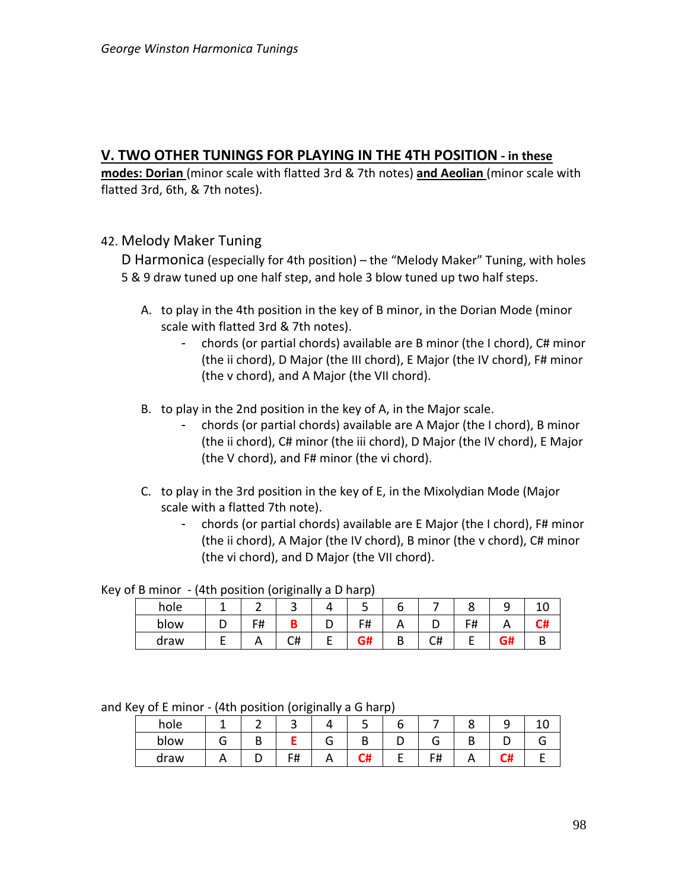# **V. TWO OTHER TUNINGS FOR PLAYING IN THE 4TH POSITION - in these**

**modes: Dorian** (minor scale with flatted 3rd & 7th notes) **and Aeolian** (minor scale with flatted 3rd, 6th, & 7th notes).

42. Melody Maker Tuning

D Harmonica (especially for 4th position) – the "Melody Maker" Tuning, with holes 5 & 9 draw tuned up one half step, and hole 3 blow tuned up two half steps.

- A. to play in the 4th position in the key of B minor, in the Dorian Mode (minor scale with flatted 3rd & 7th notes).
	- chords (or partial chords) available are B minor (the I chord), C# minor (the ii chord), D Major (the III chord), E Major (the IV chord), F# minor (the v chord), and A Major (the VII chord).
- B. to play in the 2nd position in the key of A, in the Major scale.
	- chords (or partial chords) available are A Major (the I chord), B minor (the ii chord), C# minor (the iii chord), D Major (the IV chord), E Major (the V chord), and F# minor (the vi chord).
- C. to play in the 3rd position in the key of E, in the Mixolydian Mode (Major scale with a flatted 7th note).
	- chords (or partial chords) available are E Major (the I chord), F# minor (the ii chord), A Major (the IV chord), B minor (the v chord), C# minor (the vi chord), and D Major (the VII chord).

Key of B minor - (4th position (originally a D harp)

| hole |    | ັ  |            |   |    |    |    |  |
|------|----|----|------------|---|----|----|----|--|
| blow | F# |    | F#<br>דז ו |   |    | F# |    |  |
| draw |    | C# | G#         | D | C# |    | G# |  |

and Key of E minor - (4th position (originally a G harp)

|      |          |   | ັ  |     |    |                     |    |  |
|------|----------|---|----|-----|----|---------------------|----|--|
| hole |          |   | ້  |     | ے  |                     |    |  |
| blow |          | υ |    | п   | ., |                     | n. |  |
| draw | $\cdots$ | ັ | F# | . . |    | c#<br>$\cdot$ $\pi$ |    |  |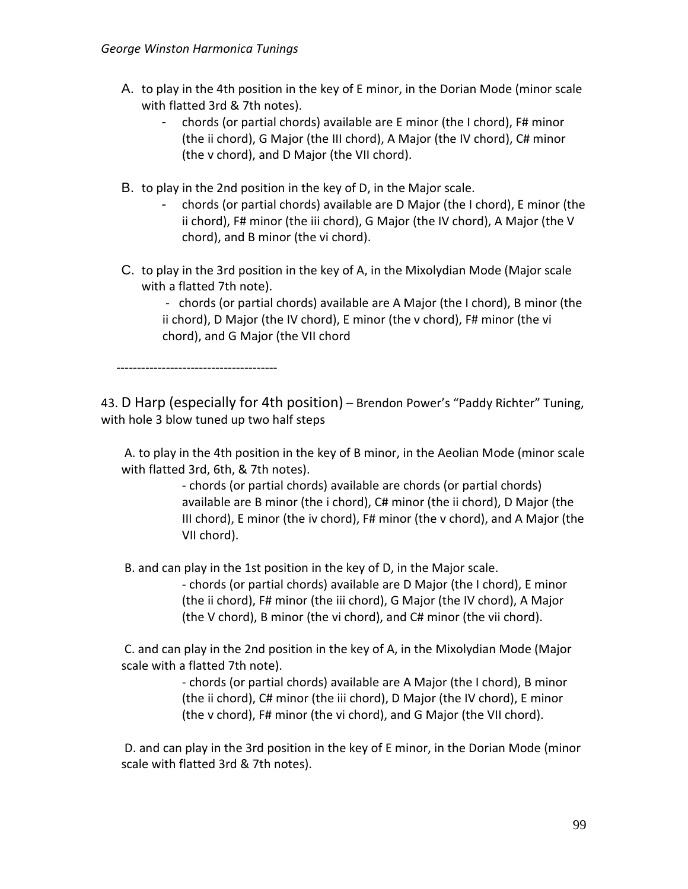- A. to play in the 4th position in the key of E minor, in the Dorian Mode (minor scale with flatted 3rd & 7th notes).
	- chords (or partial chords) available are E minor (the I chord), F# minor (the ii chord), G Major (the III chord), A Major (the IV chord), C# minor (the v chord), and D Major (the VII chord).
- B. to play in the 2nd position in the key of D, in the Major scale.
	- chords (or partial chords) available are D Major (the I chord), E minor (the ii chord), F# minor (the iii chord), G Major (the IV chord), A Major (the V chord), and B minor (the vi chord).
- C. to play in the 3rd position in the key of A, in the Mixolydian Mode (Major scale with a flatted 7th note).

- chords (or partial chords) available are A Major (the I chord), B minor (the ii chord), D Major (the IV chord), E minor (the v chord), F# minor (the vi chord), and G Major (the VII chord

---------------------------------------

43. D Harp (especially for 4th position) – Brendon Power's "Paddy Richter" Tuning, with hole 3 blow tuned up two half steps

A. to play in the 4th position in the key of B minor, in the Aeolian Mode (minor scale with flatted 3rd, 6th, & 7th notes).

> - chords (or partial chords) available are chords (or partial chords) available are B minor (the i chord), C# minor (the ii chord), D Major (the III chord), E minor (the iv chord), F# minor (the v chord), and A Major (the VII chord).

B. and can play in the 1st position in the key of D, in the Major scale.

- chords (or partial chords) available are D Major (the I chord), E minor (the ii chord), F# minor (the iii chord), G Major (the IV chord), A Major (the V chord), B minor (the vi chord), and C# minor (the vii chord).

C. and can play in the 2nd position in the key of A, in the Mixolydian Mode (Major scale with a flatted 7th note).

> - chords (or partial chords) available are A Major (the I chord), B minor (the ii chord), C# minor (the iii chord), D Major (the IV chord), E minor (the v chord), F# minor (the vi chord), and G Major (the VII chord).

D. and can play in the 3rd position in the key of E minor, in the Dorian Mode (minor scale with flatted 3rd & 7th notes).